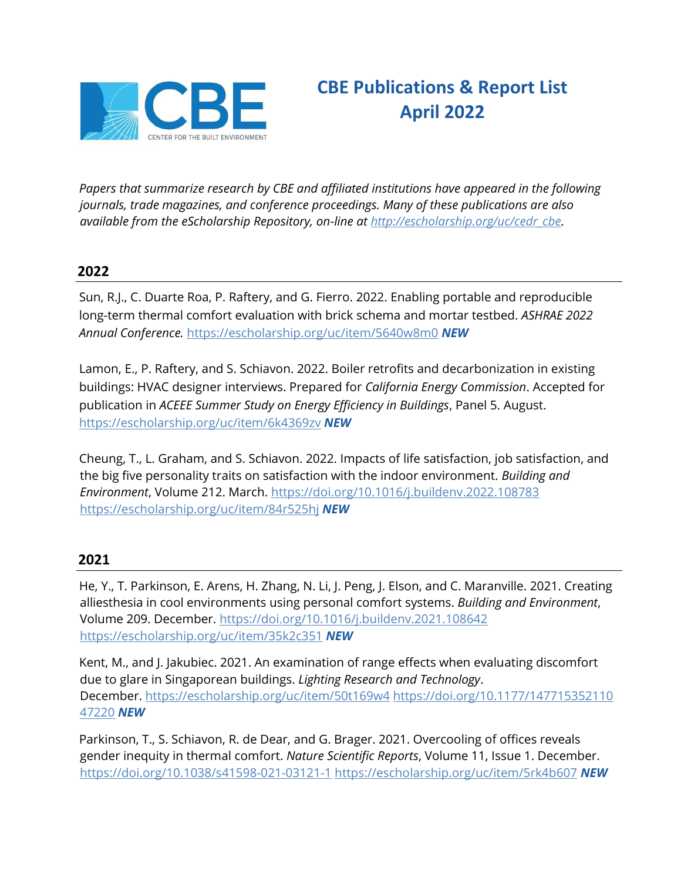

**CBE Publications & Report List April 2022** 

*Papers that summarize research by CBE and affiliated institutions have appeared in the following journals, trade magazines, and conference proceedings. Many of these publications are also available from the eScholarship Repository, on-line at [http://escholarship.org/uc/cedr\\_cbe.](http://escholarship.org/uc/cedr_cbe)*

# **2022**

Sun, R.J., C. Duarte Roa, P. Raftery, and G. Fierro. 2022. Enabling portable and reproducible long-term thermal comfort evaluation with brick schema and mortar testbed. *ASHRAE 2022 Annual Conference.* <https://escholarship.org/uc/item/5640w8m0> *NEW* 

Lamon, E., P. Raftery, and S. Schiavon. 2022. Boiler retrofits and decarbonization in existing buildings: HVAC designer interviews. Prepared for *California Energy Commission*. Accepted for publication in *ACEEE Summer Study on Energy Efficiency in Buildings*, Panel 5. August. <https://escholarship.org/uc/item/6k4369zv> *NEW* 

Cheung, T., L. Graham, and S. Schiavon. 2022. Impacts of life satisfaction, job satisfaction, and the big five personality traits on satisfaction with the indoor environment. *Building and Environment*, Volume 212. March.<https://doi.org/10.1016/j.buildenv.2022.108783> <https://escholarship.org/uc/item/84r525hj> *NEW*

# **2021**

He, Y., T. Parkinson, E. Arens, H. Zhang, N. Li, J. Peng, J. Elson, and C. Maranville. 2021. Creating alliesthesia in cool environments using personal comfort systems. *Building and Environment*, Volume 209. December. <https://doi.org/10.1016/j.buildenv.2021.108642> <https://escholarship.org/uc/item/35k2c351> *NEW* 

Kent, M., and J. Jakubiec. 2021. An examination of range effects when evaluating discomfort due to glare in Singaporean buildings. *Lighting Research and Technology*. December. <https://escholarship.org/uc/item/50t169w4> [https://doi.org/10.1177/147715352110](https://doi.org/10.1177/14771535211047220) [47220](https://doi.org/10.1177/14771535211047220) *NEW*

Parkinson, T., S. Schiavon, R. de Dear, and G. Brager. 2021. Overcooling of offices reveals gender inequity in thermal comfort. *Nature Scientific Reports*, Volume 11, Issue 1. December. <https://doi.org/10.1038/s41598-021-03121-1> <https://escholarship.org/uc/item/5rk4b607> *NEW*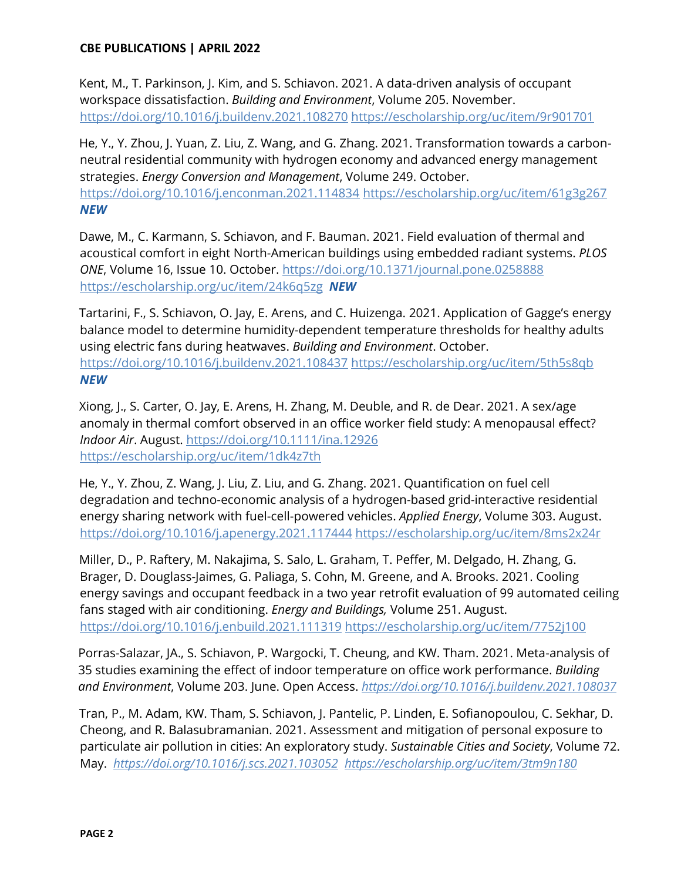Kent, M., T. Parkinson, J. Kim, and S. Schiavon. 2021. A data-driven analysis of occupant workspace dissatisfaction. *Building and Environment*, Volume 205. November. [https://doi.org/10.1016/j.buildenv.2021.10827](https://doi.org/10.1016/j.buildenv.2021.108270)0 <https://escholarship.org/uc/item/9r901701>

He, Y., Y. Zhou, J. Yuan, Z. Liu, Z. Wang, and G. Zhang. 2021. Transformation towards a carbonneutral residential community with hydrogen economy and advanced energy management strategies. *Energy Conversion and Management*, Volume 249. October. <https://doi.org/10.1016/j.enconman.2021.114834> <https://escholarship.org/uc/item/61g3g267> *NEW*

Dawe, M., C. Karmann, S. Schiavon, and F. Bauman. 2021. Field evaluation of thermal and acoustical comfort in eight North-American buildings using embedded radiant systems. *PLOS ONE*, Volume 16, Issue 10. October.<https://doi.org/10.1371/journal.pone.0258888> <https://escholarship.org/uc/item/24k6q5zg>*NEW*

Tartarini, F., S. Schiavon, O. Jay, E. Arens, and C. Huizenga. 2021. Application of Gagge's energy balance model to determine humidity-dependent temperature thresholds for healthy adults using electric fans during heatwaves. *Building and Environment*. October. <https://doi.org/10.1016/j.buildenv.2021.108437> <https://escholarship.org/uc/item/5th5s8qb> *NEW*

Xiong, J., S. Carter, O. Jay, E. Arens, H. Zhang, M. Deuble, and R. de Dear. 2021. A sex/age anomaly in thermal comfort observed in an office worker field study: A menopausal effect? *Indoor Air*. August.<https://doi.org/10.1111/ina.12926> <https://escholarship.org/uc/item/1dk4z7th>

He, Y., Y. Zhou, Z. Wang, J. Liu, Z. Liu, and G. Zhang. 2021. Quantification on fuel cell degradation and techno-economic analysis of a hydrogen-based grid-interactive residential energy sharing network with fuel-cell-powered vehicles. *Applied Energy*, Volume 303. August. <https://doi.org/10.1016/j.apenergy.2021.117444> <https://escholarship.org/uc/item/8ms2x24r>

Miller, D., P. Raftery, M. Nakajima, S. Salo, L. Graham, T. Peffer, M. Delgado, H. Zhang, G. Brager, D. Douglass-Jaimes, G. Paliaga, S. Cohn, M. Greene, and A. Brooks. 2021. Cooling energy savings and occupant feedback in a two year retrofit evaluation of 99 automated ceiling fans staged with air conditioning. *Energy and Buildings,* Volume 251. August. <https://doi.org/10.1016/j.enbuild.2021.111319> <https://escholarship.org/uc/item/7752j100>

Porras-Salazar, JA., S. Schiavon, P. Wargocki, T. Cheung, and KW. Tham. 2021. Meta-analysis of 35 studies examining the effect of indoor temperature on office work performance. *Building and Environment*, Volume 203. June. Open Access. *<https://doi.org/10.1016/j.buildenv.2021.108037>*

Tran, P., M. Adam, KW. Tham, S. Schiavon, J. Pantelic, P. Linden, E. Sofianopoulou, C. Sekhar, D. Cheong, and R. Balasubramanian. 2021. Assessment and mitigation of personal exposure to particulate air pollution in cities: An exploratory study. *Sustainable Cities and Society*, Volume 72. May. *<https://doi.org/10.1016/j.scs.2021.103052><https://escholarship.org/uc/item/3tm9n180>*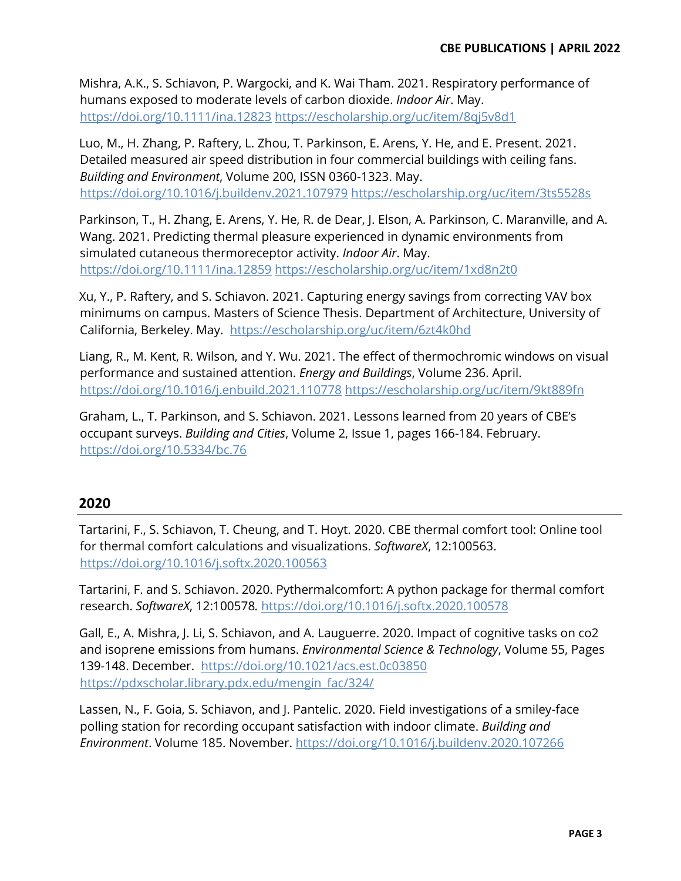Mishra, A.K., S. Schiavon, P. Wargocki, and K. Wai Tham. 2021. Respiratory performance of humans exposed to moderate levels of carbon dioxide. *Indoor Air*. May. <https://doi.org/10.1111/ina.12823> <https://escholarship.org/uc/item/8qj5v8d1>

Luo, M., H. Zhang, P. Raftery, L. Zhou, T. Parkinson, E. Arens, Y. He, and E. Present. 2021. Detailed measured air speed distribution in four commercial buildings with ceiling fans. *Building and Environment*, Volume 200, ISSN 0360-1323. May. <https://doi.org/10.1016/j.buildenv.2021.107979> <https://escholarship.org/uc/item/3ts5528s>

Parkinson, T., H. Zhang, E. Arens, Y. He, R. de Dear, J. Elson, A. Parkinson, C. Maranville, and A. Wang. 2021. Predicting thermal pleasure experienced in dynamic environments from simulated cutaneous thermoreceptor activity. *Indoor Air*. May. <https://doi.org/10.1111/ina.12859> <https://escholarship.org/uc/item/1xd8n2t0>

Xu, Y., P. Raftery, and S. Schiavon. 2021. Capturing energy savings from correcting VAV box minimums on campus. Masters of Science Thesis. Department of Architecture, University of California, Berkeley. May. <https://escholarship.org/uc/item/6zt4k0hd>

Liang, R., M. Kent, R. Wilson, and Y. Wu. 2021. The effect of thermochromic windows on visual performance and sustained attention. *Energy and Buildings*, Volume 236. April. <https://doi.org/10.1016/j.enbuild.2021.110778> <https://escholarship.org/uc/item/9kt889fn>

Graham, L., T. Parkinson, and S. Schiavon. 2021. Lessons learned from 20 years of CBE's occupant surveys. *Building and Cities*, Volume 2, Issue 1, pages 166-184. February. <https://doi.org/10.5334/bc.76>

# **2020**

Tartarini, F., S. Schiavon, T. Cheung, and T. Hoyt. 2020. CBE thermal comfort tool: Online tool for thermal comfort calculations and visualizations. *SoftwareX*, 12:100563. <https://doi.org/10.1016/j.softx.2020.100563>

Tartarini, F. and S. Schiavon. 2020. Pythermalcomfort: A python package for thermal comfort research. *SoftwareX*, 12:100578*.* <https://doi.org/10.1016/j.softx.2020.100578>

Gall, E., A. Mishra, J. Li, S. Schiavon, and A. Lauguerre. 2020. Impact of cognitive tasks on co2 and isoprene emissions from humans. *Environmental Science & Technology*, Volume 55, Pages 139-148. December. <https://doi.org/10.1021/acs.est.0c03850> [https://pdxscholar.library.pdx.edu/mengin\\_fac/324/](https://pdxscholar.library.pdx.edu/mengin_fac/324/)

Lassen, N., F. Goia, S. Schiavon, and J. Pantelic. 2020. Field investigations of a smiley-face polling station for recording occupant satisfaction with indoor climate. *Building and Environment*. Volume 185. November.<https://doi.org/10.1016/j.buildenv.2020.107266>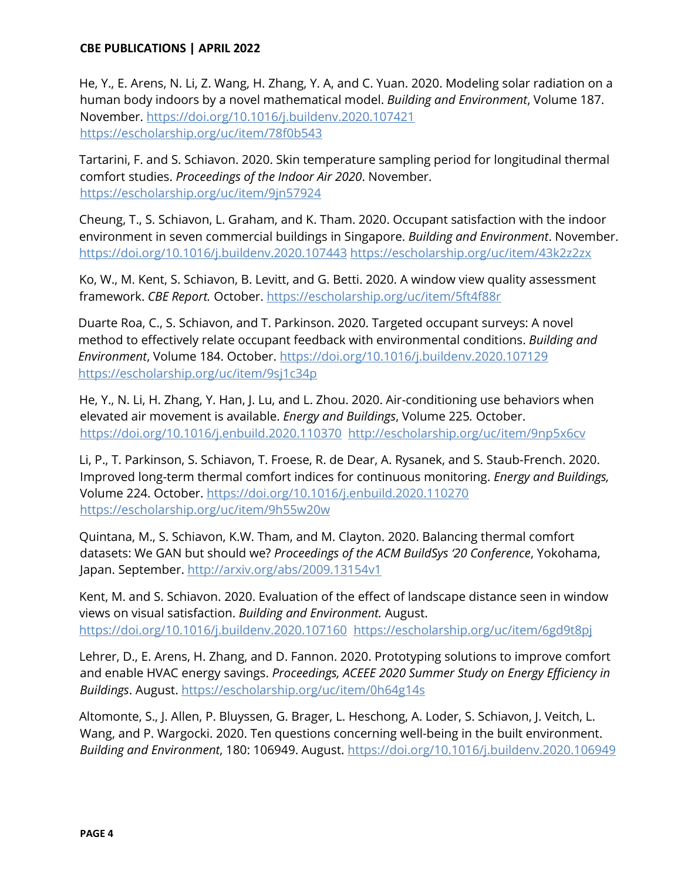He, Y., E. Arens, N. Li, Z. Wang, H. Zhang, Y. A, and C. Yuan. 2020. Modeling solar radiation on a human body indoors by a novel mathematical model. *Building and Environment*, Volume 187. November.<https://doi.org/10.1016/j.buildenv.2020.107421> <https://escholarship.org/uc/item/78f0b543>

Tartarini, F. and S. Schiavon. 2020. Skin temperature sampling period for longitudinal thermal comfort studies. *Proceedings of the Indoor Air 2020*. November. <https://escholarship.org/uc/item/9jn57924>

Cheung, T., S. Schiavon, L. Graham, and K. Tham. 2020. Occupant satisfaction with the indoor environment in seven commercial buildings in Singapore. *Building and Environment*. November. <https://doi.org/10.1016/j.buildenv.2020.107443> <https://escholarship.org/uc/item/43k2z2zx>

Ko, W., M. Kent, S. Schiavon, B. Levitt, and G. Betti. 2020. A window view quality assessment framework. *CBE Report.* October. <https://escholarship.org/uc/item/5ft4f88r>

Duarte Roa, C., S. Schiavon, and T. Parkinson. 2020. Targeted occupant surveys: A novel method to effectively relate occupant feedback with environmental conditions. *Building and Environment*, Volume 184. October.<https://doi.org/10.1016/j.buildenv.2020.107129> <https://escholarship.org/uc/item/9sj1c34p>

He, Y., N. Li, H. Zhang, Y. Han, J. Lu, and L. Zhou. 2020. Air-conditioning use behaviors when elevated air movement is available. *Energy and Buildings*, Volume 225*.* October. <https://doi.org/10.1016/j.enbuild.2020.110370><http://escholarship.org/uc/item/9np5x6cv>

Li, P., T. Parkinson, S. Schiavon, T. Froese, R. de Dear, A. Rysanek, and S. Staub-French. 2020. Improved long-term thermal comfort indices for continuous monitoring. *Energy and Buildings,*  Volume 224. October. <https://doi.org/10.1016/j.enbuild.2020.110270> <https://escholarship.org/uc/item/9h55w20w>

Quintana, M., S. Schiavon, K.W. Tham, and M. Clayton. 2020. Balancing thermal comfort datasets: We GAN but should we? *Proceedings of the ACM BuildSys '20 Conference*, Yokohama, Japan. September.<http://arxiv.org/abs/2009.13154v1>

Kent, M. and S. Schiavon. 2020. Evaluation of the effect of landscape distance seen in window views on visual satisfaction. *Building and Environment.* August. <https://doi.org/10.1016/j.buildenv.2020.107160><https://escholarship.org/uc/item/6gd9t8pj>

Lehrer, D., E. Arens, H. Zhang, and D. Fannon. 2020. Prototyping solutions to improve comfort and enable HVAC energy savings. *Proceedings, ACEEE 2020 Summer Study on Energy Efficiency in Buildings*. August.<https://escholarship.org/uc/item/0h64g14s>

Altomonte, S., J. Allen, P. Bluyssen, G. Brager, L. Heschong, A. Loder, S. Schiavon, J. Veitch, L. Wang, and P. Wargocki. 2020. Ten questions concerning well-being in the built environment. *Building and Environment*, 180: 106949. August.<https://doi.org/10.1016/j.buildenv.2020.106949>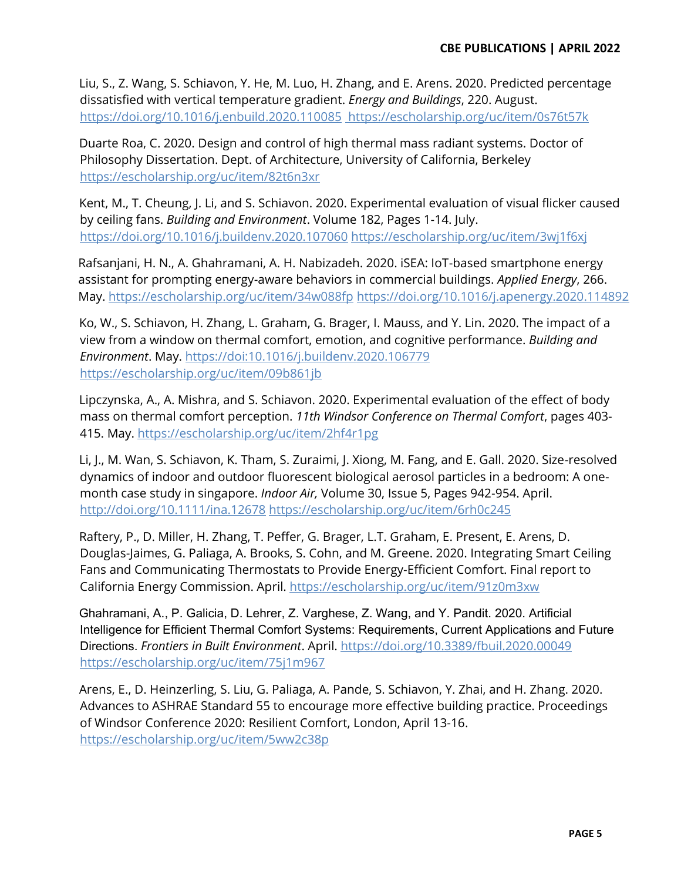Liu, S., Z. Wang, S. Schiavon, Y. He, M. Luo, H. Zhang, and E. Arens. 2020. Predicted percentage dissatisfied with vertical temperature gradient. *Energy and Buildings*, 220. August. <https://doi.org/10.1016/j.enbuild.2020.110085> https://escholarship.org/uc/item/0s76t57k

Duarte Roa, C. 2020. Design and control of high thermal mass radiant systems. Doctor of Philosophy Dissertation. Dept. of Architecture, University of California, Berkeley <https://escholarship.org/uc/item/82t6n3xr>

Kent, M., T. Cheung, J. Li, and S. Schiavon. 2020. Experimental evaluation of visual flicker caused by ceiling fans. *Building and Environment*. Volume 182, Pages 1-14. July. <https://doi.org/10.1016/j.buildenv.2020.107060> <https://escholarship.org/uc/item/3wj1f6xj>

Rafsanjani, H. N., A. Ghahramani, A. H. Nabizadeh. 2020. iSEA: IoT-based smartphone energy assistant for prompting energy-aware behaviors in commercial buildings. *Applied Energy*, 266. May.<https://escholarship.org/uc/item/34w088fp> <https://doi.org/10.1016/j.apenergy.2020.114892>

Ko, W., S. Schiavon, H. Zhang, L. Graham, G. Brager, I. Mauss, and Y. Lin. 2020. The impact of a view from a window on thermal comfort, emotion, and cognitive performance. *Building and Environment*. May. https://doi:10.1016/j.buildenv.2020.106779 <https://escholarship.org/uc/item/09b861jb>

Lipczynska, A., A. Mishra, and S. Schiavon. 2020. Experimental evaluation of the effect of body mass on thermal comfort perception. *11th Windsor Conference on Thermal Comfort*, pages 403- 415. May.<https://escholarship.org/uc/item/2hf4r1pg>

Li, J., M. Wan, S. Schiavon, K. Tham, S. Zuraimi, J. Xiong, M. Fang, and E. Gall. 2020. Size-resolved dynamics of indoor and outdoor fluorescent biological aerosol particles in a bedroom: A onemonth case study in singapore. *Indoor Air,* Volume 30, Issue 5, Pages 942-954. April. <http://doi.org/10.1111/ina.12678> <https://escholarship.org/uc/item/6rh0c245>

Raftery, P., D. Miller, H. Zhang, T. Peffer, G. Brager, L.T. Graham, E. Present, E. Arens, D. Douglas-Jaimes, G. Paliaga, A. Brooks, S. Cohn, and M. Greene. 2020. Integrating Smart Ceiling Fans and Communicating Thermostats to Provide Energy-Efficient Comfort. Final report to California Energy Commission. April.<https://escholarship.org/uc/item/91z0m3xw>

Ghahramani, A., P. Galicia, D. Lehrer, Z. Varghese, Z. Wang, and Y. Pandit. 2020. Artificial Intelligence for Efficient Thermal Comfort Systems: Requirements, Current Applications and Future Directions. *Frontiers in Built Environment*. April.<https://doi.org/10.3389/fbuil.2020.00049> <https://escholarship.org/uc/item/75j1m967>

Arens, E., D. Heinzerling, S. Liu, G. Paliaga, A. Pande, S. Schiavon, Y. Zhai, and H. Zhang. 2020. Advances to ASHRAE Standard 55 to encourage more effective building practice. Proceedings of Windsor Conference 2020: Resilient Comfort, London, April 13-16. <https://escholarship.org/uc/item/5ww2c38p>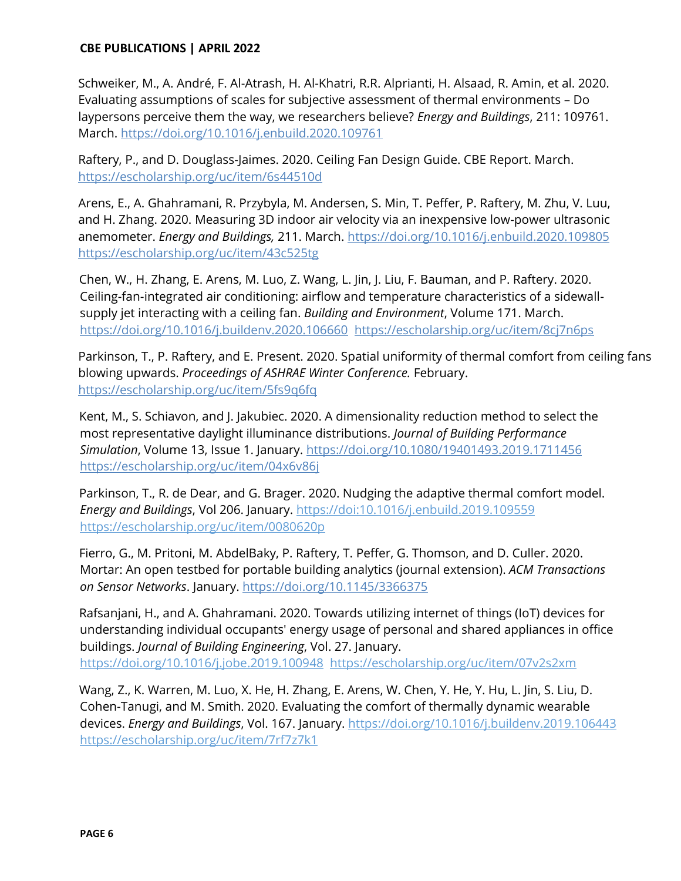Schweiker, M., A. André, F. Al-Atrash, H. Al-Khatri, R.R. Alprianti, H. Alsaad, R. Amin, et al. 2020. Evaluating assumptions of scales for subjective assessment of thermal environments - Do laypersons perceive them the way, we researchers believe? *Energy and Buildings*, 211: 109761. March.<https://doi.org/10.1016/j.enbuild.2020.109761>

Raftery, P., and D. Douglass-Jaimes. 2020. Ceiling Fan Design Guide. CBE Report. March. <https://escholarship.org/uc/item/6s44510d>

Arens, E., A. Ghahramani, R. Przybyla, M. Andersen, S. Min, T. Peffer, P. Raftery, M. Zhu, V. Luu, and H. Zhang. 2020. Measuring 3D indoor air velocity via an inexpensive low-power ultrasonic anemometer. *Energy and Buildings,* 211. March.<https://doi.org/10.1016/j.enbuild.2020.109805> <https://escholarship.org/uc/item/43c525tg>

Chen, W., H. Zhang, E. Arens, M. Luo, Z. Wang, L. Jin, J. Liu, F. Bauman, and P. Raftery. 2020. Ceiling-fan-integrated air conditioning: airflow and temperature characteristics of a sidewallsupply jet interacting with a ceiling fan. *Building and Environment*, Volume 171. March. https:/[/doi.org/10.1016/j.buildenv.2020.106660](http://doi.org/10.1016/j.buildenv.2020.106660) <https://escholarship.org/uc/item/8cj7n6ps>

Parkinson, T., P. Raftery, and E. Present. 2020. Spatial uniformity of thermal comfort from ceiling fans blowing upwards. *Proceedings of ASHRAE Winter Conference.* February. <https://escholarship.org/uc/item/5fs9q6fq>

Kent, M., S. Schiavon, and J. Jakubiec. 2020. A dimensionality reduction method to select the most representative daylight illuminance distributions. *Journal of Building Performance Simulation*, Volume 13, Issue 1. January.<https://doi.org/10.1080/19401493.2019.1711456> <https://escholarship.org/uc/item/04x6v86j>

Parkinson, T., R. de Dear, and G. Brager. 2020. Nudging the adaptive thermal comfort model. *Energy and Buildings*, Vol 206. January. [https://doi:10.1016/j.enbuild.2019.109559](about:blank) <https://escholarship.org/uc/item/0080620p>

Fierro, G., M. Pritoni, M. AbdelBaky, P. Raftery, T. Peffer, G. Thomson, and D. Culler. 2020. Mortar: An open testbed for portable building analytics (journal extension). *ACM Transactions on Sensor Networks*. January[.](https://doi.org/10.1145/3366375) <https://doi.org/10.1145/3366375>

Rafsanjani, H., and A. Ghahramani. 2020. Towards utilizing internet of things (IoT) devices for understanding individual occupants' energy usage of personal and shared appliances in office buildings. *Journal of Building Engineering*, Vol. 27. January. <https://doi.org/10.1016/j.jobe.2019.100948><https://escholarship.org/uc/item/07v2s2xm>

Wang, Z., K. Warren, M. Luo, X. He, H. Zhang, E. Arens, W. Chen, Y. He, Y. Hu, L. Jin, S. Liu, D. Cohen-Tanugi, and M. Smith. 2020. Evaluating the comfort of thermally dynamic wearable devices. *Energy and Buildings*, Vol. 167. January. https:/[/doi.org/10.1016/j.buildenv.2019.106443](http://doi.org/10.1016/j.buildenv.2019.106443) <https://escholarship.org/uc/item/7rf7z7k1>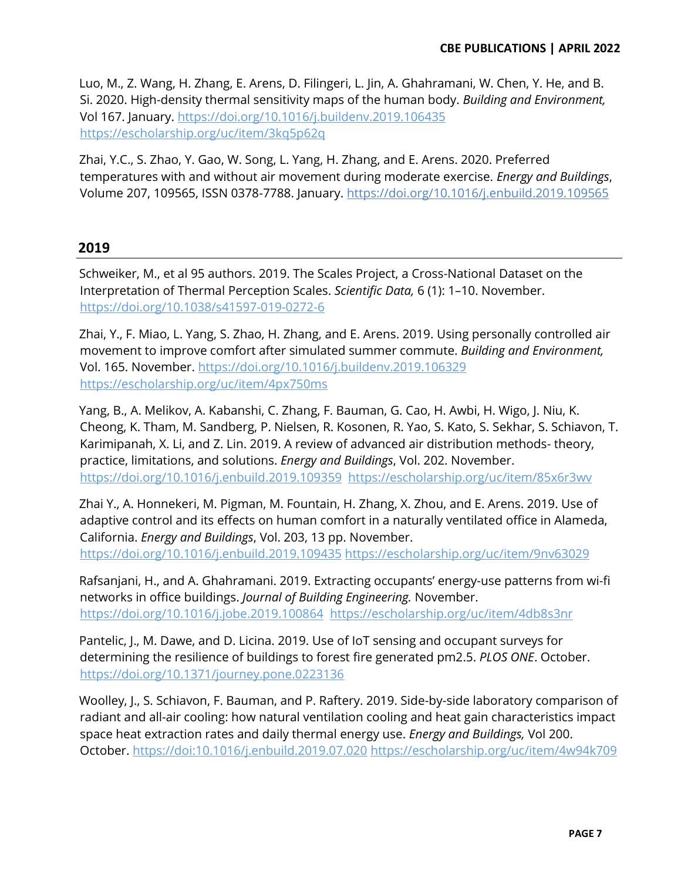Luo, M., Z. Wang, H. Zhang, E. Arens, D. Filingeri, L. Jin, A. Ghahramani, W. Chen, Y. He, and B. Si. 2020. High-density thermal sensitivity maps of the human body. *Building and Environment,*  Vol 167. January.<https://doi.org/10.1016/j.buildenv.2019.106435> <https://escholarship.org/uc/item/3kq5p62q>

Zhai, Y.C., S. Zhao, Y. Gao, W. Song, L. Yang, H. Zhang, and E. Arens. 2020. Preferred temperatures with and without air movement during moderate exercise. *Energy and Buildings*, Volume 207, 109565, ISSN 0378-7788. January.<https://doi.org/10.1016/j.enbuild.2019.109565>

# **2019**

Schweiker, M., et al 95 authors. 2019. The Scales Project, a Cross-National Dataset on the Interpretation of Thermal Perception Scales. *Scientific Data*, 6 (1): 1-10. November. <https://doi.org/10.1038/s41597-019-0272-6>

Zhai, Y., F. Miao, L. Yang, S. Zhao, H. Zhang, and E. Arens. 2019. Using personally controlled air movement to improve comfort after simulated summer commute. *Building and Environment,* Vol. 165. November.<https://doi.org/10.1016/j.buildenv.2019.106329> <https://escholarship.org/uc/item/4px750ms>

Yang, B., A. Melikov, A. Kabanshi, C. Zhang, F. Bauman, G. Cao, H. Awbi, H. Wigo, J. Niu, K. Cheong, K. Tham, M. Sandberg, P. Nielsen, R. Kosonen, R. Yao, S. Kato, S. Sekhar, S. Schiavon, T. Karimipanah, X. Li, and Z. Lin. 2019. A review of advanced air distribution methods- theory, practice, limitations, and solutions. *Energy and Buildings*, Vol. 202. November. <https://doi.org/10.1016/j.enbuild.2019.109359> <https://escholarship.org/uc/item/85x6r3wv>

Zhai Y., A. Honnekeri, M. Pigman, M. Fountain, H. Zhang, X. Zhou, and E. Arens. 2019. Use of adaptive control and its effects on human comfort in a naturally ventilated office in Alameda, California. *Energy and Buildings*, Vol. 203, 13 pp. November. <https://doi.org/10.1016/j.enbuild.2019.109435> <https://escholarship.org/uc/item/9nv63029>

Rafsanjani, H., and A. Ghahramani. 2019. Extracting occupants' energy-use patterns from wi-fi networks in office buildings. *Journal of Building Engineering.* November. <https://doi.org/10.1016/j.jobe.2019.100864><https://escholarship.org/uc/item/4db8s3nr>

Pantelic, J., M. Dawe, and D. Licina. 2019. Use of IoT sensing and occupant surveys for determining the resilience of buildings to forest fire generated pm2.5. *PLOS ONE*. October. <https://doi.org/10.1371/journey.pone.0223136>

Woolley, J., S. Schiavon, F. Bauman, and P. Raftery. 2019. Side-by-side laboratory comparison of radiant and all-air cooling: how natural ventilation cooling and heat gain characteristics impact space heat extraction rates and daily thermal energy use. *Energy and Buildings,* Vol 200. October. [https://doi:10.1016/j.enbuild.2019.07.020](about:blank) <https://escholarship.org/uc/item/4w94k709>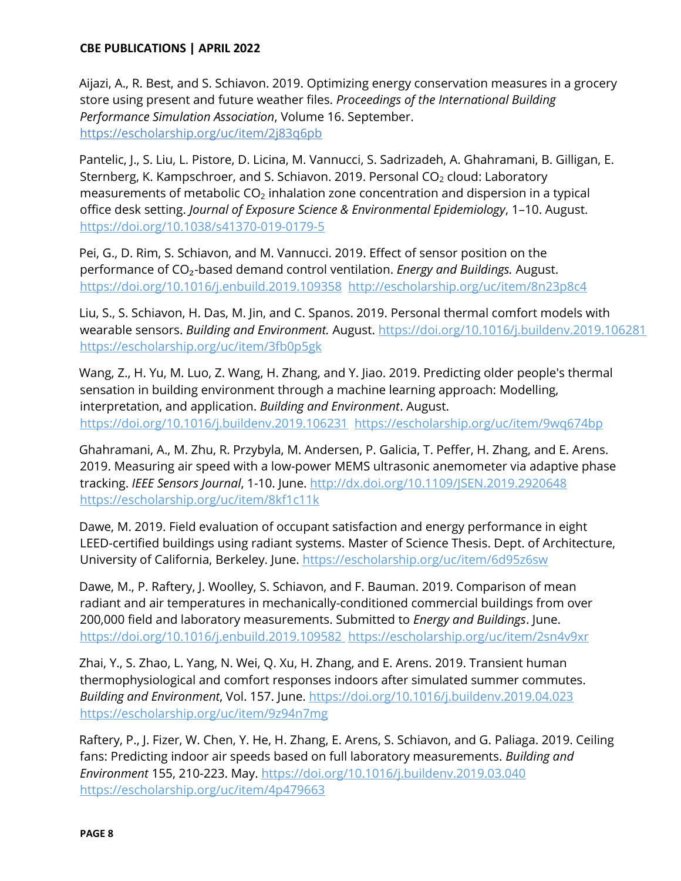Aijazi, A., R. Best, and S. Schiavon. 2019. Optimizing energy conservation measures in a grocery store using present and future weather files. *Proceedings of the International Building Performance Simulation Association*, Volume 16. September. <https://escholarship.org/uc/item/2j83q6pb>

Pantelic, J., S. Liu, L. Pistore, D. Licina, M. Vannucci, S. Sadrizadeh, A. Ghahramani, B. Gilligan, E. Sternberg, K. Kampschroer, and S. Schiavon. 2019. Personal  $CO<sub>2</sub>$  cloud: Laboratory measurements of metabolic  $CO<sub>2</sub>$  inhalation zone concentration and dispersion in a typical office desk setting. *Journal of Exposure Science & Environmental Epidemiology*, 1-10. August. <https://doi.org/10.1038/s41370-019-0179-5>

Pei, G., D. Rim, S. Schiavon, and M. Vannucci. 2019. Effect of sensor position on the performance of CO<sub>2</sub>-based demand control ventilation. *Energy and Buildings*. August. <https://doi.org/10.1016/j.enbuild.2019.109358>http://escholarship.org/uc/item/8n23p8c4

Liu, S., S. Schiavon, H. Das, M. Jin, and C. Spanos. 2019. Personal thermal comfort models with wearable sensors. *Building and Environment.* August.<https://doi.org/10.1016/j.buildenv.2019.106281> <https://escholarship.org/uc/item/3fb0p5gk>

Wang, Z., H. Yu, M. Luo, Z. Wang, H. Zhang, and Y. Jiao. 2019. Predicting older people's thermal sensation in building environment through a machine learning approach: Modelling, interpretation, and application. *Building and Environment*. August. <https://doi.org/10.1016/j.buildenv.2019.106231><https://escholarship.org/uc/item/9wq674bp>

Ghahramani, A., M. Zhu, R. Przybyla, M. Andersen, P. Galicia, T. Peffer, H. Zhang, and E. Arens. 2019. Measuring air speed with a low-power MEMS ultrasonic anemometer via adaptive phase tracking. *IEEE Sensors Journal*, 1-10. June.<http://dx.doi.org/10.1109/JSEN.2019.2920648> <https://escholarship.org/uc/item/8kf1c11k>

Dawe, M. 2019. Field evaluation of occupant satisfaction and energy performance in eight LEED-certified buildings using radiant systems. Master of Science Thesis. Dept. of Architecture, University of California, Berkeley. June. https://escholarship.org/uc/item/6d95z6sw

Dawe, M., P. Raftery, J. Woolley, S. Schiavon, and F. Bauman. 2019. Comparison of mean radiant and air temperatures in mechanically-conditioned commercial buildings from over 200,000 field and laboratory measurements. Submitted to *Energy and Buildings*. June. <https://doi.org/10.1016/j.enbuild.2019.109582> <https://escholarship.org/uc/item/2sn4v9xr>

Zhai, Y., S. Zhao, L. Yang, N. Wei, Q. Xu, H. Zhang, and E. Arens. 2019. Transient human thermophysiological and comfort responses indoors after simulated summer commutes. *Building and Environment*, Vol. 157. June.<https://doi.org/10.1016/j.buildenv.2019.04.023> <https://escholarship.org/uc/item/9z94n7mg>

Raftery, P., J. Fizer, W. Chen, Y. He, H. Zhang, E. Arens, S. Schiavon, and G. Paliaga. 2019. Ceiling fans: Predicting indoor air speeds based on full laboratory measurements. *Building and Environment* 155, 210-223. May. https://doi.org/10.1016/j.buildenv.2019.03.040 <https://escholarship.org/uc/item/4p479663>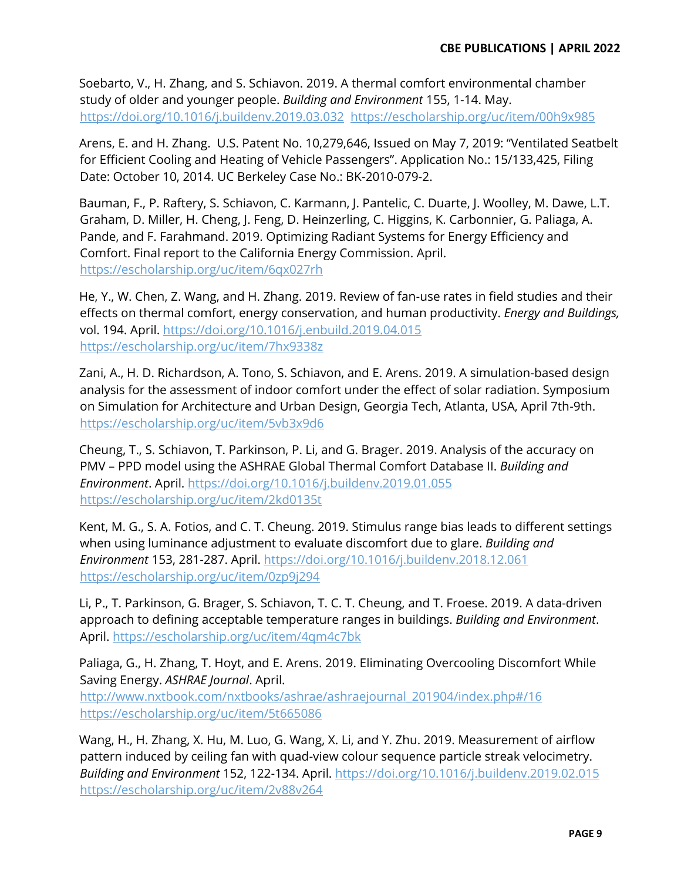Soebarto, V., H. Zhang, and S. Schiavon. 2019. A thermal comfort environmental chamber study of older and younger people. *Building and Environment* 155, 1-14. May. <https://doi.org/10.1016/j.buildenv.2019.03.032><https://escholarship.org/uc/item/00h9x985>

Arens, E. and H. Zhang. U.S. Patent No. 10,279,646, Issued on May 7, 2019: "Ventilated Seatbelt for Efficient Cooling and Heating of Vehicle Passengers". Application No.: 15/133,425, Filing Date: October 10, 2014. UC Berkeley Case No.: BK-2010-079-2.

Bauman, F., P. Raftery, S. Schiavon, C. Karmann, J. Pantelic, C. Duarte, J. Woolley, M. Dawe, L.T. Graham, D. Miller, H. Cheng, J. Feng, D. Heinzerling, C. Higgins, K. Carbonnier, G. Paliaga, A. Pande, and F. Farahmand. 2019. Optimizing Radiant Systems for Energy Efficiency and Comfort. Final report to the California Energy Commission. April. <https://escholarship.org/uc/item/6qx027rh>

He, Y., W. Chen, Z. Wang, and H. Zhang. 2019. Review of fan-use rates in field studies and their effects on thermal comfort, energy conservation, and human productivity. *Energy and Buildings,*  vol. 194. April. https://doi.org/10.1016/j.enbuild.2019.04.015 https://escholarship.org/uc/item/7hx9338z

Zani, A., H. D. Richardson, A. Tono, S. Schiavon, and E. Arens. 2019. A simulation-based design analysis for the assessment of indoor comfort under the effect of solar radiation. Symposium on Simulation for Architecture and Urban Design, Georgia Tech, Atlanta, USA, April 7th-9th. <https://escholarship.org/uc/item/5vb3x9d6>

Cheung, T., S. Schiavon, T. Parkinson, P. Li, and G. Brager. 2019. Analysis of the accuracy on PMV - PPD model using the ASHRAE Global Thermal Comfort Database II. *Building and Environment*. April.<https://doi.org/10.1016/j.buildenv.2019.01.055> <https://escholarship.org/uc/item/2kd0135t>

Kent, M. G., S. A. Fotios, and C. T. Cheung. 2019. Stimulus range bias leads to different settings when using luminance adjustment to evaluate discomfort due to glare. *Building and Environment* 153, 281-287. April.<https://doi.org/10.1016/j.buildenv.2018.12.061> <https://escholarship.org/uc/item/0zp9j294>

Li, P., T. Parkinson, G. Brager, S. Schiavon, T. C. T. Cheung, and T. Froese. 2019. A data-driven approach to defining acceptable temperature ranges in buildings. *Building and Environment*. April.<https://escholarship.org/uc/item/4qm4c7bk>

Paliaga, G., H. Zhang, T. Hoyt, and E. Arens. 2019. Eliminating Overcooling Discomfort While Saving Energy. *ASHRAE Journal*. April.

[http://www.nxtbook.com/nxtbooks/ashrae/ashraejournal\\_201904/index.php#/16](http://www.nxtbook.com/nxtbooks/ashrae/ashraejournal_201904/index.php#/16) <https://escholarship.org/uc/item/5t665086>

Wang, H., H. Zhang, X. Hu, M. Luo, G. Wang, X. Li, and Y. Zhu. 2019. Measurement of airflow pattern induced by ceiling fan with quad-view colour sequence particle streak velocimetry. *Building and Environment* 152, 122-134. April.<https://doi.org/10.1016/j.buildenv.2019.02.015> <https://escholarship.org/uc/item/2v88v264>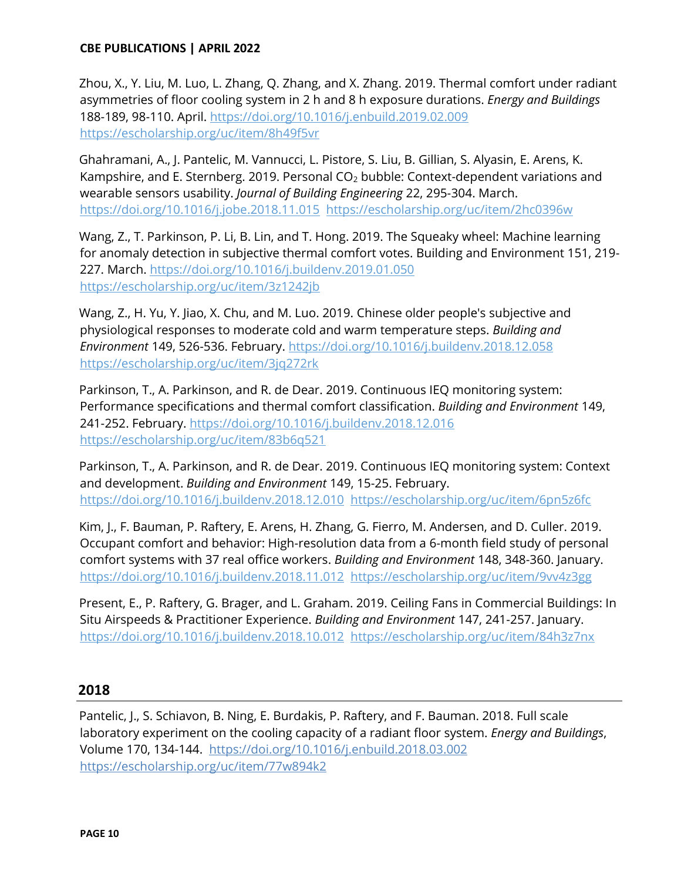Zhou, X., Y. Liu, M. Luo, L. Zhang, Q. Zhang, and X. Zhang. 2019. Thermal comfort under radiant asymmetries of floor cooling system in 2 h and 8 h exposure durations. *Energy and Buildings*  188-189, 98-110. April.<https://doi.org/10.1016/j.enbuild.2019.02.009> <https://escholarship.org/uc/item/8h49f5vr>

Ghahramani, A., J. Pantelic, M. Vannucci, L. Pistore, S. Liu, B. Gillian, S. Alyasin, E. Arens, K. Kampshire, and E. Sternberg. 2019. Personal CO<sub>2</sub> bubble: Context-dependent variations and wearable sensors usability. *Journal of Building Engineering* 22, 295-304. March. <https://doi.org/10.1016/j.jobe.2018.11.015><https://escholarship.org/uc/item/2hc0396w>

Wang, Z., T. Parkinson, P. Li, B. Lin, and T. Hong. 2019. The Squeaky wheel: Machine learning for anomaly detection in subjective thermal comfort votes. Building and Environment 151, 219- 227. March.<https://doi.org/10.1016/j.buildenv.2019.01.050> <https://escholarship.org/uc/item/3z1242jb>

Wang, Z., H. Yu, Y. Jiao, X. Chu, and M. Luo. 2019. Chinese older people's subjective and physiological responses to moderate cold and warm temperature steps. *Building and Environment* 149, 526-536. February.<https://doi.org/10.1016/j.buildenv.2018.12.058> <https://escholarship.org/uc/item/3jq272rk>

Parkinson, T., A. Parkinson, and R. de Dear. 2019. Continuous IEQ monitoring system: Performance specifications and thermal comfort classification. *Building and Environment* 149, 241-252. February.<https://doi.org/10.1016/j.buildenv.2018.12.016> <https://escholarship.org/uc/item/83b6q521>

Parkinson, T., A. Parkinson, and R. de Dear. 2019. Continuous IEQ monitoring system: Context and development. *Building and Environment* 149, 15-25. February. <https://doi.org/10.1016/j.buildenv.2018.12.010><https://escholarship.org/uc/item/6pn5z6fc>

Kim, J., F. Bauman, P. Raftery, E. Arens, H. Zhang, G. Fierro, M. Andersen, and D. Culler. 2019. Occupant comfort and behavior: High-resolution data from a 6-month field study of personal comfort systems with 37 real office workers. *Building and Environment* 148, 348-360. January. https://doi.org/10.1016/j.buildenv.2018.11.012 <https://escholarship.org/uc/item/9vv4z3gg>

Present, E., P. Raftery, G. Brager, and L. Graham. 2019. Ceiling Fans in Commercial Buildings: In Situ Airspeeds & Practitioner Experience. *Building and Environment* 147, 241-257. January. https://doi.org/10.1016/j.buildenv.2018.10.012 https://escholarship.org/uc/item/84h3z7nx

# **2018**

Pantelic, J., S. Schiavon, B. Ning, E. Burdakis, P. Raftery, and F. Bauman. 2018. Full scale laboratory experiment on the cooling capacity of a radiant floor system. *Energy and Buildings*, Volume 170, 134-144. <https://doi.org/10.1016/j.enbuild.2018.03.002> <https://escholarship.org/uc/item/77w894k2>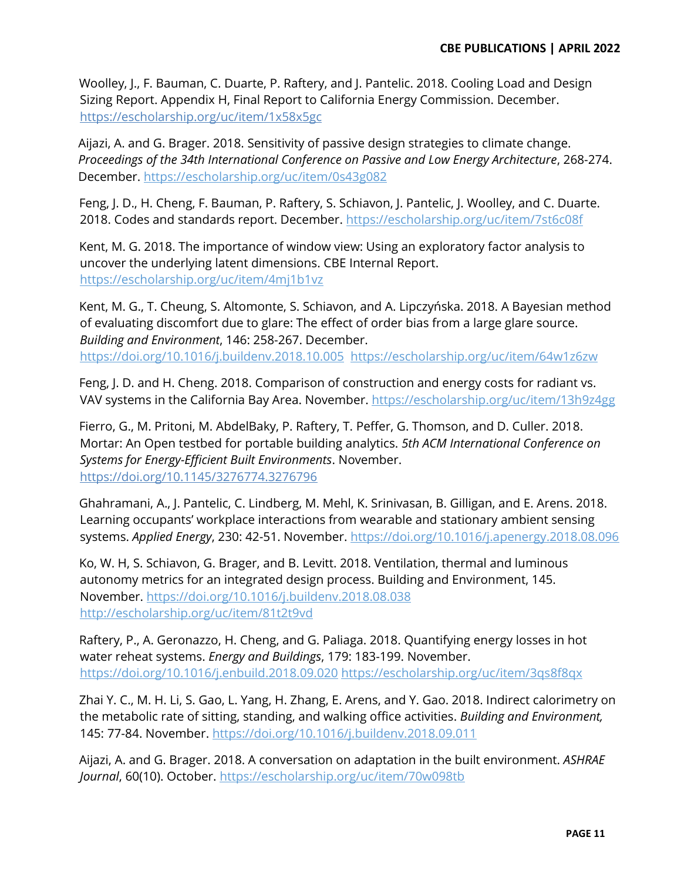Woolley, J., F. Bauman, C. Duarte, P. Raftery, and J. Pantelic. 2018. Cooling Load and Design Sizing Report. Appendix H, Final Report to California Energy Commission. December. https://escholarship.org/uc/item/1x58x5gc

Aijazi, A. and G. Brager. 2018. Sensitivity of passive design strategies to climate change. *Proceedings of the 34th International Conference on Passive and Low Energy Architecture*, 268-274. December.<https://escholarship.org/uc/item/0s43g082>

Feng, J. D., H. Cheng, F. Bauman, P. Raftery, S. Schiavon, J. Pantelic, J. Woolley, and C. Duarte. 2018. Codes and standards report. December.<https://escholarship.org/uc/item/7st6c08f>

Kent, M. G. 2018. The importance of window view: Using an exploratory factor analysis to uncover the underlying latent dimensions. CBE Internal Report. <https://escholarship.org/uc/item/4mj1b1vz>

Kent, M. G., T. Cheung, S. Altomonte, S. Schiavon, and A. Lipczyńska. 2018. A Bayesian method of evaluating discomfort due to glare: The effect of order bias from a large glare source. *Building and Environment*, 146: 258-267. December. <https://doi.org/10.1016/j.buildenv.2018.10.005><https://escholarship.org/uc/item/64w1z6zw>

Feng, J. D. and H. Cheng. 2018. Comparison of construction and energy costs for radiant vs. VAV systems in the California Bay Area. November.<https://escholarship.org/uc/item/13h9z4gg>

Fierro, G., M. Pritoni, M. AbdelBaky, P. Raftery, T. Peffer, G. Thomson, and D. Culler. 2018. Mortar: An Open testbed for portable building analytics. *5th ACM International Conference on Systems for Energy-Efficient Built Environments*. November[.](https://doi.org/10.1145/3276774.3276796) <https://doi.org/10.1145/3276774.3276796>

Ghahramani, A., J. Pantelic, C. Lindberg, M. Mehl, K. Srinivasan, B. Gilligan, and E. Arens. 2018. Learning occupants' workplace interactions from wearable and stationary ambient sensing systems. *Applied Energy*, 230: 42-51. November.<https://doi.org/10.1016/j.apenergy.2018.08.096>

Ko, W. H, S. Schiavon, G. Brager, and B. Levitt. 2018. Ventilation, thermal and luminous autonomy metrics for an integrated design process. Building and Environment, 145. November.<https://doi.org/10.1016/j.buildenv.2018.08.038> <http://escholarship.org/uc/item/81t2t9vd>

Raftery, P., A. Geronazzo, H. Cheng, and G. Paliaga. 2018. Quantifying energy losses in hot water reheat systems. *Energy and Buildings*, 179: 183-199. November. <https://doi.org/10.1016/j.enbuild.2018.09.020> <https://escholarship.org/uc/item/3qs8f8qx>

Zhai Y. C., M. H. Li, S. Gao, L. Yang, H. Zhang, E. Arens, and Y. Gao. 2018. Indirect calorimetry on the metabolic rate of sitting, standing, and walking office activities. *Building and Environment,*  145: 77-84. November.<https://doi.org/10.1016/j.buildenv.2018.09.011>

Aijazi, A. and G. Brager. 2018. A conversation on adaptation in the built environment. *ASHRAE Journal*, 60(10). October.<https://escholarship.org/uc/item/70w098tb>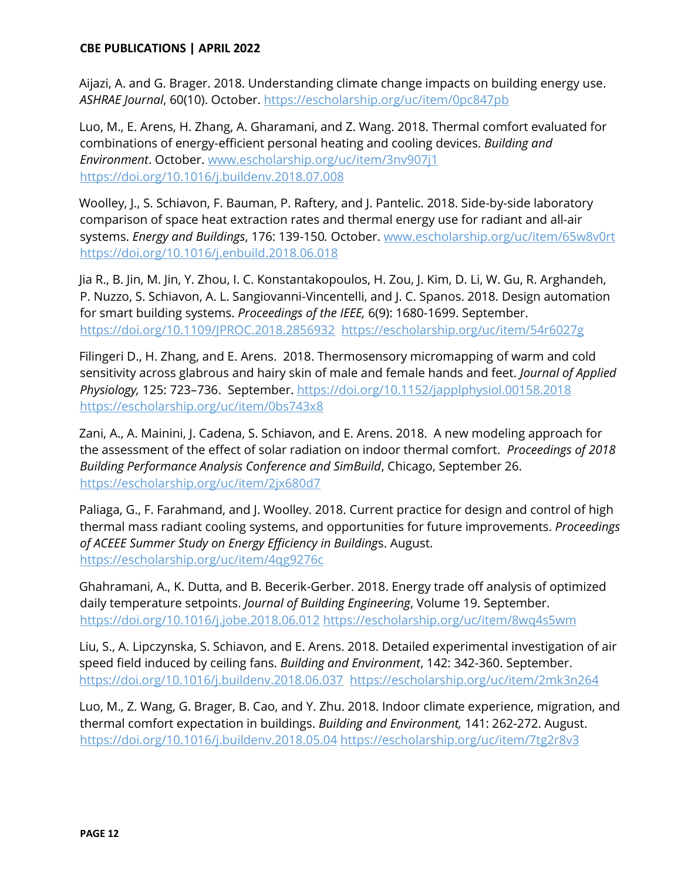Aijazi, A. and G. Brager. 2018. Understanding climate change impacts on building energy use. *ASHRAE Journal*, 60(10). October.<https://escholarship.org/uc/item/0pc847pb>

Luo, M., E. Arens, H. Zhang, A. Gharamani, and Z. Wang. 2018. Thermal comfort evaluated for combinations of energy-efficient personal heating and cooling devices. *Building and Environment*. October. www.escholarship.org/uc/item/3nv907j1 https://doi.org/10.1016/j.buildenv.2018.07.008

Woolley, J., S. Schiavon, F. Bauman, P. Raftery, and J. Pantelic. 2018. Side-by-side laboratory comparison of space heat extraction rates and thermal energy use for radiant and all-air systems. *Energy and Buildings*, 176: 139-150*.* October. [www.escholarship.org/uc/item/65w8v0rt](http://www.escholarship.org/uc/item/65w8v0rt) <https://doi.org/10.1016/j.enbuild.2018.06.018>

Jia R., B. Jin, M. Jin, Y. Zhou, I. C. Konstantakopoulos, H. Zou, J. Kim, D. Li, W. Gu, R. Arghandeh, P. Nuzzo, S. Schiavon, A. L. Sangiovanni-Vincentelli, and J. C. Spanos. 2018. Design automation for smart building systems. *Proceedings of the IEEE,* 6(9): 1680-1699. September. <https://doi.org/10.1109/JPROC.2018.2856932><https://escholarship.org/uc/item/54r6027g>

Filingeri D., H. Zhang, and E. Arens. 2018. Thermosensory micromapping of warm and cold sensitivity across glabrous and hairy skin of male and female hands and feet. *Journal of Applied Physiology,* 125: 723-736. September. https://doi.org/10.1152/japplphysiol.00158.2018 <https://escholarship.org/uc/item/0bs743x8>

Zani, A., A. Mainini, J. Cadena, S. Schiavon, and E. Arens. 2018. A new modeling approach for the assessment of the effect of solar radiation on indoor thermal comfort. *Proceedings of 2018 Building Performance Analysis Conference and SimBuild*, Chicago, September 26. [https://escholarship.org/uc/item/2jx680d7](http://www.escholarship.org/uc/item/2jx680d7)

Paliaga, G., F. Farahmand, and J. Woolley. 2018. Current practice for design and control of high thermal mass radiant cooling systems, and opportunities for future improvements. *Proceedings of ACEEE Summer Study on Energy Efficiency in Building*s. August. <https://escholarship.org/uc/item/4qg9276c>

Ghahramani, A., K. Dutta, and B. Becerik-Gerber. 2018. Energy trade off analysis of optimized daily temperature setpoints. *Journal of Building Engineering*, Volume 19. September. <https://doi.org/10.1016/j.jobe.2018.06.012> <https://escholarship.org/uc/item/8wq4s5wm>

Liu, S., A. Lipczynska, S. Schiavon, and E. Arens. 2018. Detailed experimental investigation of air speed field induced by ceiling fans. *Building and Environment*, 142: 342-360. September. <https://doi.org/10.1016/j.buildenv.2018.06.037>[https://escholarship.org/uc/item/2mk3n264](http://www.escholarship.org/uc/item/2mk3n264)

Luo, M., Z. Wang, G. Brager, B. Cao, and Y. Zhu. 2018. Indoor climate experience, migration, and thermal comfort expectation in buildings. *Building and Environment,* 141: 262-272. August. https://doi.org/10.1016/j.buildenv.2018.05.04 [https://escholarship.org/uc/item/7tg2r8v3](http://escholarship.org/uc/item/7tg2r8v3)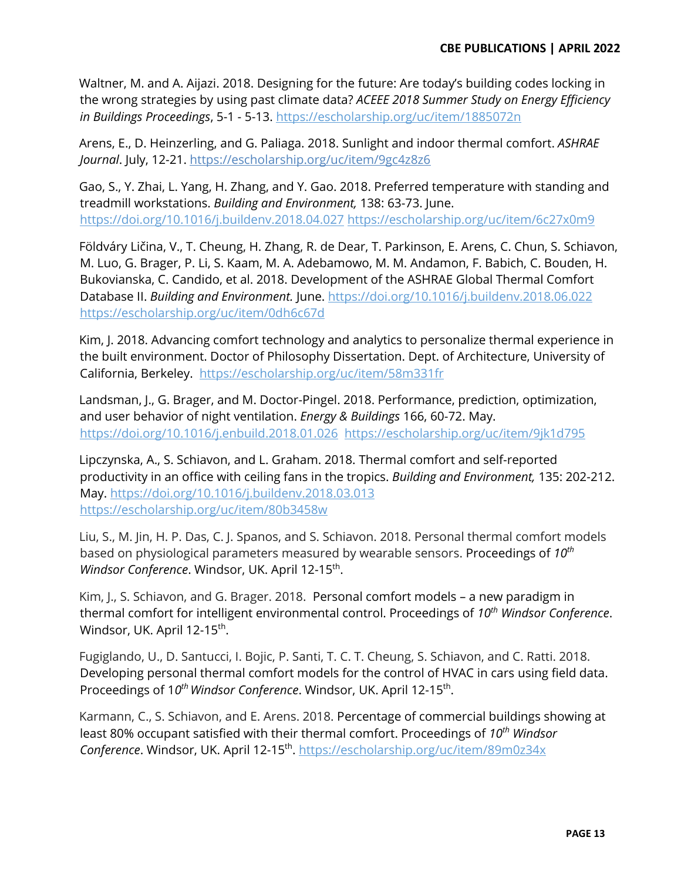Waltner, M. and A. Aijazi. 2018. Designing for the future: Are today's building codes locking in the wrong strategies by using past climate data? *ACEEE 2018 Summer Study on Energy Efficiency in Buildings Proceedings*, 5-1 - 5-13.<https://escholarship.org/uc/item/1885072n>

Arens, E., D. Heinzerling, and G. Paliaga. 2018. Sunlight and indoor thermal comfort. *ASHRAE Journal*. July, 12-21.<https://escholarship.org/uc/item/9gc4z8z6>

Gao, S., Y. Zhai, L. Yang, H. Zhang, and Y. Gao. 2018. Preferred temperature with standing and treadmill workstations. *Building and Environment,* 138: 63-73. June. <https://doi.org/10.1016/j.buildenv.2018.04.027> [https://escholarship.org/uc/item/6c27x0m9](http://escholarship.org/uc/item/6c27x0m9)

Földváry Ličina, V., T. Cheung, H. Zhang, R. de Dear, T. Parkinson, E. Arens, C. Chun, S. Schiavon, M. Luo, G. Brager, P. Li, S. Kaam, M. A. Adebamowo, M. M. Andamon, F. Babich, C. Bouden, H. Bukovianska, C. Candido, et al. 2018. Development of the ASHRAE Global Thermal Comfort Database II. *Building and Environment.* June.<https://doi.org/10.1016/j.buildenv.2018.06.022> [https://escholarship.org/uc/item/0dh6c67d](http://www.escholarship.org/uc/item/0dh6c67d)

Kim, J. 2018. Advancing comfort technology and analytics to personalize thermal experience in the built environment. Doctor of Philosophy Dissertation. Dept. of Architecture, University of California, Berkeley. <https://escholarship.org/uc/item/58m331fr>

Landsman, J., G. Brager, and M. Doctor-Pingel. 2018. Performance, prediction, optimization, and user behavior of night ventilation. *Energy & Buildings* 166, 60-72. May. https://doi.org/10.1016/j.enbuild.2018.01.026 [https://escholarship.org/uc/item/9jk1d795](http://www.escholarship.org/uc/item/9jk1d795)

Lipczynska, A., S. Schiavon, and L. Graham. 2018. Thermal comfort and self-reported productivity in an office with ceiling fans in the tropics. *Building and Environment,* 135: 202-212. May.<https://doi.org/10.1016/j.buildenv.2018.03.013> [https://escholarship.org/uc/item/80b3458w](http://www.escholarship.org/uc/item/80b3458w)

Liu, S., M. Jin, H. P. Das, C. J. Spanos, and S. Schiavon. 2018. Personal thermal comfort models based on physiological parameters measured by wearable sensors. Proceedings of *10th Windsor Conference*. Windsor, UK. April 12-15<sup>th</sup>.

Kim, J., S. Schiavon, and G. Brager. 2018. Personal comfort models – a new paradigm in thermal comfort for intelligent environmental control. Proceedings of *10th Windsor Conference*. Windsor, UK. April 12-15<sup>th</sup>.

Fugiglando, U., D. Santucci, I. Bojic, P. Santi, T. C. T. Cheung, S. Schiavon, and C. Ratti. 2018. Developing personal thermal comfort models for the control of HVAC in cars using field data. Proceedings of 1*0th Windsor Conference*. Windsor, UK. April 12-15th.

Karmann, C., S. Schiavon, and E. Arens. 2018. Percentage of commercial buildings showing at least 80% occupant satisfied with their thermal comfort. Proceedings of *10th Windsor Conference*. Windsor, UK. April 12-15th.<https://escholarship.org/uc/item/89m0z34x>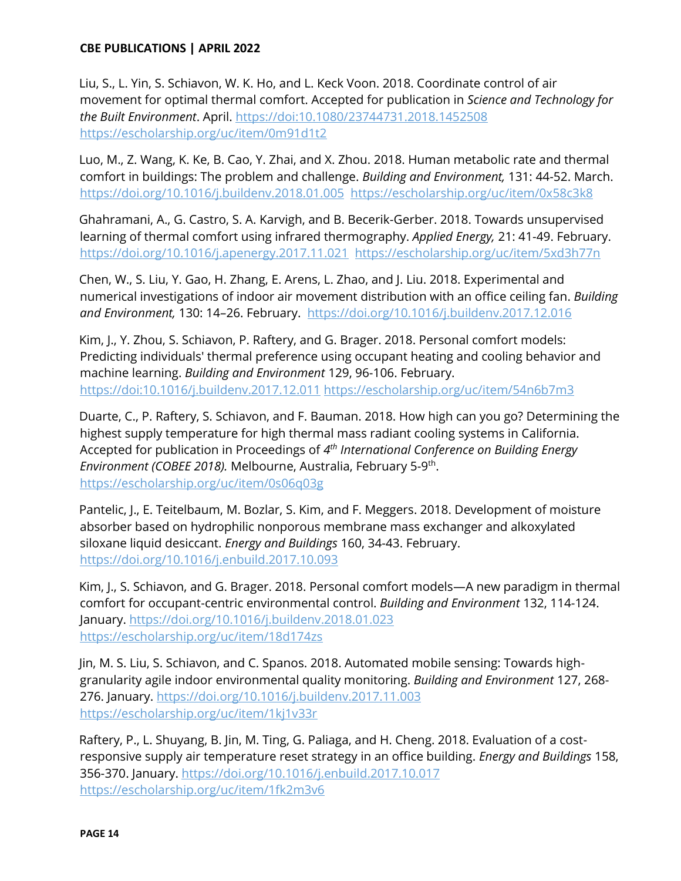Liu, S., L. Yin, S. Schiavon, W. K. Ho, and L. Keck Voon. 2018. Coordinate control of air movement for optimal thermal comfort. Accepted for publication in *Science and Technology for the Built Environment*. April. https://doi:10.1080/23744731.2018.1452508 [https://escholarship.org/uc/item/0m91d1t2](http://www.escholarship.org/uc/item/0m91d1t2)

Luo, M., Z. Wang, K. Ke, B. Cao, Y. Zhai, and X. Zhou. 2018. Human metabolic rate and thermal comfort in buildings: The problem and challenge. *Building and Environment,* 131: 44-52. March. <https://doi.org/10.1016/j.buildenv.2018.01.005>[https://escholarship.org/uc/item/0x58c3k8](http://escholarship.org/uc/item/0x58c3k8)

Ghahramani, A., G. Castro, S. A. Karvigh, and B. Becerik-Gerber. 2018. Towards unsupervised learning of thermal comfort using infrared thermography. *Applied Energy,* 21: 41-49. February. <https://doi.org/10.1016/j.apenergy.2017.11.021><https://escholarship.org/uc/item/5xd3h77n>

Chen, W., S. Liu, Y. Gao, H. Zhang, E. Arens, L. Zhao, and J. Liu. 2018. Experimental and numerical investigations of indoor air movement distribution with an office ceiling fan. *Building*  and Environment, 130: 14-26. February. https://doi.org/10.1016/j.buildenv.2017.12.016

Kim, J., Y. Zhou, S. Schiavon, P. Raftery, and G. Brager. 2018. Personal comfort models: Predicting individuals' thermal preference using occupant heating and cooling behavior and machine learning. *Building and Environment* 129, 96-106. February. https://doi:10.1016/j.buildenv.2017.12.011 [https://escholarship.org/uc/item/54n6b7m3](http://www.escholarship.org/uc/item/54n6b7m3)

Duarte, C., P. Raftery, S. Schiavon, and F. Bauman. 2018. How high can you go? Determining the highest supply temperature for high thermal mass radiant cooling systems in California. Accepted for publication in Proceedings of *4th International Conference on Building Energy Environment (COBEE 2018).* Melbourne, Australia, February 5-9th. [https://escholarship.org/uc/item/0s06q03g](http://www.escholarship.org/uc/item/0s06q03g)

Pantelic, J., E. Teitelbaum, M. Bozlar, S. Kim, and F. Meggers. 2018. Development of moisture absorber based on hydrophilic nonporous membrane mass exchanger and alkoxylated siloxane liquid desiccant. *Energy and Buildings* 160, 34-43. February. <https://doi.org/10.1016/j.enbuild.2017.10.093>

Kim, J., S. Schiavon, and G. Brager. 2018. Personal comfort models—A new paradigm in thermal comfort for occupant-centric environmental control. *Building and Environment* 132, 114-124. January.<https://doi.org/10.1016/j.buildenv.2018.01.023> [https://escholarship.org/uc/item/18d174zs](http://www.escholarship.org/uc/item/18d174zs)

Jin, M. S. Liu, S. Schiavon, and C. Spanos. 2018. Automated mobile sensing: Towards highgranularity agile indoor environmental quality monitoring. *Building and Environment* 127, 268- 276. January.<https://doi.org/10.1016/j.buildenv.2017.11.003> [https://escholarship.org/uc/item/1kj1v33r](http://www.escholarship.org/uc/item/1kj1v33r)

Raftery, P., L. Shuyang, B. Jin, M. Ting, G. Paliaga, and H. Cheng. 2018. Evaluation of a costresponsive supply air temperature reset strategy in an office building. *Energy and Buildings* 158, 356-370. January.<https://doi.org/10.1016/j.enbuild.2017.10.017> [https://escholarship.org/uc/item/1fk2m3v6](http://www.escholarship.org/uc/item/1fk2m3v6)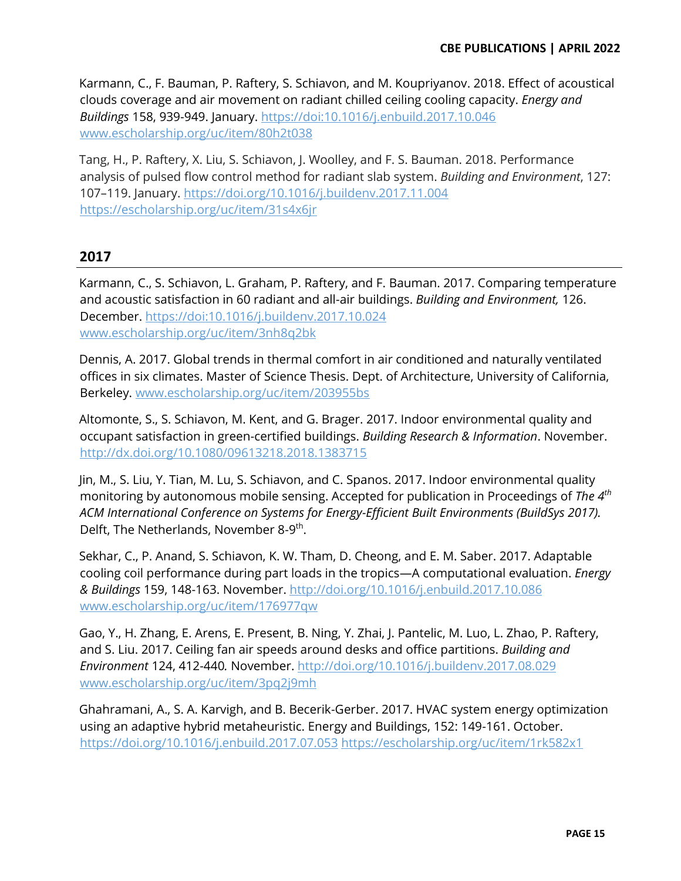Karmann, C., F. Bauman, P. Raftery, S. Schiavon, and M. Koupriyanov. 2018. Effect of acoustical clouds coverage and air movement on radiant chilled ceiling cooling capacity. *Energy and Buildings* 158, 939-949. January. https://doi:10.1016/j.enbuild.2017.10.046 [www.escholarship.org/uc/item/80h2t038](http://www.escholarship.org/uc/item/80h2t038)

Tang, H., P. Raftery, X. Liu, S. Schiavon, J. Woolley, and F. S. Bauman. 2018. Performance analysis of pulsed flow control method for radiant slab system. *Building and Environment*, 127: 107-119. January. https://doi.org/10.1016/j.buildenv.2017.11.004 <https://escholarship.org/uc/item/31s4x6jr>

# **2017**

Karmann, C., S. Schiavon, L. Graham, P. Raftery, and F. Bauman. 2017. Comparing temperature and acoustic satisfaction in 60 radiant and all-air buildings. *Building and Environment,* 126. December. https://doi:10.1016/j.buildenv.2017.10.024 [www.escholarship.org/uc/item/3nh8q2bk](http://www.escholarship.org/uc/item/3nh8q2bk)

Dennis, A. 2017. Global trends in thermal comfort in air conditioned and naturally ventilated offices in six climates. Master of Science Thesis. Dept. of Architecture, University of California, Berkeley. [www.escholarship.org/uc/item/203955bs](http://www.escholarship.org/uc/item/203955bs)

Altomonte, S., S. Schiavon, M. Kent, and G. Brager. 2017. Indoor environmental quality and occupant satisfaction in green-certified buildings. *Building Research & Information*. November. <http://dx.doi.org/10.1080/09613218.2018.1383715>

Jin, M., S. Liu, Y. Tian, M. Lu, S. Schiavon, and C. Spanos. 2017. Indoor environmental quality monitoring by autonomous mobile sensing. Accepted for publication in Proceedings of *The 4th ACM International Conference on Systems for Energy-Efficient Built Environments (BuildSys 2017).*  Delft, The Netherlands, November 8-9<sup>th</sup>.

Sekhar, C., P. Anand, S. Schiavon, K. W. Tham, D. Cheong, and E. M. Saber. 2017. Adaptable cooling coil performance during part loads in the tropics-A computational evaluation. *Energy & Buildings* 159, 148-163. November.<http://doi.org/10.1016/j.enbuild.2017.10.086> [www.escholarship.org/uc/item/176977qw](http://www.escholarship.org/uc/item/176977qw)

Gao, Y., H. Zhang, E. Arens, E. Present, B. Ning, Y. Zhai, J. Pantelic, M. Luo, L. Zhao, P. Raftery, and S. Liu. 2017. Ceiling fan air speeds around desks and office partitions. *Building and Environment* 124, 412-440*.* November.<http://doi.org/10.1016/j.buildenv.2017.08.029> [www.escholarship.org/uc/item/3pq2j9mh](http://www.escholarship.org/uc/item/3pq2j9mh)

Ghahramani, A., S. A. Karvigh, and B. Becerik-Gerber. 2017. HVAC system energy optimization using an adaptive hybrid metaheuristic. Energy and Buildings, 152: 149-161. October. <https://doi.org/10.1016/j.enbuild.2017.07.053> <https://escholarship.org/uc/item/1rk582x1>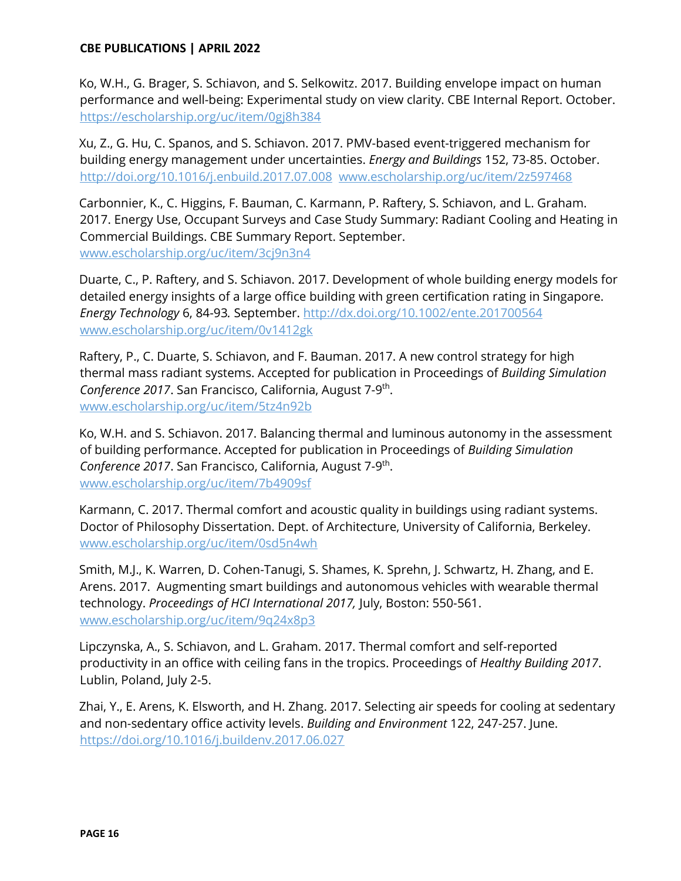Ko, W.H., G. Brager, S. Schiavon, and S. Selkowitz. 2017. Building envelope impact on human performance and well-being: Experimental study on view clarity. CBE Internal Report. October. <https://escholarship.org/uc/item/0gj8h384>

Xu, Z., G. Hu, C. Spanos, and S. Schiavon. 2017. PMV-based event-triggered mechanism for building energy management under uncertainties. *Energy and Buildings* 152, 73-85. October. <http://doi.org/10.1016/j.enbuild.2017.07.008>[www.escholarship.org/uc/item/2z597468](http://www.escholarship.org/uc/item/2z597468)

Carbonnier, K., C. Higgins, F. Bauman, C. Karmann, P. Raftery, S. Schiavon, and L. Graham. 2017. Energy Use, Occupant Surveys and Case Study Summary: Radiant Cooling and Heating in Commercial Buildings. CBE Summary Report. September. www.escholarship.org/uc/item/3cj9n3n4

Duarte, C., P. Raftery, and S. Schiavon. 2017. Development of whole building energy models for detailed energy insights of a large office building with green certification rating in Singapore. *Energy Technology* 6, 84-93*.* September. http://dx.doi.org/10.1002/ente.201700564 [www.escholarship.org/uc/item/0v1412gk](http://www.escholarship.org/uc/item/0v1412gk)

Raftery, P., C. Duarte, S. Schiavon, and F. Bauman. 2017. A new control strategy for high thermal mass radiant systems. Accepted for publication in Proceedings of *Building Simulation Conference 2017*. San Francisco, California, August 7-9th. www.escholarship.org/uc/item/5tz4n92b

Ko, W.H. and S. Schiavon. 2017. Balancing thermal and luminous autonomy in the assessment of building performance. Accepted for publication in Proceedings of *Building Simulation Conference 2017*. San Francisco, California, August 7-9th. [www.escholarship.org/uc/item/7b4909sf](http://www.escholarship.org/uc/item/7b4909sf)

Karmann, C. 2017. Thermal comfort and acoustic quality in buildings using radiant systems. Doctor of Philosophy Dissertation. Dept. of Architecture, University of California, Berkeley. [www.escholarship.org/uc/item/0sd5n4wh](http://www.escholarship.org/uc/item/0sd5n4wh)

Smith, M.J., K. Warren, D. Cohen-Tanugi, S. Shames, K. Sprehn, J. Schwartz, H. Zhang, and E. Arens. 2017. Augmenting smart buildings and autonomous vehicles with wearable thermal technology. *Proceedings of HCI International 2017,* July, Boston: 550-561. www.escholarship.org/uc/item/9q24x8p3

Lipczynska, A., S. Schiavon, and L. Graham. 2017. Thermal comfort and self-reported productivity in an office with ceiling fans in the tropics. Proceedings of *Healthy Building 2017*. Lublin, Poland, July 2-5.

Zhai, Y., E. Arens, K. Elsworth, and H. Zhang. 2017. Selecting air speeds for cooling at sedentary and non-sedentary office activity levels. *Building and Environment* 122, 247-257. June. <https://doi.org/10.1016/j.buildenv.2017.06.027>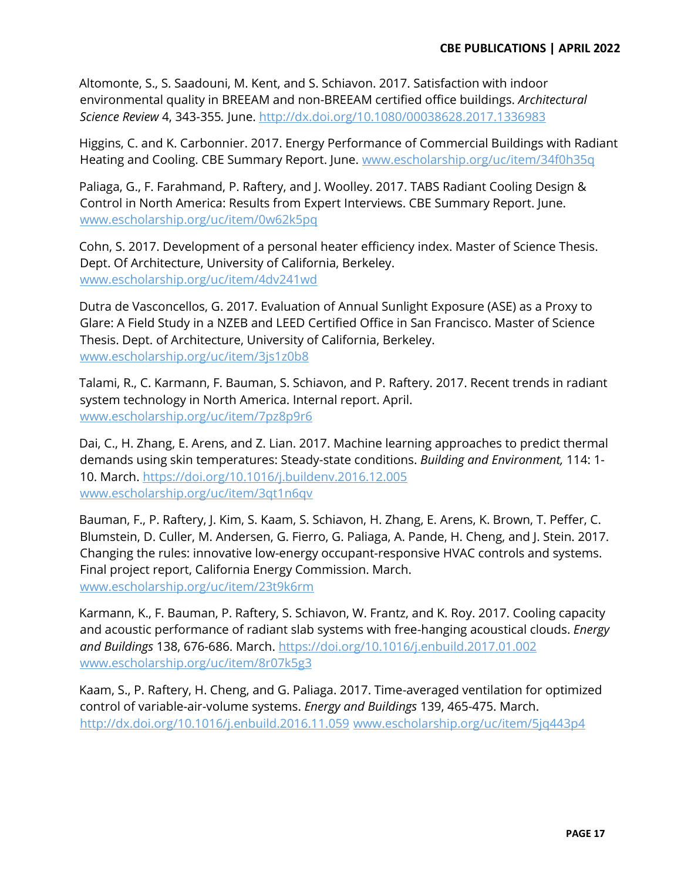Altomonte, S., S. Saadouni, M. Kent, and S. Schiavon. 2017. Satisfaction with indoor environmental quality in BREEAM and non-BREEAM certified office buildings. *Architectural Science Review* 4, 343-355*.* June. http://dx.doi.org/10.1080/00038628.2017.1336983

Higgins, C. and K. Carbonnier. 2017. Energy Performance of Commercial Buildings with Radiant Heating and Cooling. CBE Summary Report. June. [www.escholarship.org/uc/item/34f0h35q](http://www.escholarship.org/uc/item/34f0h35q)

Paliaga, G., F. Farahmand, P. Raftery, and J. Woolley. 2017. TABS Radiant Cooling Design & Control in North America: Results from Expert Interviews. CBE Summary Report. June. [www.escholarship.org/uc/item/0w62k5pq](http://www.escholarship.org/uc/item/0w62k5pq)

Cohn, S. 2017. Development of a personal heater efficiency index. Master of Science Thesis. Dept. Of Architecture, University of California, Berkeley. [www.escholarship.org/uc/item/4dv241wd](http://www.escholarship.org/uc/item/4dv241wd)

Dutra de Vasconcellos, G. 2017. Evaluation of Annual Sunlight Exposure (ASE) as a Proxy to Glare: A Field Study in a NZEB and LEED Certified Office in San Francisco. Master of Science Thesis. Dept. of Architecture, University of California, Berkeley. www.escholarship.org/uc/item/3js1z0b8

Talami, R., C. Karmann, F. Bauman, S. Schiavon, and P. Raftery. 2017. Recent trends in radiant system technology in North America. Internal report. April. www.escholarship.org/uc/item/7pz8p9r6

Dai, C., H. Zhang, E. Arens, and Z. Lian. 2017. Machine learning approaches to predict thermal demands using skin temperatures: Steady-state conditions. *Building and Environment,* 114: 1- 10. March.<https://doi.org/10.1016/j.buildenv.2016.12.005> [www.escholarship.org/uc/item/3qt1n6qv](http://www.escholarship.org/uc/item/3qt1n6qv)

Bauman, F., P. Raftery, J. Kim, S. Kaam, S. Schiavon, H. Zhang, E. Arens, K. Brown, T. Peffer, C. Blumstein, D. Culler, M. Andersen, G. Fierro, G. Paliaga, A. Pande, H. Cheng, and J. Stein. 2017. Changing the rules: innovative low-energy occupant-responsive HVAC controls and systems. Final project report, California Energy Commission. March. [www.escholarship.org/uc/item/23t9k6rm](http://www.escholarship.org/uc/item/23t9k6rm) 

Karmann, K., F. Bauman, P. Raftery, S. Schiavon, W. Frantz, and K. Roy. 2017. Cooling capacity and acoustic performance of radiant slab systems with free-hanging acoustical clouds. *Energy and Buildings* 138, 676-686. March. <https://doi.org/10.1016/j.enbuild.2017.01.002> [www.escholarship.org/uc/item/8r07k5g3](http://www.escholarship.org/uc/item/8r07k5g3)

Kaam, S., P. Raftery, H. Cheng, and G. Paliaga. 2017. Time-averaged ventilation for optimized control of variable-air-volume systems. *Energy and Buildings* 139, 465-475. March. <http://dx.doi.org/10.1016/j.enbuild.2016.11.059> [www.escholarship.org/uc/item/5jq443p4](http://www.escholarship.org/uc/item/5jq443p4)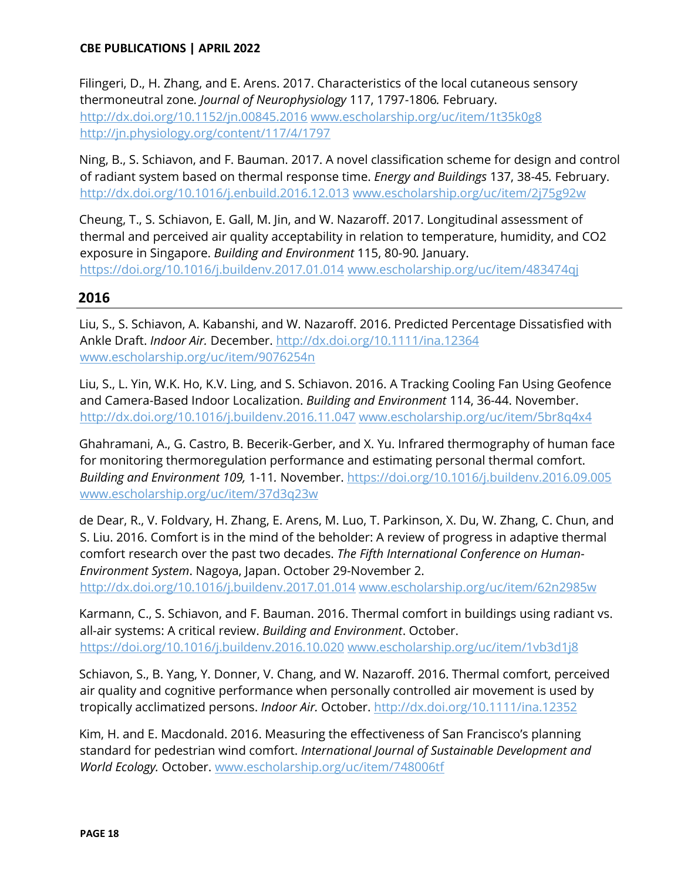[Filingeri,](http://orcid.org/0000-0001-5652-395X) D., H. Zhang, and E. Arens. 2017. Characteristics of the local cutaneous sensory thermoneutral zone*. Journal of Neurophysiology* 117, 1797-1806*.* February. <http://dx.doi.org/10.1152/jn.00845.2016> [www.escholarship.org/uc/item/1t35k0g8](http://www.escholarship.org/uc/item/1t35k0g8) <http://jn.physiology.org/content/117/4/1797>

Ning, B., S. Schiavon, and F. Bauman. 2017. A novel classification scheme for design and control of radiant system based on thermal response time. *Energy and Buildings* 137, 38-45*.* February. <http://dx.doi.org/10.1016/j.enbuild.2016.12.013> [www.escholarship.org/uc/item/2j75g92w](http://www.escholarship.org/uc/item/2j75g92w)

Cheung, T., S. Schiavon, E. Gall, M. Jin, and W. Nazaroff. 2017. Longitudinal assessment of thermal and perceived air quality acceptability in relation to temperature, humidity, and CO2 exposure in Singapore. *Building and Environment* 115, 80-90*.* January. <https://doi.org/10.1016/j.buildenv.2017.01.014> www.escholarship.org/uc/item/483474qj

# **2016**

Liu, S., S. Schiavon, A. Kabanshi, and W. Nazaroff. 2016. Predicted Percentage Dissatisfied with Ankle Draft. *Indoor Air.* December.<http://dx.doi.org/10.1111/ina.12364> [www.escholarship.org/uc/item/9076254n](http://www.escholarship.org/uc/item/9076254n)

Liu, S., L. Yin, W.K. Ho, K.V. Ling, and S. Schiavon. 2016. A Tracking Cooling Fan Using Geofence and Camera-Based Indoor Localization. *Building and Environment* 114, 36-44. November. http://dx.doi.org/10.1016/j.buildenv.2016.11.047 [www.escholarship.org/uc/item/5br8q4x4](http://www.escholarship.org/uc/item/5br8q4x4) 

Ghahramani, A., G. Castro, B. Becerik-Gerber, and X. Yu. Infrared thermography of human face for monitoring thermoregulation performance and estimating personal thermal comfort. *Building and Environment 109,* 1-11*.* November. https://doi.org/10.1016/j.buildenv.2016.09.005 www.escholarship.org/uc/item/37d3q23w

de Dear, R., V. Foldvary, H. Zhang, E. Arens, M. Luo, T. Parkinson, X. Du, W. Zhang, C. Chun, and S. Liu. 2016. Comfort is in the mind of the beholder: A review of progress in adaptive thermal comfort research over the past two decades. *The Fifth International Conference on Human-Environment System*. Nagoya, Japan. October 29-November 2. <http://dx.doi.org/10.1016/j.buildenv.2017.01.014> www.escholarship.org/uc/item/62n2985w

Karmann, C., S. Schiavon, and F. Bauman. 2016. Thermal comfort in buildings using radiant vs. all-air systems: A critical review. *Building and Environment*. October. <https://doi.org/10.1016/j.buildenv.2016.10.020> www.escholarship.org/uc/item/1vb3d1j8

Schiavon, S., B. Yang, Y. Donner, V. Chang, and W. Nazaroff. 2016. Thermal comfort, perceived air quality and cognitive performance when personally controlled air movement is used by tropically acclimatized persons. *Indoor Air.* October.<http://dx.doi.org/10.1111/ina.12352>

Kim, H. and E. Macdonald. 2016. Measuring the effectiveness of San Francisco's planning standard for pedestrian wind comfort. *International Journal of Sustainable Development and World Ecology.* October. www.escholarship.org/uc/item/748006tf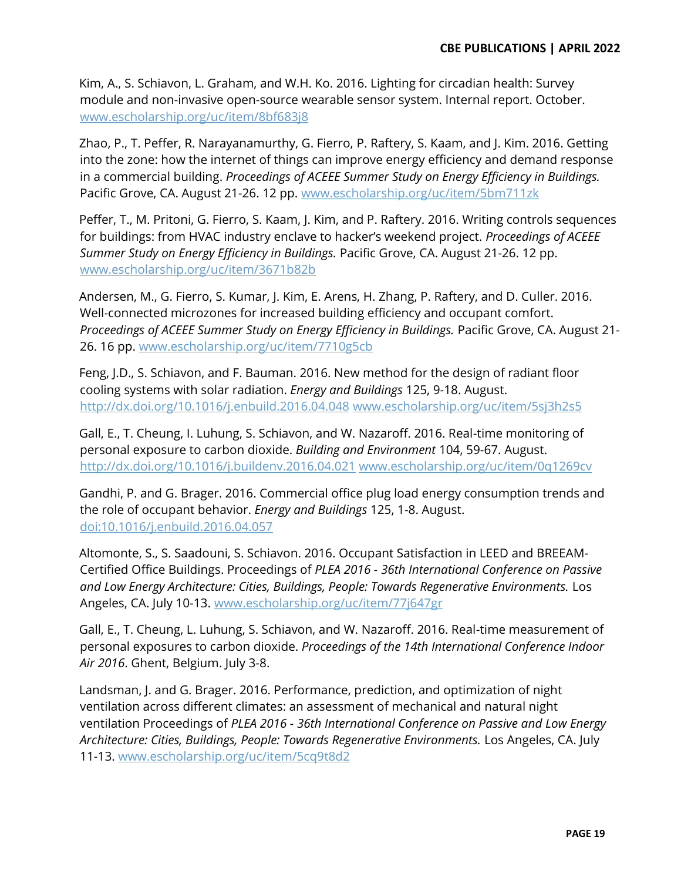Kim, A., S. Schiavon, L. Graham, and W.H. Ko. 2016. Lighting for circadian health: Survey module and non-invasive open-source wearable sensor system. Internal report. October. www.escholarship.org/uc/item/8bf683j8

Zhao, P., T. Peffer, R. Narayanamurthy, G. Fierro, P. Raftery, S. Kaam, and J. Kim. 2016. Getting into the zone: how the internet of things can improve energy efficiency and demand response in a commercial building. *Proceedings of ACEEE Summer Study on Energy Efficiency in Buildings.* Pacific Grove, CA. August 21-26. 12 pp. www.escholarship.org/uc/item/5bm711zk

Peffer, T., M. Pritoni, G. Fierro, S. Kaam, J. Kim, and P. Raftery. 2016. Writing controls sequences for buildings: from HVAC industry enclave to hacker's weekend project. Proceedings of ACEEE *Summer Study on Energy Efficiency in Buildings.* Pacific Grove, CA. August 21-26. 12 pp. www.escholarship.org/uc/item/3671b82b

Andersen, M., G. Fierro, S. Kumar, J. Kim, E. Arens, H. Zhang, P. Raftery, and D. Culler. 2016. Well-connected microzones for increased building efficiency and occupant comfort. *Proceedings of ACEEE Summer Study on Energy Efficiency in Buildings.* Pacific Grove, CA. August 21- 26. 16 pp. www.escholarship.org/uc/item/7710g5cb

Feng, J.D., S. Schiavon, and F. Bauman. 2016. New method for the design of radiant floor cooling systems with solar radiation. *Energy and Buildings* 125, 9-18. August. http://dx.doi.org/10.1016/j.enbuild.2016.04.048 [www.escholarship.org/uc/item/5sj3h2s5](http://www.escholarship.org/uc/item/5sj3h2s5)

Gall, E., T. Cheung, I. Luhung, S. Schiavon, and W. Nazaroff. 2016. Real-time monitoring of personal exposure to carbon dioxide. *Building and Environment* 104, 59-67. August. <http://dx.doi.org/10.1016/j.buildenv.2016.04.021> [www.escholarship.org/uc/item/0q1269cv](http://www.escholarship.org/uc/item/0q1269cv)

Gandhi, P. and G. Brager. 2016. Commercial office plug load energy consumption trends and the role of occupant behavior. *Energy and Buildings* 125, 1-8. August. [doi:10.1016/j.enbuild.2016.04.057](http://dx.doi.org/10.1016/j.enbuild.2016.04.057)

Altomonte, S., S. Saadouni, S. Schiavon. 2016. Occupant Satisfaction in LEED and BREEAM-Certified Office Buildings. Proceedings of *PLEA 2016 - 36th International Conference on Passive and Low Energy Architecture: Cities, Buildings, People: Towards Regenerative Environments.* Los Angeles, CA. July 10-13. [www.escholarship.org/uc/item/77j647gr](http://www.escholarship.org/uc/item/77j647gr)

Gall, E., T. Cheung, L. Luhung, S. Schiavon, and W. Nazaroff. 2016. Real-time measurement of personal exposures to carbon dioxide. *Proceedings of the 14th International Conference Indoor Air 2016*. Ghent, Belgium. July 3-8.

Landsman, J. and G. Brager. 2016. Performance, prediction, and optimization of night ventilation across different climates: an assessment of mechanical and natural night ventilation Proceedings of *PLEA 2016 - 36th International Conference on Passive and Low Energy Architecture: Cities, Buildings, People: Towards Regenerative Environments.* Los Angeles, CA. July 11-13. www.escholarship.org/uc/item/5cq9t8d2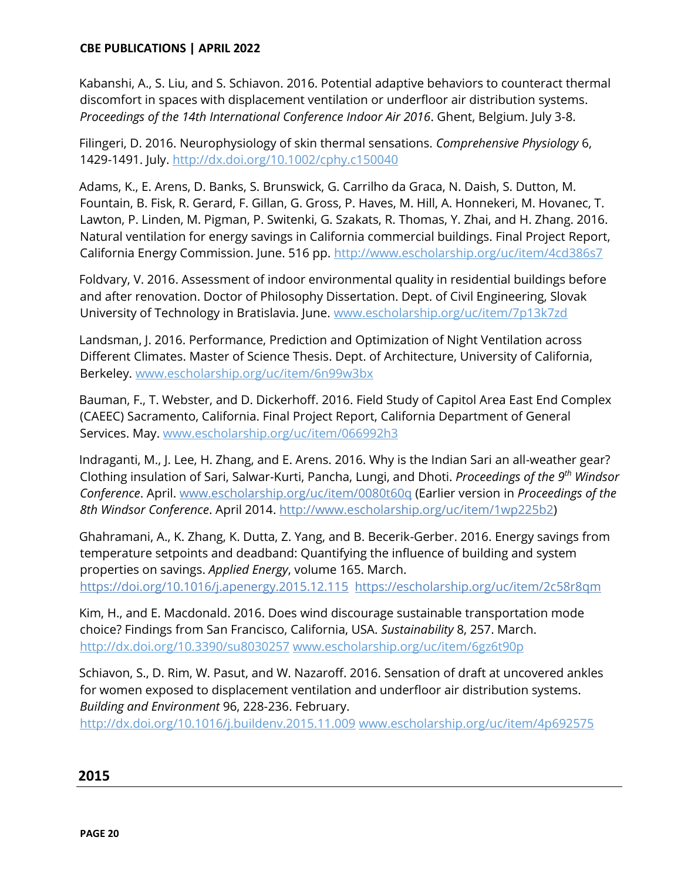Kabanshi, A., S. Liu, and S. Schiavon. 2016. Potential adaptive behaviors to counteract thermal discomfort in spaces with displacement ventilation or underfloor air distribution systems. *Proceedings of the 14th International Conference Indoor Air 2016*. Ghent, Belgium. July 3-8.

Filingeri, D. 2016. Neurophysiology of skin thermal sensations. *Comprehensive Physiology* 6, 1429-1491. July.<http://dx.doi.org/10.1002/cphy.c150040>

Adams, K., E. Arens, D. Banks, S. Brunswick, G. Carrilho da Graca, N. Daish, S. Dutton, M. Fountain, B. Fisk, R. Gerard, F. Gillan, G. Gross, P. Haves, M. Hill, A. Honnekeri, M. Hovanec, T. Lawton, P. Linden, M. Pigman, P. Switenki, G. Szakats, R. Thomas, Y. Zhai, and H. Zhang. 2016. Natural ventilation for energy savings in California commercial buildings. Final Project Report, California Energy Commission. June. 516 pp.<http://www.escholarship.org/uc/item/4cd386s7>

Foldvary, V. 2016. Assessment of indoor environmental quality in residential buildings before and after renovation. Doctor of Philosophy Dissertation. Dept. of Civil Engineering, Slovak University of Technology in Bratislavia. June. [www.escholarship.org/uc/item/7p13k7zd](http://www.escholarship.org/uc/item/7p13k7zd)

Landsman, J. 2016. Performance, Prediction and Optimization of Night Ventilation across Different Climates. Master of Science Thesis. Dept. of Architecture, University of California, Berkeley. [www.escholarship.org/uc/item/6n99w3bx](http://www.escholarship.org/uc/item/6n99w3bx)

Bauman, F., T. Webster, and D. Dickerhoff. 2016. Field Study of Capitol Area East End Complex (CAEEC) Sacramento, California. Final Project Report, California Department of General Services. May. www.escholarship.org/uc/item/066992h3

Indraganti, M., J. Lee, H. Zhang, and E. Arens. 2016. Why is the Indian Sari an all-weather gear? Clothing insulation of Sari, Salwar-Kurti, Pancha, Lungi, and Dhoti. *Proceedings of the 9th Windsor Conference*. April. [www.escholarship.org/uc/item/0080t60q](http://www.escholarship.org/uc/item/0080t60q) (Earlier version in *Proceedings of the 8th Windsor Conference*. April 2014. [http://www.escholarship.org/uc/item/1wp225b2\)](http://www.escholarship.org/uc/item/1wp225b2)

Ghahramani, A., K. Zhang, K. Dutta, Z. Yang, and B. Becerik-Gerber. 2016. Energy savings from temperature setpoints and deadband: Quantifying the influence of building and system properties on savings. *Applied Energy*, volume 165. March. <https://doi.org/10.1016/j.apenergy.2015.12.115><https://escholarship.org/uc/item/2c58r8qm>

Kim, H., and E. Macdonald. 2016. Does wind discourage sustainable transportation mode choice? Findings from San Francisco, California, USA. *Sustainability* 8, 257. March. <http://dx.doi.org/10.3390/su8030257> [www.escholarship.org/uc/item/6gz6t90p](http://www.escholarship.org/uc/item/6gz6t90p)

Schiavon, S., D. Rim, W. Pasut, and W. Nazaroff. 2016. Sensation of draft at uncovered ankles for women exposed to displacement ventilation and underfloor air distribution systems. *Building and Environment* 96, 228-236. February.

<http://dx.doi.org/10.1016/j.buildenv.2015.11.009> [www.escholarship.org/uc/item/4p692575](http://www.escholarship.org/uc/item/4p692575)

#### **2015**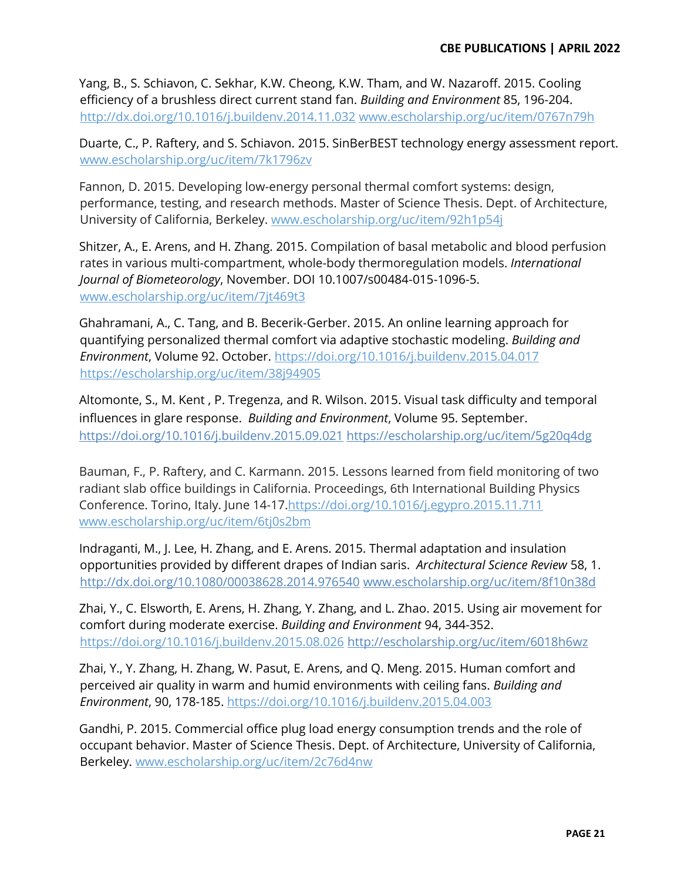Yang, B., S. Schiavon, C. Sekhar, K.W. Cheong, K.W. Tham, and W. Nazaroff. 2015. Cooling efficiency of a brushless direct current stand fan. *Building and Environment* 85, 196-204. <http://dx.doi.org/10.1016/j.buildenv.2014.11.032> www.escholarship.org/uc/item/0767n79h

Duarte, C., P. Raftery, and S. Schiavon. 2015. SinBerBEST technology energy assessment report. [www.escholarship.org/uc/item/7k1796zv](http://www.escholarship.org/uc/item/7k1796zv)

Fannon, D. 2015. Developing low-energy personal thermal comfort systems: design, performance, testing, and research methods. Master of Science Thesis. Dept. of Architecture, University of California, Berkeley. [www.escholarship.org/uc/item/92h1p54j](http://www.escholarship.org/uc/item/92h1p54j)

Shitzer, A., E. Arens, and H. Zhang. 2015. Compilation of basal metabolic and blood perfusion rates in various multi-compartment, whole-body thermoregulation models. *International Journal of Biometeorology*, November. DOI 10.1007/s00484-015-1096-5. [www.escholarship.org/uc/item/7jt469t3](http://www.escholarship.org/uc/item/7jt469t3)

Ghahramani, A., C. Tang, and B. Becerik-Gerber. 2015. An online learning approach for quantifying personalized thermal comfort via adaptive stochastic modeling. *Building and Environment*, Volume 92. October.<https://doi.org/10.1016/j.buildenv.2015.04.017> <https://escholarship.org/uc/item/38j94905>

Altomonte, S., M. Kent , P. Tregenza, and R. Wilson. 2015. Visual task difficulty and temporal influences in glare response. *Building and Environment*, Volume 95. September. <https://doi.org/10.1016/j.buildenv.2015.09.021> <https://escholarship.org/uc/item/5g20q4dg>

Bauman, F., P. Raftery, and C. Karmann. 2015. Lessons learned from field monitoring of two radiant slab office buildings in California. Proceedings, 6th International Building Physics Conference. Torino, Italy. June 14-17[.https://doi.org/10.1016/j.egypro.2015.11.711](https://doi.org/10.1016/j.egypro.2015.11.711) [www.escholarship.org/uc/item/6tj0s2bm](http://www.escholarship.org/uc/item/6tj0s2bm)

Indraganti, M., J. Lee, H. Zhang, and E. Arens. 2015. Thermal adaptation and insulation opportunities provided by different drapes of Indian saris. *Architectural Science Review* 58, 1. <http://dx.doi.org/10.1080/00038628.2014.976540> [www.escholarship.org/uc/item/8f10n38d](http://www.escholarship.org/uc/item/8f10n38d)

Zhai, Y., C. Elsworth, E. Arens, H. Zhang, Y. Zhang, and L. Zhao. 2015. Using air movement for comfort during moderate exercise. *Building and Environment* 94, 344-352. <https://doi.org/10.1016/j.buildenv.2015.08.026> http://escholarship.org/uc/item/6018h6wz

Zhai, Y., Y. Zhang, H. Zhang, W. Pasut, E. Arens, and Q. Meng. 2015. Human comfort and perceived air quality in warm and humid environments with ceiling fans. *Building and Environment*, 90, 178-185. https://doi.org/10.1016/j.buildenv.2015.04.003

Gandhi, P. 2015. Commercial office plug load energy consumption trends and the role of occupant behavior. Master of Science Thesis. Dept. of Architecture, University of California, Berkeley. [www.escholarship.org/uc/item/2c76d4nw](http://www.escholarship.org/uc/item/2c76d4nw)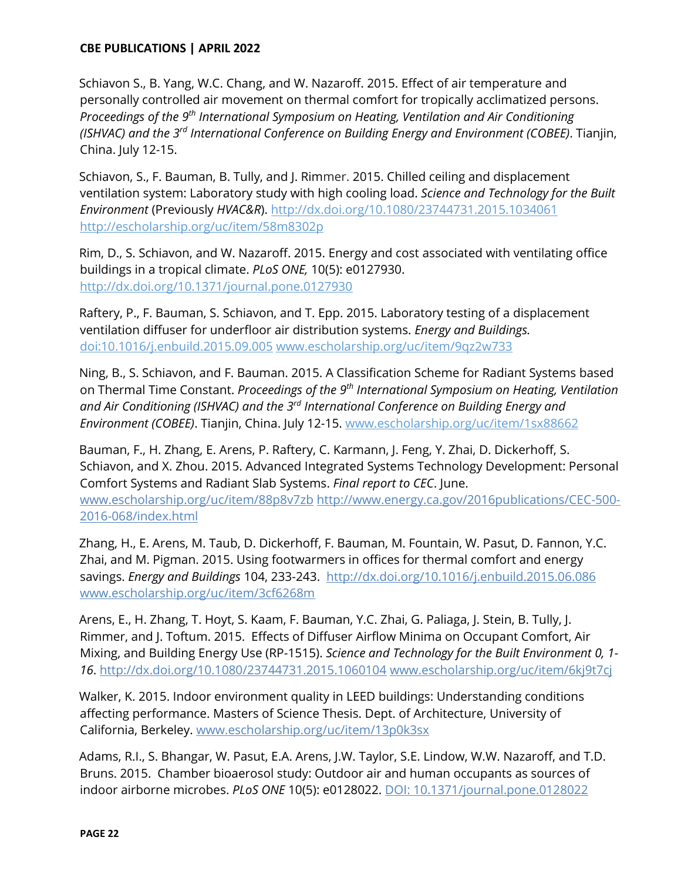Schiavon S., B. Yang, W.C. Chang, and W. Nazaroff. 2015. Effect of air temperature and personally controlled air movement on thermal comfort for tropically acclimatized persons. *Proceedings of the 9th International Symposium on Heating, Ventilation and Air Conditioning (ISHVAC) and the 3rd International Conference on Building Energy and Environment (COBEE)*. Tianjin, China. July 12-15.

Schiavon, S., F. Bauman, B. Tully, and J. Rimmer. 2015. Chilled ceiling and displacement ventilation system: Laboratory study with high cooling load. *Science and Technology for the Built Environment* (Previously *HVAC&R*).<http://dx.doi.org/10.1080/23744731.2015.1034061> <http://escholarship.org/uc/item/58m8302p>

[Rim, D., S. Schiavon, and W. Nazaroff. 2015. Energy and cost](https://escholarship.org/uc/item/6018h6wz) associated with ventilating office buildings in a tropical climate. *PLoS ONE,* 10(5): e0127930. <http://dx.doi.org/10.1371/journal.pone.0127930>

Raftery, P., F. Bauman, S. Schiavon, and T. Epp. 2015. Laboratory testing of a displacement ventilation diffuser for underfloor air distribution systems. *Energy and Buildings.*  doi:10.1016/j.enbuild.2015.09.005 [www.escholarship.org/uc/item/9qz2w733](http://www.escholarship.org/uc/item/9qz2w733)

Ning, B., S. Schiavon, and F. Bauman. 2015. A Classification Scheme for Radiant Systems based on Thermal Time Constant. *Proceedings of the 9th International Symposium on Heating, Ventilation and Air Conditioning (ISHVAC) and the 3rd International Conference on Building Energy and Environment (COBEE)*. Tianjin, China. July 12-15. [www.escholarship.org/uc/item/1sx88662](http://www.escholarship.org/uc/item/1sx88662)

Bauman, F., H. Zhang, E. Arens, P. Raftery, C. Karmann, J. Feng, Y. Zhai, D. Dickerhoff, S. Schiavon, and X. Zhou. 2015. Advanced Integrated Systems Technology Development: Personal Comfort Systems and Radiant Slab Systems. *Final report to CEC*. June. www.escholarship.org/uc/item/88p8v7zb [http://www.energy.ca.gov/2016publications/CEC-500-](http://www.energy.ca.gov/2016publications/CEC-500-2016-068/index.html) [2016-068/index.html](http://www.energy.ca.gov/2016publications/CEC-500-2016-068/index.html)

Zhang, H., E. Arens, M. Taub, D. Dickerhoff, F. Bauman, M. Fountain, W. Pasut, D. Fannon, Y.C. Zhai, and M. Pigman. 2015. Using footwarmers in offices for thermal comfort and energy savings. *Energy and Buildings* 104, 233-243. <http://dx.doi.org/10.1016/j.enbuild.2015.06.086> [www.escholarship.org/uc/item/3cf6268m](http://www.escholarship.org/uc/item/3cf6268m)

Arens, E., H. Zhang, T. Hoyt, S. Kaam, F. Bauman, Y.C. Zhai, G. Paliaga, J. Stein, B. Tully, J. Rimmer, and J. Toftum. 2015. Effects of Diffuser Airflow Minima on Occupant Comfort, Air Mixing, and Building Energy Use (RP-1515). *Science and Technology for the Built Environment 0, 1- 16*.<http://dx.doi.org/10.1080/23744731.2015.1060104> [www.escholarship.org/uc/item/6kj9t7cj](http://www.escholarship.org/uc/item/6kj9t7cj)

Walker, K. 2015. Indoor environment quality in LEED buildings: Understanding conditions affecting performance. Masters of Science Thesis. Dept. of Architecture, University of California, Berkeley. [www.escholarship.org/uc/item/13p0k3sx](http://www.escholarship.org/uc/item/13p0k3sx)

Adams, R.I., S. Bhangar, W. Pasut, E.A. Arens, J.W. Taylor, S.E. Lindow, W.W. Nazaroff, and T.D. Bruns. 2015. Chamber bioaerosol study: Outdoor air and human occupants as sources of indoor airborne microbes. *PLoS ONE* 10(5): e0128022. DOI: 10.1371/journal.pone.0128022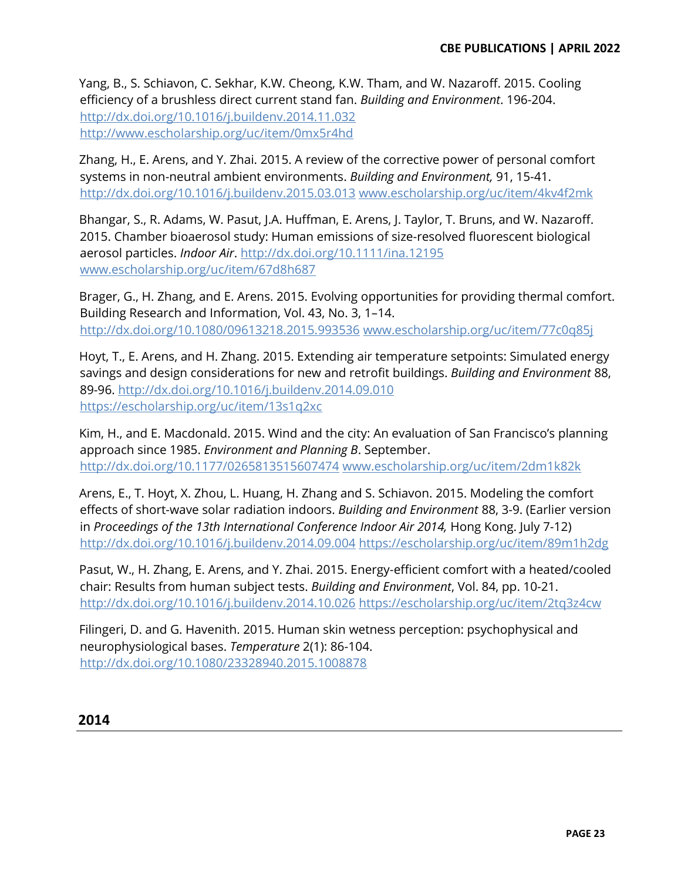Yang, B., S. Schiavon, C. Sekhar, K.W. Cheong, K.W. Tham, and W. Nazaroff. 2015. Cooling efficiency of a brushless direct current stand fan. *Building and Environment*. 196-204. <http://dx.doi.org/10.1016/j.buildenv.2014.11.032> <http://www.escholarship.org/uc/item/0mx5r4hd>

Zhang, H., E. Arens, and Y. Zhai. 2015. A review of the corrective power of personal comfort systems in non-neutral ambient environments. *Building and Environment,* 91, 15-41. <http://dx.doi.org/10.1016/j.buildenv.2015.03.013> [www.escholarship.org/uc/item/4kv4f2mk](http://www.escholarship.org/uc/item/4kv4f2mk)

Bhangar, S., R. Adams, W. Pasut, J.A. Huffman, E. Arens, J. Taylor, T. Bruns, and W. Nazaroff. 2015. Chamber bioaerosol study: Human emissions of size-resolved fluorescent biological aerosol particles. *Indoor Air*.<http://dx.doi.org/10.1111/ina.12195> [www.escholarship.org/uc/item/67d8h687](http://www.escholarship.org/uc/item/67d8h687)

Brager, G., H. Zhang, and E. Arens. 2015. Evolving opportunities for providing thermal comfort. Building Research and Information, Vol. 43, No. 3, 1-14. <http://dx.doi.org/10.1080/09613218.2015.993536> [www.escholarship.org/uc/item/77c0q85j](http://www.escholarship.org/uc/item/77c0q85j)

Hoyt, T., E. Arens, and H. Zhang. 2015. Extending air temperature setpoints: Simulated energy savings and design considerations for new and retrofit buildings. *Building and Environment* 88, 89-96. http://dx.doi.org/10.1016/j.buildenv.2014.09.010 <https://escholarship.org/uc/item/13s1q2xc>

Kim, H., and E. Macdonald. 2015. Wind and the city: An evaluation of San Francisco's planning approach since 1985. *Environment and Planning B*. September. <http://dx.doi.org/10.1177/0265813515607474> [www.escholarship.org/uc/item/2dm1k82k](http://www.escholarship.org/uc/item/2dm1k82k)

Arens, E., T. Hoyt, X. Zhou, L. Huang, H. Zhang and S. Schiavon. 2015. Modeling the comfort effects of short-wave solar radiation indoors. *Building and Environment* 88, 3-9. (Earlier version in *Proceedings of the 13th International Conference Indoor Air 2014*, Hong Kong. July 7-12) <http://dx.doi.org/10.1016/j.buildenv.2014.09.004> <https://escholarship.org/uc/item/89m1h2dg>

Pasut, W., H. Zhang, E. Arens, and Y. Zhai. 2015. Energy-efficient comfort with a heated/cooled chair: Results from human subject tests. *Building and Environment*, Vol. 84, pp. 10-21. <http://dx.doi.org/10.1016/j.buildenv.2014.10.026> <https://escholarship.org/uc/item/2tq3z4cw>

Filingeri, D. and G. Havenith. 2015. Human skin wetness perception: psychophysical and neurophysiological bases. *Temperature* 2(1): 86-104. <http://dx.doi.org/10.1080/23328940.2015.1008878>

**2014**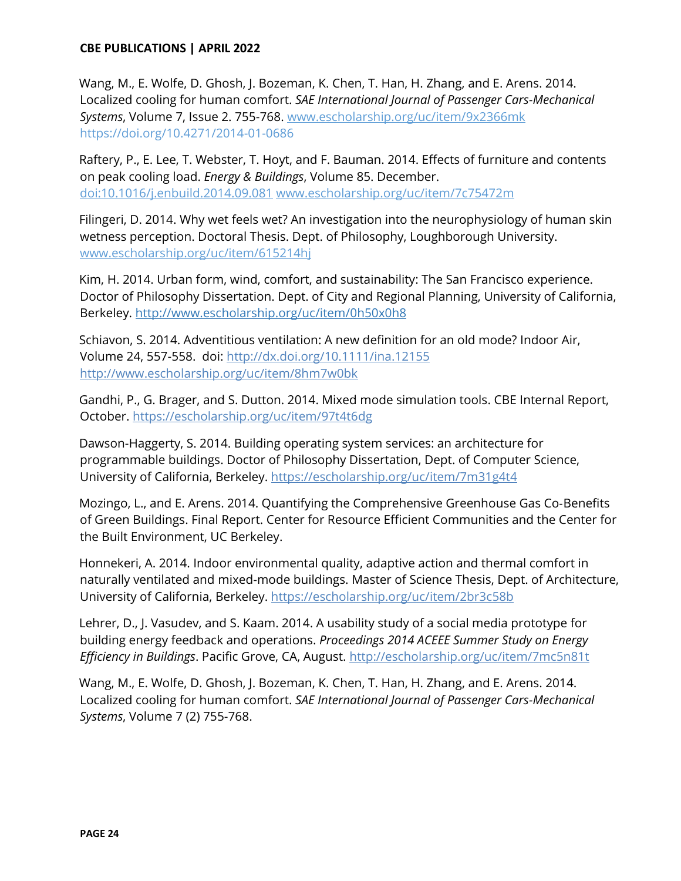Wang, M., E. Wolfe, D. Ghosh, J. Bozeman, K. Chen, T. Han, H. Zhang, and E. Arens. 2014. Localized cooling for human comfort. *SAE International Journal of Passenger Cars-Mechanical Systems*, Volume 7, Issue 2. 755-768. www.escholarship.org/uc/item/9x2366mk <https://doi.org/10.4271/2014-01-0686>

Raftery, P., E. Lee, T. Webster, T. Hoyt, and F. Bauman. 2014. Effects of furniture and contents on peak cooling load. *Energy & Buildings*, Volume 85. December. doi:10.1016/j.enbuild.2014.09.081 [www.escholarship.org/uc/item/7c75472m](http://www.escholarship.org/uc/item/7c75472m) 

Filingeri, D. 2014. Why wet feels wet? An investigation into the neurophysiology of human skin wetness perception. Doctoral Thesis. Dept. of Philosophy, Loughborough University. [www.escholarship.org/uc/item/615214hj](http://www.escholarship.org/uc/item/615214hj)

Kim, H. 2014. Urban form, wind, comfort, and sustainability: The San Francisco experience. Doctor of Philosophy Dissertation. Dept. of City and Regional Planning, University of California, Berkeley.<http://www.escholarship.org/uc/item/0h50x0h8>

Schiavon, S. 2014. Adventitious ventilation: A new definition for an old mode? Indoor Air, Volume 24, 557-558. doi:<http://dx.doi.org/10.1111/ina.12155> <http://www.escholarship.org/uc/item/8hm7w0bk>

Gandhi, P., G. Brager, and S. Dutton. 2014. Mixed mode simulation tools. CBE Internal Report, October. https:/[/escholarship.org/uc/item/97t4t6dg](http://www.escholarship.org/uc/item/97t4t6dg)

Dawson-Haggerty, S. 2014. Building operating system services: an architecture for programmable buildings. Doctor of Philosophy Dissertation, Dept. of Computer Science, University of California, Berkeley.<https://escholarship.org/uc/item/7m31g4t4>

Mozingo, L., and E. Arens. 2014. Quantifying the Comprehensive Greenhouse Gas Co-Benefits of Green Buildings. Final Report. Center for Resource Efficient Communities and the Center for the Built Environment, UC Berkeley.

Honnekeri, A. 2014. Indoor environmental quality, adaptive action and thermal comfort in naturally ventilated and mixed-mode buildings. Master of Science Thesis, Dept. of Architecture, University of California, Berkeley.<https://escholarship.org/uc/item/2br3c58b>

Lehrer, D., J. Vasudev, and S. Kaam. 2014. A usability study of a social media prototype for building energy feedback and operations. *Proceedings 2014 ACEEE Summer Study on Energy Efficiency in Buildings*. Pacific Grove, CA, August.<http://escholarship.org/uc/item/7mc5n81t>

Wang, M., E. Wolfe, D. Ghosh, J. Bozeman, K. Chen, T. Han, H. Zhang, and E. Arens. 2014. Localized cooling for human comfort. *SAE International Journal of Passenger Cars-Mechanical Systems*, Volume 7 (2) 755-768.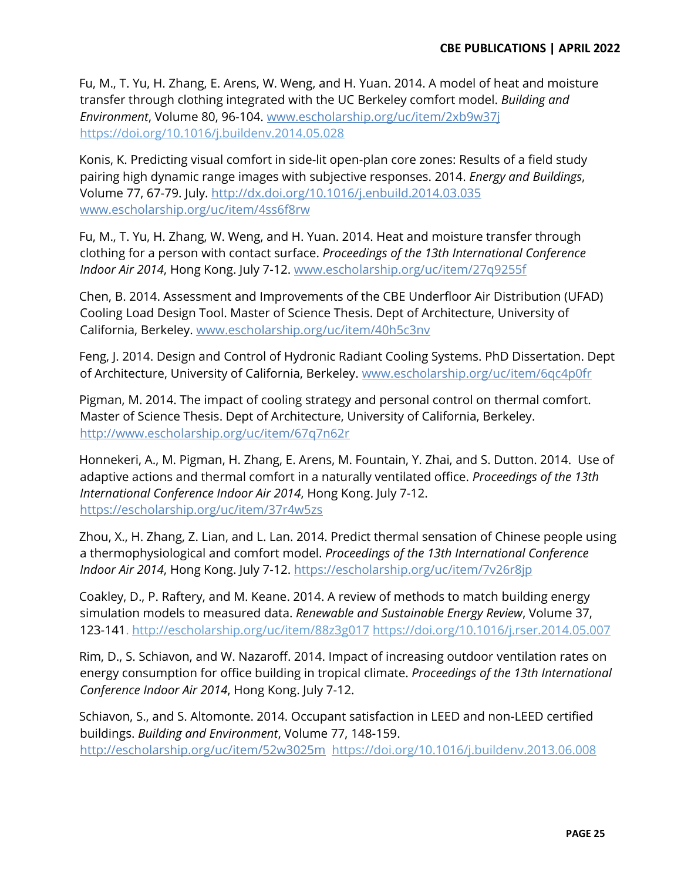Fu, M., T. Yu, H. Zhang, E. Arens, W. Weng, and H. Yuan. 2014. A model of heat and moisture transfer through clothing integrated with the UC Berkeley comfort model. *Building and Environment*, Volume 80, 96-104. www.escholarship.org/uc/item/2xb9w37j <https://doi.org/10.1016/j.buildenv.2014.05.028>

Konis, K. Predicting visual comfort in side-lit open-plan core zones: Results of a field study pairing high dynamic range images with subjective responses. 2014. *Energy and Buildings*, Volume 77, 67-79. July.<http://dx.doi.org/10.1016/j.enbuild.2014.03.035> [www.escholarship.org/uc/item/4ss6f8rw](http://www.escholarship.org/uc/item/4ss6f8rw) 

Fu, M., T. Yu, H. Zhang, W. Weng, and H. Yuan. 2014. Heat and moisture transfer through clothing for a person with contact surface. *Proceedings of the 13th International Conference Indoor Air 2014*, Hong Kong. July 7-12. [www.escholarship.org/uc/item/27q9255f](http://www.escholarship.org/uc/item/27q9255f) 

Chen, B. 2014. Assessment and Improvements of the CBE Underfloor Air Distribution (UFAD) Cooling Load Design Tool. Master of Science Thesis. Dept of Architecture, University of California, Berkeley. www.escholarship.org/uc/item/40h5c3nv

Feng, J. 2014. Design and Control of Hydronic Radiant Cooling Systems. PhD Dissertation. Dept of Architecture, University of California, Berkeley. [www.escholarship.org/uc/item/6qc4p0fr](http://www.escholarship.org/uc/item/6qc4p0fr) 

Pigman, M. 2014. The impact of cooling strategy and personal control on thermal comfort. Master of Science Thesis. Dept of Architecture, University of California, Berkeley. <http://www.escholarship.org/uc/item/67q7n62r>

Honnekeri, A., M. Pigman, H. Zhang, E. Arens, M. Fountain, Y. Zhai, and S. Dutton. 2014. Use of adaptive actions and thermal comfort in a naturally ventilated office. *Proceedings of the 13th International Conference Indoor Air 2014*, Hong Kong. July 7-12. <https://escholarship.org/uc/item/37r4w5zs>

Zhou, X., H. Zhang, Z. Lian, and L. Lan. 2014. Predict thermal sensation of Chinese people using a thermophysiological and comfort model. *Proceedings of the 13th International Conference Indoor Air 2014*, Hong Kong. July 7-12.<https://escholarship.org/uc/item/7v26r8jp>

Coakley, D., P. Raftery, and M. Keane. 2014. A review of methods to match building energy simulation models to measured data. *Renewable and Sustainable Energy Review*, Volume 37, 123-141.<http://escholarship.org/uc/item/88z3g017> <https://doi.org/10.1016/j.rser.2014.05.007>

Rim, D., S. Schiavon, and W. Nazaroff. 2014. Impact of increasing outdoor ventilation rates on energy consumption for office building in tropical climate. *Proceedings of the 13th International Conference Indoor Air 2014*, Hong Kong. July 7-12.

Schiavon, S., and S. Altomonte. 2014. Occupant satisfaction in LEED and non-LEED certified buildings. *Building and Environment*, Volume 77, 148-159. http://escholarship.org/uc/item/52w3025m <https://doi.org/10.1016/j.buildenv.2013.06.008>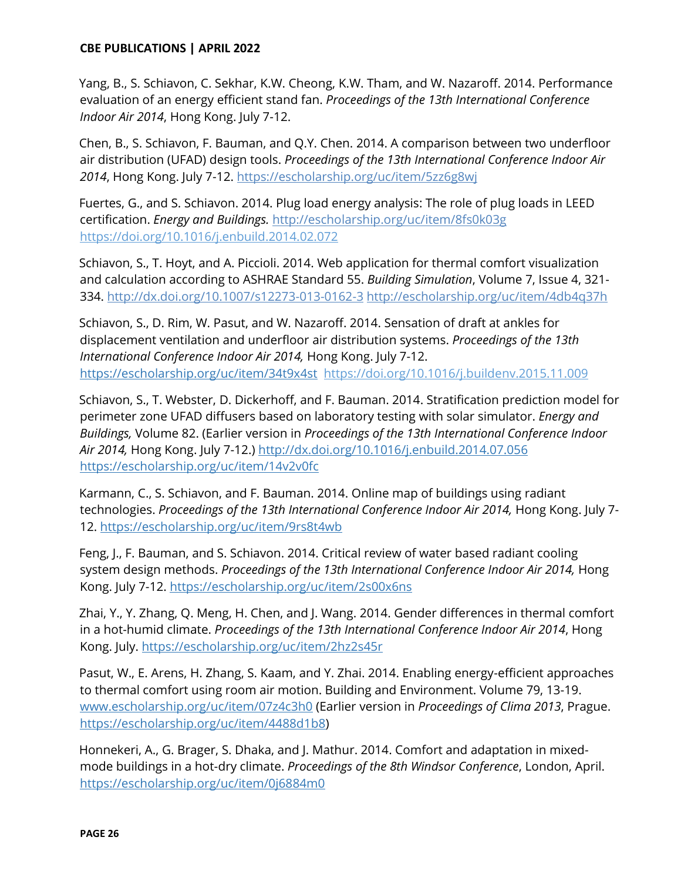Yang, B., S. Schiavon, C. Sekhar, K.W. Cheong, K.W. Tham, and W. Nazaroff. 2014. Performance evaluation of an energy efficient stand fan. *Proceedings of the 13th International Conference Indoor Air 2014*, Hong Kong. July 7-12.

Chen, B., S. Schiavon, F. Bauman, and Q.Y. Chen. 2014. A comparison between two underfloor air distribution (UFAD) design tools. *Proceedings of the 13th International Conference Indoor Air 2014*, Hong Kong. July 7-12. https://escholarship.org/uc/item/5zz6g8wj

Fuertes, G., and S. Schiavon. 2014. Plug load energy analysis: The role of plug loads in LEED certification. *Energy and Buildings.* <http://escholarship.org/uc/item/8fs0k03g> <https://doi.org/10.1016/j.enbuild.2014.02.072>

Schiavon, S., T. Hoyt, and A. Piccioli. 2014. Web application for thermal comfort visualization and calculation according to ASHRAE Standard 55. *Building Simulation*, Volume 7, Issue 4, 321- 334.<http://dx.doi.org/10.1007/s12273-013-0162-3> <http://escholarship.org/uc/item/4db4q37h>

Schiavon, S., D. Rim, W. Pasut, and W. Nazaroff. 2014. Sensation of draft at ankles for displacement ventilation and underfloor air distribution systems. *Proceedings of the 13th International Conference Indoor Air 2014,* Hong Kong. July 7-12. <https://escholarship.org/uc/item/34t9x4st><https://doi.org/10.1016/j.buildenv.2015.11.009>

Schiavon, S., T. Webster, D. Dickerhoff, and F. Bauman. 2014. Stratification prediction model for perimeter zone UFAD diffusers based on laboratory testing with solar simulator. *Energy and Buildings,* Volume 82. (Earlier version in *Proceedings of the 13th International Conference Indoor Air 2014,* Hong Kong. July 7-12.)<http://dx.doi.org/10.1016/j.enbuild.2014.07.056> <https://escholarship.org/uc/item/14v2v0fc>

Karmann, C., S. Schiavon, and F. Bauman. 2014. Online map of buildings using radiant technologies. *Proceedings of the 13th International Conference Indoor Air 2014,* Hong Kong. July 7- 12.<https://escholarship.org/uc/item/9rs8t4wb>

Feng, J., F. Bauman, and S. Schiavon. 2014. Critical review of water based radiant cooling system design methods. *Proceedings of the 13th International Conference Indoor Air 2014,* Hong Kong. July 7-12. https://escholarship.org/uc/item/2s00x6ns

Zhai, Y., Y. Zhang, Q. Meng, H. Chen, and J. Wang. 2014. Gender differences in thermal comfort in a hot-humid climate. *Proceedings of the 13th International Conference Indoor Air 2014*, Hong Kong. July.<https://escholarship.org/uc/item/2hz2s45r>

Pasut, W., E. Arens, H. Zhang, S. Kaam, and Y. Zhai. 2014. Enabling energy-efficient approaches to thermal comfort using room air motion. Building and Environment. Volume 79, 13-19. [www.escholarship.org/uc/item/07z4c3h0](http://www.escholarship.org/uc/item/07z4c3h0) (Earlier version in *Proceedings of Clima 2013*, Prague. [https://escholarship.org/uc/item/4488d1b8\)](https://escholarship.org/uc/item/4488d1b8)

Honnekeri, A., G. Brager, S. Dhaka, and J. Mathur. 2014. Comfort and adaptation in mixedmode buildings in a hot-dry climate. *Proceedings of the 8th Windsor Conference*, London, April. <https://escholarship.org/uc/item/0j6884m0>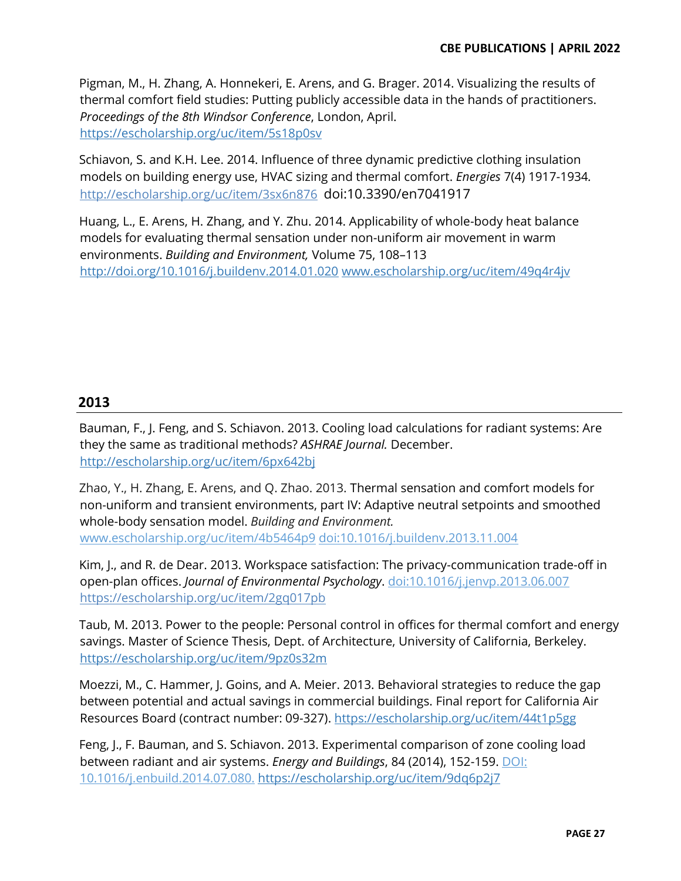Pigman, M., H. Zhang, A. Honnekeri, E. Arens, and G. Brager. 2014. Visualizing the results of thermal comfort field studies: Putting publicly accessible data in the hands of practitioners. *Proceedings of the 8th Windsor Conference*, London, April. <https://escholarship.org/uc/item/5s18p0sv>

Schiavon, S. and K.H. Lee. 2014. Influence of three dynamic predictive clothing insulation models on building energy use, HVAC sizing and thermal comfort. *Energies* 7(4) 1917-1934*[.](http://escholarship.org/uc/item/3sx6n876)* <http://escholarship.org/uc/item/3sx6n876> doi:10.3390/en7041917

[Huang,](http://www.sciencedirect.com/science/article/pii/S0360132314000298) L., [E. Arens, H. Zhang,](http://www.sciencedirect.com/science/article/pii/S0360132314000298) and [Y. Zhu.](http://www.sciencedirect.com/science/article/pii/S0360132314000298) 2014. Applicability of whole-body heat balance models for evaluating thermal sensation under non-uniform air movement in warm environments. *Building and Environment*, [Volume 75,](http://www.sciencedirect.com/science/journal/03601323/75/supp/C) 108-113 http://doi.org/10.1016/j.buildenv.2014.01.020 www.escholarship.org/uc/item/49q4r4jv

# **2013**

Bauman, F., J. Feng, and S. Schiavon. 2013. Cooling load calculations for radiant systems: Are they the same as traditional methods? *ASHRAE Journal.* December. <http://escholarship.org/uc/item/6px642bj>

Zhao, Y., H. Zhang, E. Arens, and Q. Zhao. 2013. Thermal sensation and comfort models for non-uniform and transient environments, part IV: Adaptive neutral setpoints and smoothed whole-body sensation model. *Building and Environment.* [www.escholarship.org/uc/item/4b5464p9](http://www.escholarship.org/uc/item/4b5464p9) doi:10.1016/j.buildenv.2013.11.004

Kim, J., and R. de Dear. 2013. Workspace satisfaction: The privacy-communication trade-off in open-plan offices. *Journal of Environmental Psychology*. doi:10.1016/j.jenvp.2013.06.007 <https://escholarship.org/uc/item/2gq017pb>

Taub, M. 2013. Power to the people: Personal control in offices for thermal comfort and energy savings. Master of Science Thesis, Dept. of Architecture, University of California, Berkeley. <https://escholarship.org/uc/item/9pz0s32m>

Moezzi, M., C. Hammer, J. Goins, and A. Meier. 2013. Behavioral strategies to reduce the gap between potential and actual savings in commercial buildings. Final report for California Air Resources Board (contract number: 09-327).<https://escholarship.org/uc/item/44t1p5gg>

Feng, J., F. Bauman, and S. Schiavon. 2013. Experimental comparison of zone cooling load between radiant and air systems. *Energy and Buildings*, 84 (2014), 152-159. DOI: 10.1016/j.enbuild.2014.07.080. <https://escholarship.org/uc/item/9dq6p2j7>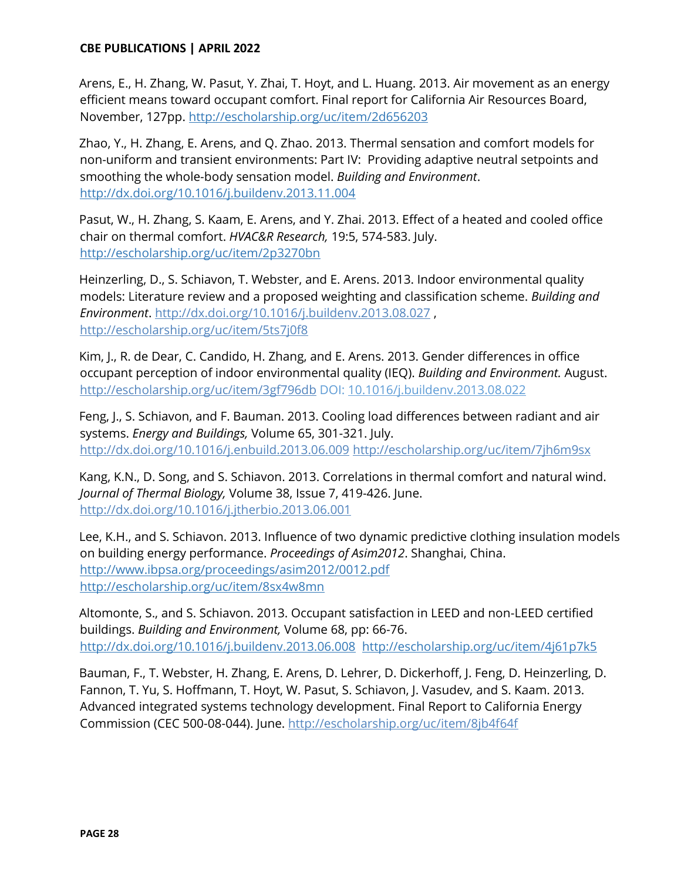Arens, E., H. Zhang, W. Pasut, Y. Zhai, T. Hoyt, and L. Huang. 2013. Air movement as an energy efficient means toward occupant comfort. Final report for California Air Resources Board, November, 127pp.<http://escholarship.org/uc/item/2d656203>

Zhao, Y., H. Zhang, E. Arens, and Q. Zhao. 2013. Thermal sensation and comfort models for non-uniform and transient environments: Part IV: Providing adaptive neutral setpoints and smoothing the whole-body sensation model. *Building and Environment*. http://dx.doi.org/10.1016/j.buildenv.2013.11.004

Pasut, W., H. Zhang, S. Kaam, E. Arens, and Y. Zhai. 2013. Effect of a heated and cooled office chair on thermal comfort. *HVAC&R Research,* 19:5, 574-58[3.](http://escholarship.org/uc/item/2p3270bn) July. <http://escholarship.org/uc/item/2p3270bn>

Heinzerling, D., S. Schiavon, T. Webster, and E. Arens. 2013. Indoor environmental quality models: Literature review and a proposed weighting and classification scheme. *Building and Environment*.<http://dx.doi.org/10.1016/j.buildenv.2013.08.027> [,](http://escholarship.org/uc/item/5ts7j0f8)  <http://escholarship.org/uc/item/5ts7j0f8>

Kim, J., R. de Dear, C. Candido, H. Zhang, and E. Arens. 2013. Gender differences in office occupant perception of indoor environmental quality (IEQ). *Building and Environment.* August. <http://escholarship.org/uc/item/3gf796db> DOI: [10.1016/j.buildenv.2013.08.022](https://www.researchgate.net/deref/http%3A%2F%2Fdx.doi.org%2F10.1016%2Fj.buildenv.2013.08.022)

Feng, J., S. Schiavon, and F. Bauman. 2013. Cooling load differences between radiant and air systems. *Energy and Buildings,* Volume 65, 301-321. July. <http://dx.doi.org/10.1016/j.enbuild.2013.06.009> <http://escholarship.org/uc/item/7jh6m9sx>

Kang, K.N., D. Song, and S. Schiavon. 2013. Correlations in thermal comfort and natural wind. *Journal of Thermal Biology,* Volume 38, Issue 7, 419-426. June. <http://dx.doi.org/10.1016/j.jtherbio.2013.06.001>

Lee, K.H., and S. Schiavon. 2013. Influence of two dynamic predictive clothing insulation models on building energy performance. *Proceedings of Asim2012*. Shanghai, China. <http://www.ibpsa.org/proceedings/asim2012/0012.pdf> <http://escholarship.org/uc/item/8sx4w8mn>

Altomonte, S., and S. Schiavon. 2013. Occupant satisfaction in LEED and non-LEED certified buildings. *Building and Environment,* Volume 68, pp: 66-76[.](http://dx.doi.org/10.1016/j.buildenv.2013.06.008) <http://dx.doi.org/10.1016/j.buildenv.2013.06.008> <http://escholarship.org/uc/item/4j61p7k5>

Bauman, F., T. Webster, H. Zhang, E. Arens, D. Lehrer, D. Dickerhoff, J. Feng, D. Heinzerling, D. Fannon, T. Yu, S. Hoffmann, T. Hoyt, W. Pasut, S. Schiavon, J. Vasudev, and S. Kaam. 2013. Advanced integrated systems technology development. Final Report to California Energy Commission (CEC 500-08-044). June.<http://escholarship.org/uc/item/8jb4f64f>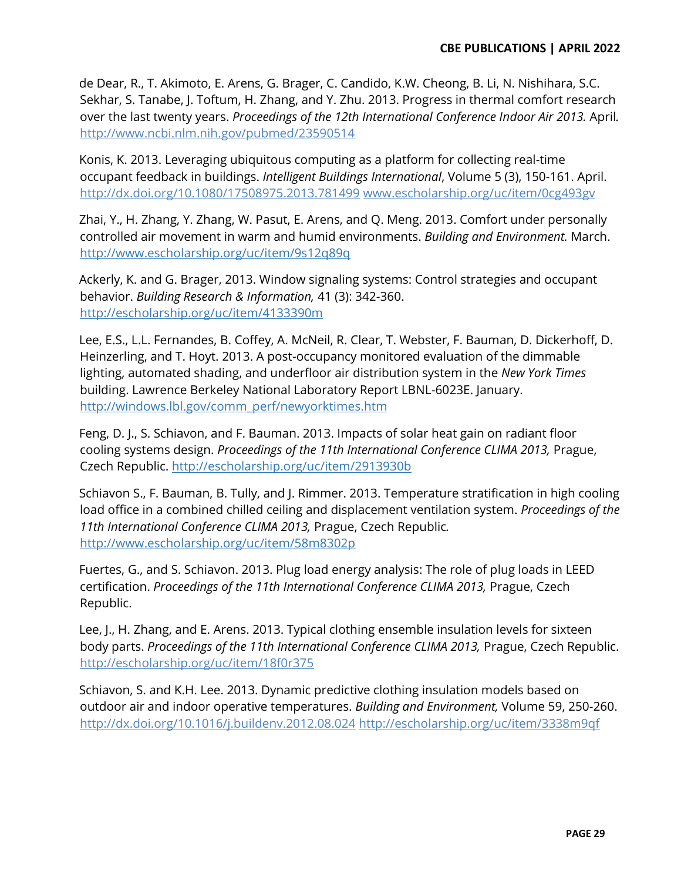de Dear, R., T. Akimoto, E. Arens, G. Brager, C. Candido, K.W. Cheong, B. Li, N. Nishihara, S.C. Sekhar, S. Tanabe, J. Toftum, H. Zhang, and Y. Zhu. 2013. Progress in thermal comfort research over the last twenty years. *Proceedings of the 12th International Conference Indoor Air 2013.* April*.*  <http://www.ncbi.nlm.nih.gov/pubmed/23590514>

Konis, K. 2013. Leveraging ubiquitous computing as a platform for collecting real-time occupant feedback in buildings. *Intelligent Buildings International*, Volume 5 (3), 150-161. April. <http://dx.doi.org/10.1080/17508975.2013.781499> [www.escholarship.org/uc/item/0cg493gv](http://www.escholarship.org/uc/item/0cg493gv)

Zhai, Y., H. Zhang, Y. Zhang, W. Pasut, E. Arens, and Q. Meng. 2013. Comfort under personally controlled air movement in warm and humid environments. *Building and Environment.* March. <http://www.escholarship.org/uc/item/9s12q89q>

Ackerly, K. and G. Brager, 2013. Window signaling systems: Control strategies and occupant behavior. *Building Research & Information,* 41 (3): 342-36[0.](http://escholarship.org/uc/item/4133390m)  <http://escholarship.org/uc/item/4133390m>

Lee, E.S., L.L. Fernandes, B. Coffey, A. McNeil, R. Clear, T. Webster, F. Bauman, D. Dickerhoff, D. Heinzerling, and T. Hoyt. 2013. A post-occupancy monitored evaluation of the dimmable lighting, automated shading, and underfloor air distribution system in the *New York Times* building. Lawrence Berkeley National Laboratory Report LBNL-6023E. January. [http://windows.lbl.gov/comm\\_perf/newyorktimes.htm](http://windows.lbl.gov/comm_perf/newyorktimes.htm)

Feng, D. J., S. Schiavon, and F. Bauman. 2013. Impacts of solar heat gain on radiant floor cooling systems design. *Proceedings of the 11th International Conference CLIMA 2013,* Prague, Czech Republic. <http://escholarship.org/uc/item/2913930b>

Schiavon S., F. Bauman, B. Tully, and J. Rimmer. 2013. Temperature stratification in high cooling load office in a combined chilled ceiling and displacement ventilation system. *Proceedings of the 11th International Conference CLIMA 2013,* Prague, Czech Republic*.* <http://www.escholarship.org/uc/item/58m8302p>

Fuertes, G., and S. Schiavon. 2013. Plug load energy analysis: The role of plug loads in LEED certification. *Proceedings of the 11th International Conference CLIMA 2013,* Prague, Czech Republic.

Lee, J., H. Zhang, and E. Arens. 2013. Typical clothing ensemble insulation levels for sixteen body parts. *Proceedings of the 11th International Conference CLIMA 2013*, Prague, Czech Republic. <http://escholarship.org/uc/item/18f0r375>

Schiavon, S. and K.H. Lee. 2013. Dynamic predictive clothing insulation models based on outdoor air and indoor operative temperatures. *Building and Environment,* Volume 59, 250-260. <http://dx.doi.org/10.1016/j.buildenv.2012.08.024> <http://escholarship.org/uc/item/3338m9qf>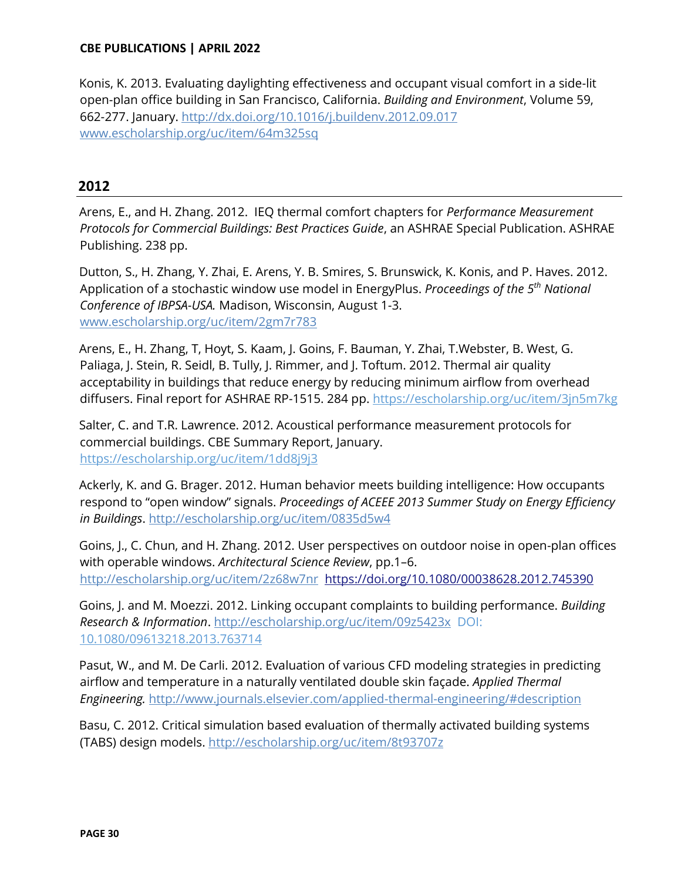Konis, K. 2013. Evaluating daylighting effectiveness and occupant visual comfort in a side-lit open-plan office building in San Francisco, California. *Building and Environment*, Volume 59, 662-277. January.<http://dx.doi.org/10.1016/j.buildenv.2012.09.017> www.escholarship.org/uc/item/64m325sq

# **2012**

Arens, E., and H. Zhang. 2012. IEQ thermal comfort chapters for *Performance Measurement Protocols for Commercial Buildings: Best Practices Guide*, an ASHRAE Special Publication. ASHRAE Publishing. 238 pp.

Dutton, S., H. Zhang, Y. Zhai, E. Arens, Y. B. Smires, S. Brunswick, K. Konis, and P. Haves. 2012. Application of a stochastic window use model in EnergyPlus. *Proceedings of the 5th National Conference of IBPSA-USA.* Madison, Wisconsin, August 1-3. www.escholarship.org/uc/item/2gm7r783

Arens, E., H. Zhang, T, Hoyt, S. Kaam, J. Goins, F. Bauman, Y. Zhai, T.Webster, B. West, G. Paliaga, J. Stein, R. Seidl, B. Tully, J. Rimmer, and J. Toftum. 2012. Thermal air quality acceptability in buildings that reduce energy by reducing minimum airflow from overhead diffusers. Final report for ASHRAE RP-1515. 284 pp.<https://escholarship.org/uc/item/3jn5m7kg>

Salter, C. and T.R. Lawrence. 2012. Acoustical performance measurement protocols for commercial buildings. CBE Summary Report, January. <https://escholarship.org/uc/item/1dd8j9j3>

Ackerly, K. and G. Brager. 2012. Human behavior meets building intelligence: How occupants respond to "open window" signals. *Proceedings of ACEEE 2013 Summer Study on Energy Efficiency in Buildings*.<http://escholarship.org/uc/item/0835d5w4>

Goins, J., C. Chun, and H. Zhang. 2012. User perspectives on outdoor noise in open-plan offices with operable windows. Architectural Science Review, pp.1-6. <http://escholarship.org/uc/item/2z68w7nr> <https://doi.org/10.1080/00038628.2012.745390>

Goins, J. and M. Moezzi. 2012. Linking occupant complaints to building performance. *Building Research & Information*.<http://escholarship.org/uc/item/09z5423x> [D](http://escholarship.org/uc/item/09z5423x)OI: [10.1080/09613218.2013.763714](https://www.researchgate.net/deref/http%3A%2F%2Fdx.doi.org%2F10.1080%2F09613218.2013.763714)

Pasut, W., and M. De Carli. 2012. Evaluation of various CFD modeling strategies in predicting airflow and temperature in a naturally ventilated double skin façade. *Applied Thermal Engineering.* [http://www.journals.elsevier.com/applied-thermal-engineering/#description](http://www.journals.elsevier.com/applied-thermal-engineering/%23description)

Basu, C. 2012. Critical simulation based evaluation of thermally activated building systems (TABS) design models[.](http://escholarship.org/uc/item/8t93707z) <http://escholarship.org/uc/item/8t93707z>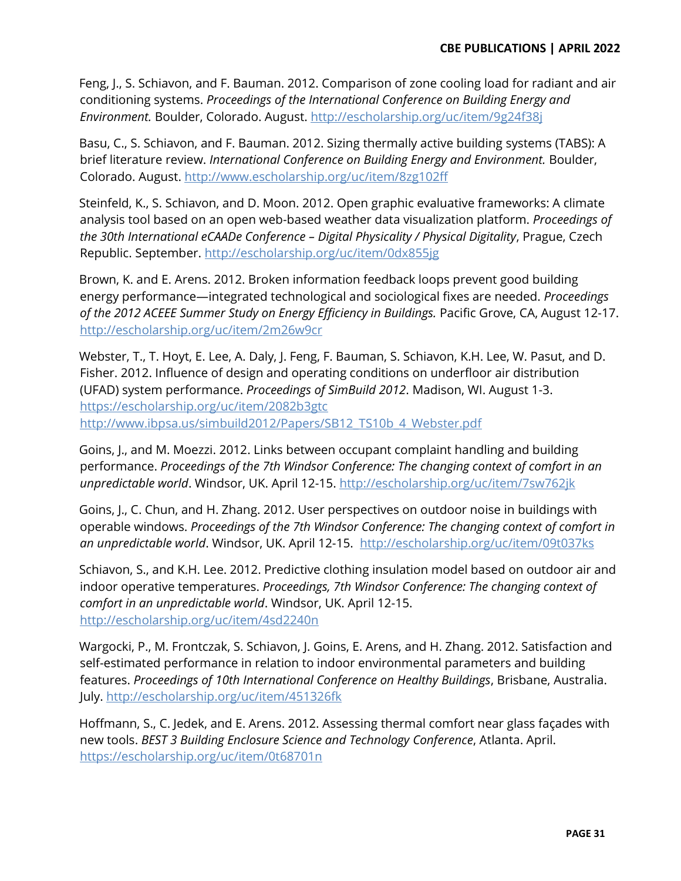Feng, J., S. Schiavon, and F. Bauman. 2012. Comparison of zone cooling load for radiant and air conditioning systems. *Proceedings of the International Conference on Building Energy and Environment.* Boulder, Colorado. August[.](http://escholarship.org/uc/item/9g24f38j) <http://escholarship.org/uc/item/9g24f38j>

Basu, C., S. Schiavon, and F. Bauman. 2012. Sizing thermally active building systems (TABS): A brief literature review. *International Conference on Building Energy and Environment.* Boulder, Colorado. August.<http://www.escholarship.org/uc/item/8zg102ff>

Steinfeld, K., S. Schiavon, and D. Moon. 2012. Open graphic evaluative frameworks: A climate analysis tool based on an open web-based weather data visualization platform. *Proceedings of the 30th International eCAADe Conference Ȃ Digital Physicality / Physical Digitality*, Prague, Czech Republic. Septembe[r. http://escholarship.org/uc/item/0dx855jg](http://escholarship.org/uc/item/0dx855jg)

Brown, K. and E. Arens. 2012. Broken information feedback loops prevent good building energy performance-integrated technological and sociological fixes are needed. *Proceedings of the 2012 ACEEE Summer Study on Energy Efficiency in Buildings.* Pacific Grove, CA, August 12-17. http://escholarship.org/uc/item/2m26w9cr

Webster, T., T. Hoyt, E. Lee, A. Daly, J. Feng, F. Bauman, S. Schiavon, K.H. Lee, W. Pasut, and D. Fisher. 2012. Influence of design and operating conditions on underfloor air distribution (UFAD) system performance. *Proceedings of SimBuild 2012*. Madison, WI. August 1-3. <https://escholarship.org/uc/item/2082b3gtc> [http://www.ibpsa.us/simbuild2012/Papers/SB12\\_TS10b\\_4\\_Webster.pdf](http://www.ibpsa.us/simbuild2012/Papers/SB12_TS10b_4_Webster.pdf) 

Goins, J., and M. Moezzi. 2012. Links between occupant complaint handling and building performance. *Proceedings of the 7th Windsor Conference: The changing context of comfort in an unpredictable world*. Windsor, UK. April 12-15.<http://escholarship.org/uc/item/7sw762jk>

Goins, J., C. Chun, and H. Zhang. 2012. User perspectives on outdoor noise in buildings with operable windows. *Proceedings of the 7th Windsor Conference: The changing context of comfort in an unpredictable world*. Windsor, UK. April 12-15. <http://escholarship.org/uc/item/09t037ks>

Schiavon, S., and K.H. Lee. 2012. Predictive clothing insulation model based on outdoor air and indoor operative temperatures. *Proceedings, 7th Windsor Conference: The changing context of comfort in an unpredictable world*. Windsor, UK. April 12-15[.](http://escholarship.org/uc/item/4sd2240n)  <http://escholarship.org/uc/item/4sd2240n>

Wargocki, P., M. Frontczak, S. Schiavon, J. Goins, E. Arens, and H. Zhang. 2012. Satisfaction and self-estimated performance in relation to indoor environmental parameters and building features. *Proceedings of 10th International Conference on Healthy Buildings*, Brisbane, Australia. July.<http://escholarship.org/uc/item/451326fk>

Hoffmann, S., C. Jedek, and E. Arens. 2012. Assessing thermal comfort near glass façades with new tools. *BEST 3 Building Enclosure Science and Technology Conference*, Atlanta. April. <https://escholarship.org/uc/item/0t68701n>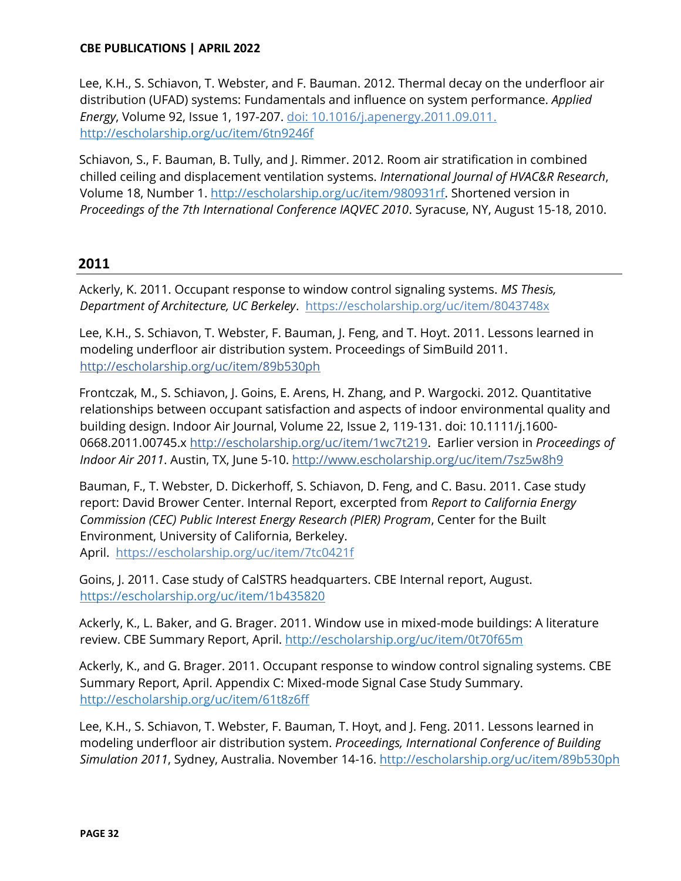Lee, K.H., S. Schiavon, T. Webster, and F. Bauman. 2012. Thermal decay on the underfloor air distribution (UFAD) systems: Fundamentals and influence on system performance. *Applied Energy*, Volume 92, Issue 1, 197-207. doi: 10.1016/j.apenergy.2011.09.01[1.](http://escholarship.org/uc/item/6tn9246f)  <http://escholarship.org/uc/item/6tn9246f>

Schiavon, S., F. Bauman, B. Tully, and J. Rimmer. 2012. Room air stratification in combined chilled ceiling and displacement ventilation systems. *International Journal of HVAC&R Research*, Volume 18, Number 1. [http://escholarship.org/uc/item/980931rf.](http://escholarship.org/uc/item/980931rf) Shortened version in *Proceedings of the 7th International Conference IAQVEC 2010*. Syracuse, NY, August 15-18, 2010.

## **2011**

Ackerly, K. 2011. Occupant response to window control signaling systems. *MS Thesis, Department of Architecture, UC Berkeley*. <https://escholarship.org/uc/item/8043748x>

Lee, K.H., S. Schiavon, T. Webster, F. Bauman, J. Feng, and T. Hoyt. 2011. Lessons learned in modeling underfloor air distribution system. Proceedings of SimBuild 2011. <http://escholarship.org/uc/item/89b530ph>

Frontczak, M., S. Schiavon, J. Goins, E. Arens, H. Zhang, and P. Wargocki. 2012. Quantitative relationships between occupant satisfaction and aspects of indoor environmental quality and building design. Indoor Air Journal, Volume 22, Issue 2, 119-131. doi: 10.1111/j.1600- 0668.2011.00745.x [http://escholarship.org/uc/item/1wc7t219.](http://escholarship.org/uc/item/1wc7t219) Earlier version in *Proceedings of Indoor Air 2011*. Austin, TX, June 5-10.<http://www.escholarship.org/uc/item/7sz5w8h9>

Bauman, F., T. Webster, D. Dickerhoff, S. Schiavon, D. Feng, and C. Basu. 2011. Case study report: David Brower Center. Internal Report, excerpted from *Report to California Energy Commission (CEC) Public Interest Energy Research (PIER) Program*, Center for the Built Environment, University of California, Berkeley. April. <https://escholarship.org/uc/item/7tc0421f>

Goins, J. 2011. Case study of CalSTRS headquarters. CBE Internal report, August. <https://escholarship.org/uc/item/1b435820>

Ackerly, K., L. Baker, and G. Brager. 2011. Window use in mixed-mode buildings: A literature review. CBE Summary Report, April. http://escholarship.org/uc/item/0t70f65m

Ackerly, K., and G. Brager. 2011. Occupant response to window control signaling systems. CBE Summary Report, April. Appendix C: Mixed-mode Signal Case Study Summary. http://escholarship.org/uc/item/61t8z6ff

Lee, K.H., S. Schiavon, T. Webster, F. Bauman, T. Hoyt, and J. Feng. 2011. Lessons learned in modeling underfloor air distribution system. *Proceedings, International Conference of Building Simulation 2011*, Sydney, Australia. November 14-1[6. http://escholarship.org/uc/item/89b530ph](http://escholarship.org/uc/item/89b530ph)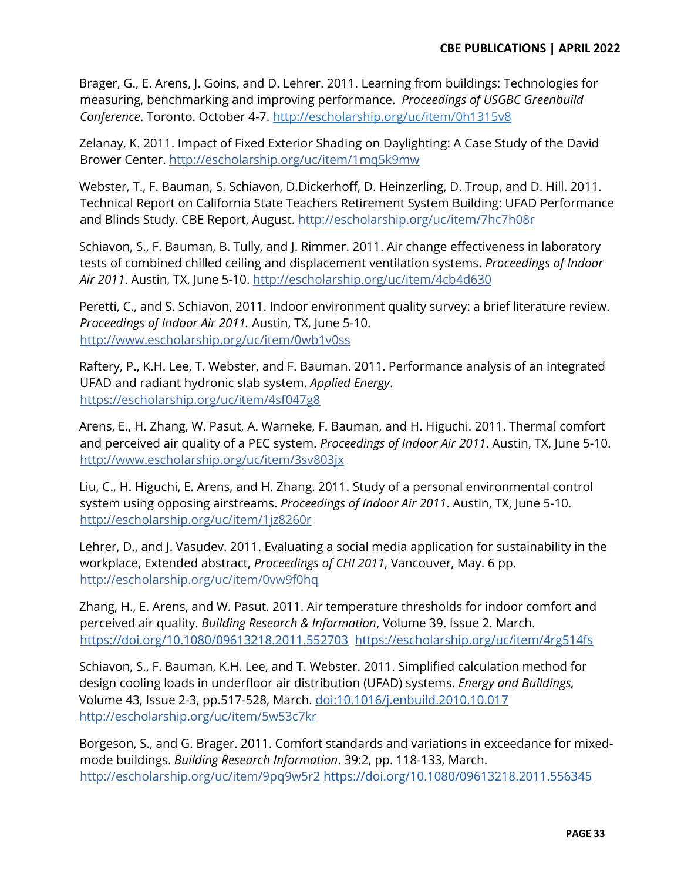Brager, G., E. Arens, J. Goins, and D. Lehrer. 2011. Learning from buildings: Technologies for measuring, benchmarking and improving performance. *Proceedings of USGBC Greenbuild Conference*. Toronto. October 4-7. http://escholarship.org/uc/item/0h1315v8

Zelanay, K. 2011. Impact of Fixed Exterior Shading on Daylighting: A Case Study of the David Brower Center. http://escholarship.org/uc/item/1mq5k9mw

Webster, T., F. Bauman, S. Schiavon, D.Dickerhoff, D. Heinzerling, D. Troup, and D. Hill. 2011. Technical Report on California State Teachers Retirement System Building: UFAD Performance and Blinds Study. CBE Report, August. http://escholarship.org/uc/item/7hc7h08r

Schiavon, S., F. Bauman, B. Tully, and J. Rimmer. 2011. Air change effectiveness in laboratory tests of combined chilled ceiling and displacement ventilation systems. *Proceedings of Indoor Air 2011*. Austin, TX, June 5-10.<http://escholarship.org/uc/item/4cb4d630>

Peretti, C., and S. Schiavon, 2011. Indoor environment quality survey: a brief literature review. *Proceedings of Indoor Air 2011.* Austin, TX, June 5-10[.](http://www.escholarship.org/uc/item/0wb1v0ss)  <http://www.escholarship.org/uc/item/0wb1v0ss>

Raftery, P., K.H. Lee, T. Webster, and F. Bauman. 2011. Performance analysis of an integrated UFAD and radiant hydronic slab system. *Applied Energy*. <https://escholarship.org/uc/item/4sf047g8>

Arens, E., H. Zhang, W. Pasut, A. Warneke, F. Bauman, and H. Higuchi. 2011. Thermal comfort and perceived air quality of a PEC system. *Proceedings of Indoor Air 2011*. Austin, TX, June 5-10. <http://www.escholarship.org/uc/item/3sv803jx>

Liu, C., H. Higuchi, E. Arens, and H. Zhang. 2011. Study of a personal environmental control system using opposing airstreams. *Proceedings of Indoor Air 2011*. Austin, TX, June 5-10. http://escholarship.org/uc/item/1jz8260r

Lehrer, D., and J. Vasudev. 2011. Evaluating a social media application for sustainability in the workplace, Extended abstract, *Proceedings of CHI 2011*, Vancouver, May. 6 pp. <http://escholarship.org/uc/item/0vw9f0hq>

Zhang, H., E. Arens, and W. Pasut. 2011. Air temperature thresholds for indoor comfort and perceived air quality. *Building Research & Information*, Volume 39. Issue 2. March. <https://doi.org/10.1080/09613218.2011.552703> <https://escholarship.org/uc/item/4rg514fs>

Schiavon, S., F. Bauman, K.H. Lee, and T. Webster. 2011. Simplified calculation method for design cooling loads in underfloor air distribution (UFAD) systems. *Energy and Buildings,*  Volume 43, Issue 2-3, pp.517-528, March. doi:10.1016/j.enbuild.2010.10.017 http:[//escholarship.org/uc/item/5w53c7kr](http://www.escholarship.org/uc/item/5w53c7kr)

Borgeson, S., and G. Brager. 2011. Comfort standards and variations in exceedance for mixedmode buildings. *Building Research Information*. 39:2, pp. 118-133, March. http://escholarship.org/uc/item/9pq9w5r2 <https://doi.org/10.1080/09613218.2011.556345>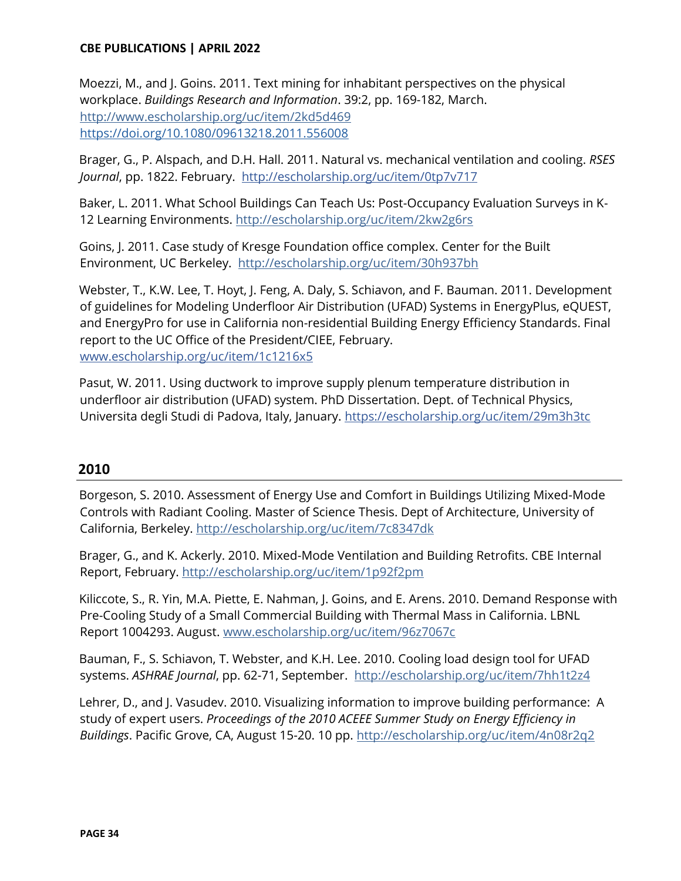Moezzi, M., and J. Goins. 2011. Text mining for inhabitant perspectives on the physical workplace. *Buildings Research and Information*. 39:2, pp. 169-182, March. http://www.escholarship.org/uc/item/2kd5d469 <https://doi.org/10.1080/09613218.2011.556008>

Brager, G., P. Alspach, and D.H. Hall. 2011. Natural vs. mechanical ventilation and cooling. *RSES Journal*, pp. 1822. February. <http://escholarship.org/uc/item/0tp7v717>

Baker, L. 2011. What School Buildings Can Teach Us: Post-Occupancy Evaluation Surveys in K-12 Learning Environments. http://escholarship.org/uc/item/2kw2g6rs

Goins, J. 2011. Case study of Kresge Foundation office complex. Center for the Built Environment, UC Berkeley. <http://escholarship.org/uc/item/30h937bh>

Webster, T., K.W. Lee, T. Hoyt, J. Feng, A. Daly, S. Schiavon, and F. Bauman. 2011. Development of guidelines for Modeling Underfloor Air Distribution (UFAD) Systems in EnergyPlus, eQUEST, and EnergyPro for use in California non-residential Building Energy Efficiency Standards. Final report to the UC Office of the President/CIEE, February. [www.escholarship.org/uc/item/1c1216x5](http://www.escholarship.org/uc/item/1c1216x5)

Pasut, W. 2011. Using ductwork to improve supply plenum temperature distribution in underfloor air distribution (UFAD) system. PhD Dissertation. Dept. of Technical Physics, Universita degli Studi di Padova, Italy, January.<https://escholarship.org/uc/item/29m3h3tc>

# **2010**

Borgeson, S. 2010. Assessment of Energy Use and Comfort in Buildings Utilizing Mixed-Mode Controls with Radiant Cooling. Master of Science Thesis. Dept of Architecture, University of California, Berkeley. http://escholarship.org/uc/item/7c8347dk

Brager, G., and K. Ackerly. 2010. Mixed-Mode Ventilation and Building Retrofits. CBE Internal Report, February. http://escholarship.org/uc/item/1p92f2pm

Kiliccote, S., R. Yin, M.A. Piette, E. Nahman, J. Goins, and E. Arens. 2010. Demand Response with Pre-Cooling Study of a Small Commercial Building with Thermal Mass in California. LBNL Report 1004293. August. [www.escholarship.org/uc/item/96z7067c](http://www.escholarship.org/uc/item/96z7067c)

Bauman, F., S. Schiavon, T. Webster, and K.H. Lee. 2010. Cooling load design tool for UFAD systems. *ASHRAE Journal*, pp. 62-71, September[. http://escholarship.org/uc/item/7hh1t2z4](http://escholarship.org/uc/item/7hh1t2z4)

Lehrer, D., and J. Vasudev. 2010. Visualizing information to improve building performance: A study of expert users. *Proceedings of the 2010 ACEEE Summer Study on Energy Efficiency in Buildings*. Pacific Grove, CA, August 15-20. 10 p[p. http://escholarship.org/uc/item/4n08r2q2](http://escholarship.org/uc/item/4n08r2q2)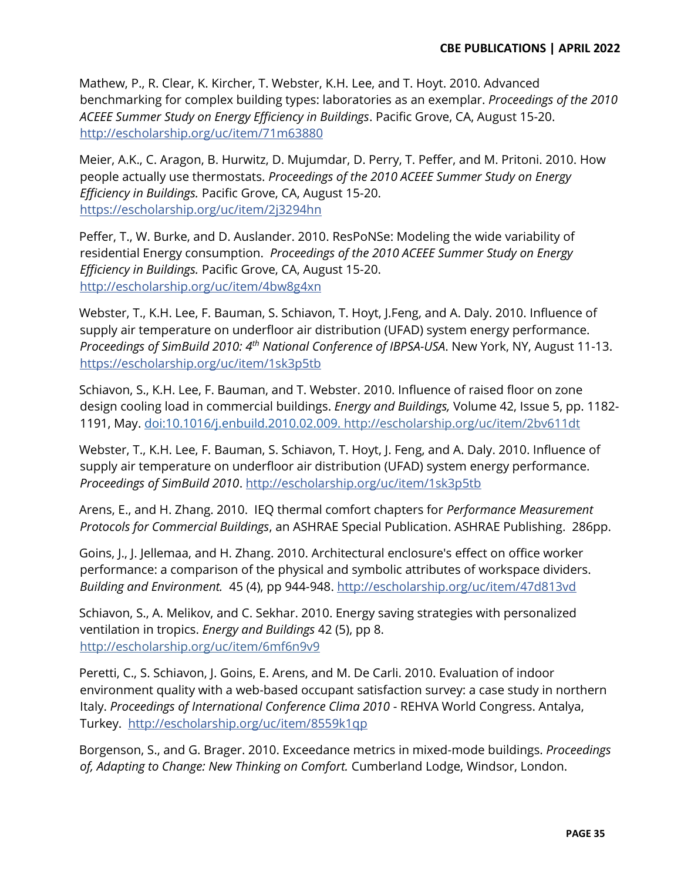Mathew, P., R. Clear, K. Kircher, T. Webster, K.H. Lee, and T. Hoyt. 2010. Advanced benchmarking for complex building types: laboratories as an exemplar. *Proceedings of the 2010 ACEEE Summer Study on Energy Efficiency in Buildings*. Pacific Grove, CA, August 15-20. <http://escholarship.org/uc/item/71m63880>

Meier, A.K., C. Aragon, B. Hurwitz, D. Mujumdar, D. Perry, T. Peffer, and M. Pritoni. 2010. How people actually use thermostats. *Proceedings of the 2010 ACEEE Summer Study on Energy Efficiency in Buildings.* Pacific Grove, CA, August 15-20. <https://escholarship.org/uc/item/2j3294hn>

Peffer, T., W. Burke, and D. Auslander. 2010. ResPoNSe: Modeling the wide variability of residential Energy consumption. *Proceedings of the 2010 ACEEE Summer Study on Energy Efficiency in Buildings.* Pacific Grove, CA, August 15-20. <http://escholarship.org/uc/item/4bw8g4xn>

Webster, T., K.H. Lee, F. Bauman, S. Schiavon, T. Hoyt, J.Feng, and A. Daly. 2010. Influence of supply air temperature on underfloor air distribution (UFAD) system energy performance. *Proceedings of SimBuild 2010: 4th National Conference of IBPSA-USA*. New York, NY, August 11-13. <https://escholarship.org/uc/item/1sk3p5tb>

Schiavon, S., K.H. Lee, F. Bauman, and T. Webster. 2010. Influence of raised floor on zone design cooling load in commercial buildings. *Energy and Buildings,* Volume 42, Issue 5, pp. 1182- 1191, May. doi:10.1016/j.enbuild.2010.02.00[9. http://escholarship.org/uc/item/2bv611dt](http://escholarship.org/uc/item/2bv611dt)

Webster, T., K.H. Lee, F. Bauman, S. Schiavon, T. Hoyt, J. Feng, and A. Daly. 2010. Influence of supply air temperature on underfloor air distribution (UFAD) system energy performance. *Proceedings of SimBuild 2010*. <http://escholarship.org/uc/item/1sk3p5tb>

Arens, E., and H. Zhang. 2010. IEQ thermal comfort chapters for *Performance Measurement Protocols for Commercial Buildings*, an ASHRAE Special Publication. ASHRAE Publishing. 286pp.

Goins, J., J. Jellemaa, and H. Zhang. 2010. Architectural enclosure's effect on office worker performance: a comparison of the physical and symbolic attributes of workspace dividers. *Building and Environment.* 45 (4), pp 944-948.<http://escholarship.org/uc/item/47d813vd>

Schiavon, S., A. Melikov, and C. Sekhar. 2010. Energy saving strategies with personalized ventilation in tropics. *Energy and Buildings* 42 (5), pp 8. http://escholarship.org/uc/item/6mf6n9v9

Peretti, C., S. Schiavon, J. Goins, E. Arens, and M. De Carli. 2010. Evaluation of indoor environment quality with a web-based occupant satisfaction survey: a case study in northern Italy. *Proceedings of International Conference Clima 2010* - REHVA World Congress. Antalya, Turkey. <http://escholarship.org/uc/item/8559k1qp>

Borgenson, S., and G. Brager. 2010. Exceedance metrics in mixed-mode buildings. *Proceedings of, Adapting to Change: New Thinking on Comfort.* Cumberland Lodge, Windsor, London.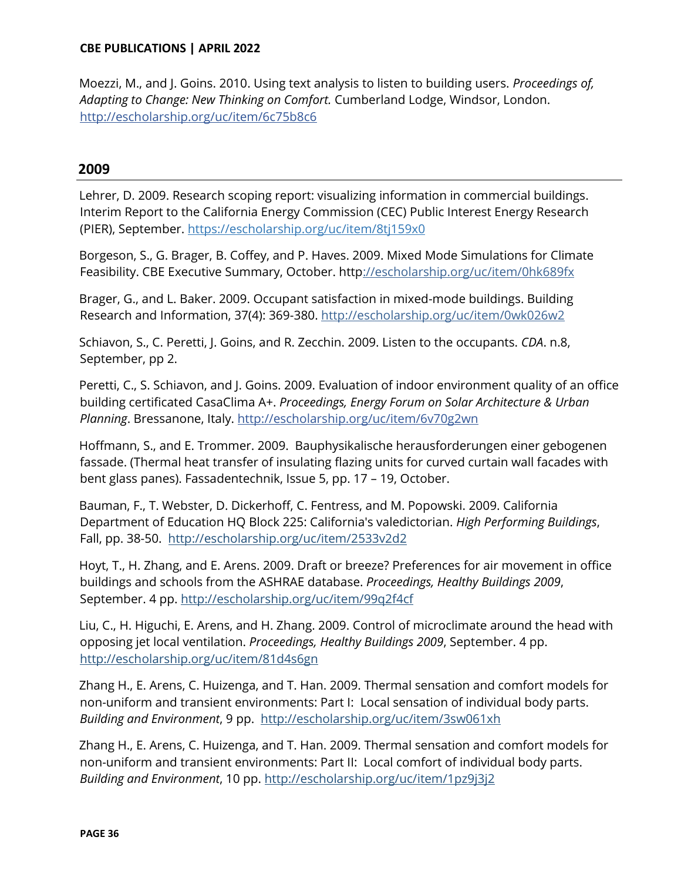Moezzi, M., and J. Goins. 2010. Using text analysis to listen to building users. *Proceedings of, Adapting to Change: New Thinking on Comfort.* Cumberland Lodge, Windsor, London. <http://escholarship.org/uc/item/6c75b8c6>

# **2009**

Lehrer, D. 2009. Research scoping report: visualizing information in commercial buildings. Interim Report to the California Energy Commission (CEC) Public Interest Energy Research (PIER), September.<https://escholarship.org/uc/item/8tj159x0>

Borgeson, S., G. Brager, B. Coffey, and P. Haves. 2009. Mixed Mode Simulations for Climate Feasibility. CBE Executive Summary, October. http://escholarship.org/uc/item/0hk689fx

Brager, G., and L. Baker. 2009. Occupant satisfaction in mixed-mode buildings. Building Research and Information, 37(4): 369-380. http://escholarship.org/uc/item/0wk026w2

Schiavon, S., C. Peretti, J. Goins, and R. Zecchin. 2009. Listen to the occupants. *CDA*. n.8, September, pp 2.

Peretti, C., S. Schiavon, and J. Goins. 2009. Evaluation of indoor environment quality of an office building certificated CasaClima A+. *Proceedings, Energy Forum on Solar Architecture & Urban Planning*. Bressanone, Italy.<http://escholarship.org/uc/item/6v70g2wn>

Hoffmann, S., and E. Trommer. 2009. Bauphysikalische herausforderungen einer gebogenen fassade. (Thermal heat transfer of insulating flazing units for curved curtain wall facades with bent glass panes). Fassadentechnik, Issue 5, pp. 17 - 19, October.

Bauman, F., T. Webster, D. Dickerhoff, C. Fentress, and M. Popowski. 2009. California Department of Education HQ Block 225: California's valedictorian. *High Performing Buildings*, Fall, pp. 38-50. <http://escholarship.org/uc/item/2533v2d2>

Hoyt, T., H. Zhang, and E. Arens. 2009. Draft or breeze? Preferences for air movement in office buildings and schools from the ASHRAE database. *Proceedings, Healthy Buildings 2009*, September. 4 pp.<http://escholarship.org/uc/item/99q2f4cf>

Liu, C., H. Higuchi, E. Arens, and H. Zhang. 2009. Control of microclimate around the head with opposing jet local ventilation. *Proceedings, Healthy Buildings 2009*, September. 4 pp. <http://escholarship.org/uc/item/81d4s6gn>

Zhang H., E. Arens, C. Huizenga, and T. Han. 2009. Thermal sensation and comfort models for non-uniform and transient environments: Part I: Local sensation of individual body parts. *Building and Environment*, 9 pp. <http://escholarship.org/uc/item/3sw061xh>

Zhang H., E. Arens, C. Huizenga, and T. Han. 2009. Thermal sensation and comfort models for non-uniform and transient environments: Part II: Local comfort of individual body parts. *Building and Environment*, 10 pp.<http://escholarship.org/uc/item/1pz9j3j2>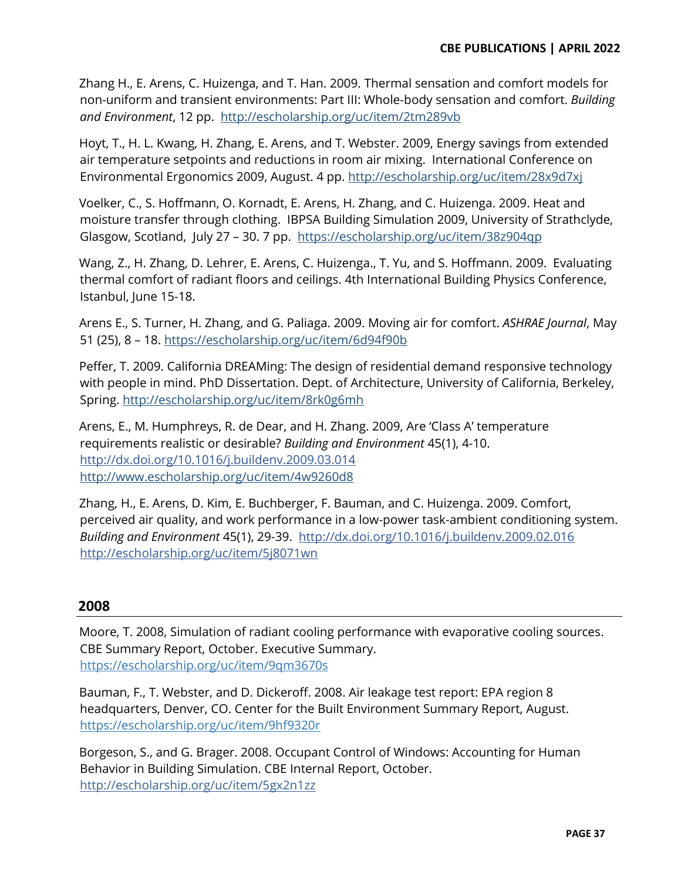Zhang H., E. Arens, C. Huizenga, and T. Han. 2009. Thermal sensation and comfort models for non-uniform and transient environments: Part III: Whole-body sensation and comfort. *Building and Environment*, 12 pp. <http://escholarship.org/uc/item/2tm289vb>

Hoyt, T., H. L. Kwang, H. Zhang, E. Arens, and T. Webster. 2009, Energy savings from extended air temperature setpoints and reductions in room air mixing. International Conference on Environmental Ergonomics 2009, August. 4 pp.<http://escholarship.org/uc/item/28x9d7xj>

Voelker, C., S. Hoffmann, O. Kornadt, E. Arens, H. Zhang, and C. Huizenga. 2009. Heat and moisture transfer through clothing. IBPSA Building Simulation 2009, University of Strathclyde, Glasgow, Scotland, July 27 - 30. 7 pp. <https://escholarship.org/uc/item/38z904qp>

Wang, Z., H. Zhang, D. Lehrer, E. Arens, C. Huizenga., T. Yu, and S. Hoffmann. 2009. Evaluating thermal comfort of radiant floors and ceilings. 4th International Building Physics Conference, Istanbul, June 15-18.

Arens E., S. Turner, H. Zhang, and G. Paliaga. 2009. Moving air for comfort. *ASHRAE Journal*, May 51 (25), 8 - 18. https://escholarship.org/uc/item/6d94f90b

Peffer, T. 2009. California DREAMing: The design of residential demand responsive technology with people in mind. PhD Dissertation. Dept. of Architecture, University of California, Berkeley, Spring.<http://escholarship.org/uc/item/8rk0g6mh>

Arens, E., M. Humphreys, R. de Dear, and H. Zhang. 2009, Are 'Class A' temperature requirements realistic or desirable? *Building and Environment* 45(1), 4-10. <http://dx.doi.org/10.1016/j.buildenv.2009.03.014> <http://www.escholarship.org/uc/item/4w9260d8>

Zhang, H., E. Arens, D. Kim, E. Buchberger, F. Bauman, and C. Huizenga. 2009. Comfort, perceived air quality, and work performance in a low-power task-ambient conditioning system. *Building and Environment* 45(1), 29-39. <http://dx.doi.org/10.1016/j.buildenv.2009.02.016> <http://escholarship.org/uc/item/5j8071wn>

# **2008**

Moore, T. 2008, Simulation of radiant cooling performance with evaporative cooling sources. CBE Summary Report, October. Executive Summary. <https://escholarship.org/uc/item/9qm3670s>

Bauman, F., T. Webster, and D. Dickeroff. 2008. Air leakage test report: EPA region 8 headquarters, Denver, CO. Center for the Built Environment Summary Report, August. <https://escholarship.org/uc/item/9hf9320r>

Borgeson, S., and G. Brager. 2008. Occupant Control of Windows: Accounting for Human Behavior in Building Simulation. CBE Internal Report, October. http://escholarship.org/uc/item/5gx2n1zz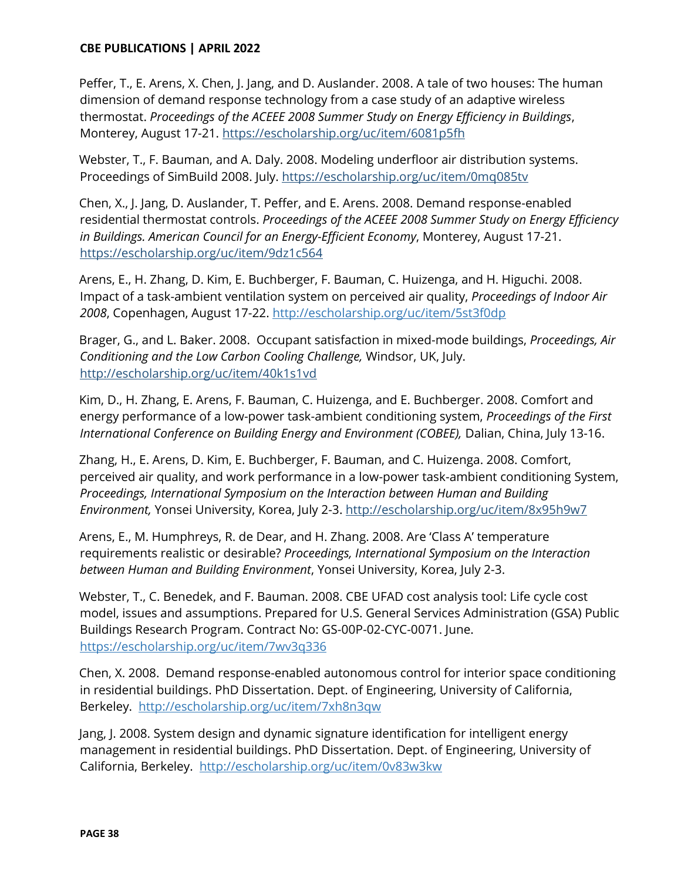Peffer, T., E. Arens, X. Chen, J. Jang, and D. Auslander. 2008. A tale of two houses: The human dimension of demand response technology from a case study of an adaptive wireless thermostat. *Proceedings of the ACEEE 2008 Summer Study on Energy Efficiency in Buildings*, Monterey, August 17-21.<https://escholarship.org/uc/item/6081p5fh>

Webster, T., F. Bauman, and A. Daly. 2008. Modeling underfloor air distribution systems. Proceedings of SimBuild 2008. July.<https://escholarship.org/uc/item/0mq085tv>

Chen, X., J. Jang, D. Auslander, T. Peffer, and E. Arens. 2008. Demand response-enabled residential thermostat controls. *Proceedings of the ACEEE 2008 Summer Study on Energy Efficiency in Buildings. American Council for an Energy-Efficient Economy*, Monterey, August 17-21. <https://escholarship.org/uc/item/9dz1c564>

Arens, E., H. Zhang, D. Kim, E. Buchberger, F. Bauman, C. Huizenga, and H. Higuchi. 2008. Impact of a task-ambient ventilation system on perceived air quality, *Proceedings of Indoor Air 2008*, Copenhagen, August 17-22.<http://escholarship.org/uc/item/5st3f0dp>

Brager, G., and L. Baker. 2008. Occupant satisfaction in mixed-mode buildings, *Proceedings, Air Conditioning and the Low Carbon Cooling Challenge,* Windsor, UK, July. <http://escholarship.org/uc/item/40k1s1vd>

Kim, D., H. Zhang, E. Arens, F. Bauman, C. Huizenga, and E. Buchberger. 2008. Comfort and energy performance of a low-power task-ambient conditioning system, *Proceedings of the First International Conference on Building Energy and Environment (COBEE),* Dalian, China, July 13-16.

Zhang, H., E. Arens, D. Kim, E. Buchberger, F. Bauman, and C. Huizenga. 2008. Comfort, perceived air quality, and work performance in a low-power task-ambient conditioning System, *Proceedings, International Symposium on the Interaction between Human and Building Environment,* Yonsei University, Korea, July 2-3.<http://escholarship.org/uc/item/8x95h9w7>

Arens, E., M. Humphreys, R. de Dear, and H. Zhang. 2008. Are 'Class A' temperature requirements realistic or desirable? *Proceedings, International Symposium on the Interaction between Human and Building Environment*, Yonsei University, Korea, July 2-3.

Webster, T., C. Benedek, and F. Bauman. 2008. CBE UFAD cost analysis tool: Life cycle cost model, issues and assumptions. Prepared for U.S. General Services Administration (GSA) Public Buildings Research Program. Contract No: GS-00P-02-CYC-0071. June. <https://escholarship.org/uc/item/7wv3q336>

Chen, X. 2008. Demand response-enabled autonomous control for interior space conditioning in residential buildings. PhD Dissertation. Dept. of Engineering, University of California, Berkeley. <http://escholarship.org/uc/item/7xh8n3qw>

Jang, J. 2008. System design and dynamic signature identification for intelligent energy management in residential buildings. PhD Dissertation. Dept. of Engineering, University of California, Berkeley. <http://escholarship.org/uc/item/0v83w3kw>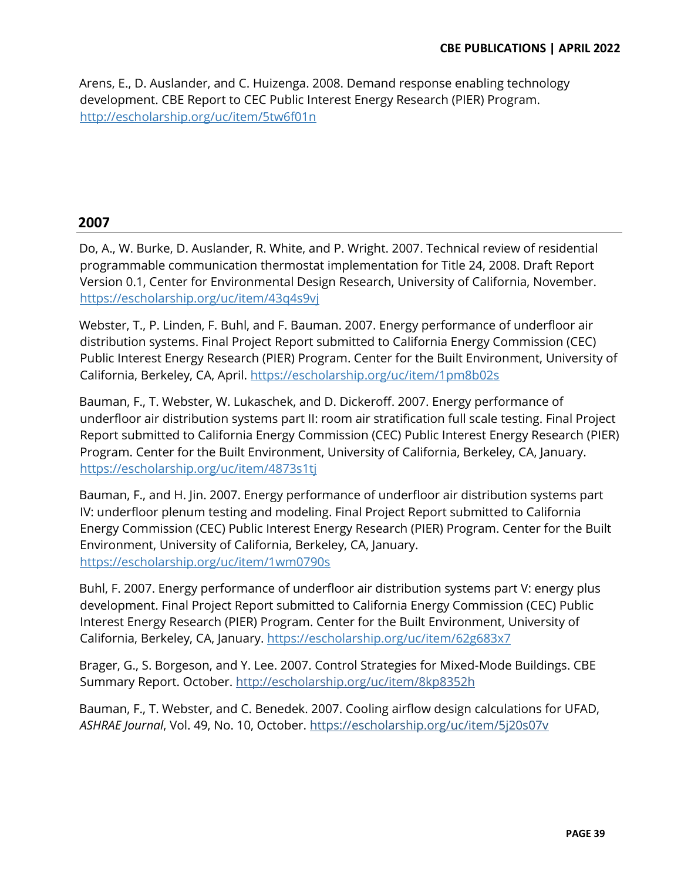Arens, E., D. Auslander, and C. Huizenga. 2008. Demand response enabling technology development. CBE Report to CEC Public Interest Energy Research (PIER) Program. http://escholarship.org/uc/item/5tw6f01n

# **2007**

Do, A., W. Burke, D. Auslander, R. White, and P. Wright. 2007. Technical review of residential programmable communication thermostat implementation for Title 24, 2008. Draft Report Version 0.1, Center for Environmental Design Research, University of California, November. <https://escholarship.org/uc/item/43q4s9vj>

Webster, T., P. Linden, F. Buhl, and F. Bauman. 2007. Energy performance of underfloor air distribution systems. Final Project Report submitted to California Energy Commission (CEC) Public Interest Energy Research (PIER) Program. Center for the Built Environment, University of California, Berkeley, CA, April.<https://escholarship.org/uc/item/1pm8b02s>

Bauman, F., T. Webster, W. Lukaschek, and D. Dickeroff. 2007. Energy performance of underfloor air distribution systems part II: room air stratification full scale testing. Final Project Report submitted to California Energy Commission (CEC) Public Interest Energy Research (PIER) Program. Center for the Built Environment, University of California, Berkeley, CA, January. <https://escholarship.org/uc/item/4873s1tj>

Bauman, F., and H. Jin. 2007. Energy performance of underfloor air distribution systems part IV: underfloor plenum testing and modeling. Final Project Report submitted to California Energy Commission (CEC) Public Interest Energy Research (PIER) Program. Center for the Built Environment, University of California, Berkeley, CA, January. <https://escholarship.org/uc/item/1wm0790s>

Buhl, F. 2007. Energy performance of underfloor air distribution systems part V: energy plus development. Final Project Report submitted to California Energy Commission (CEC) Public Interest Energy Research (PIER) Program. Center for the Built Environment, University of California, Berkeley, CA, January.<https://escholarship.org/uc/item/62g683x7>

Brager, G., S. Borgeson, and Y. Lee. 2007. Control Strategies for Mixed-Mode Buildings. CBE Summary Report. October. http://escholarship.org/uc/item/8kp8352h

Bauman, F., T. Webster, and C. Benedek. 2007. Cooling airflow design calculations for UFAD, *ASHRAE Journal*, Vol. 49, No. 10, October.<https://escholarship.org/uc/item/5j20s07v>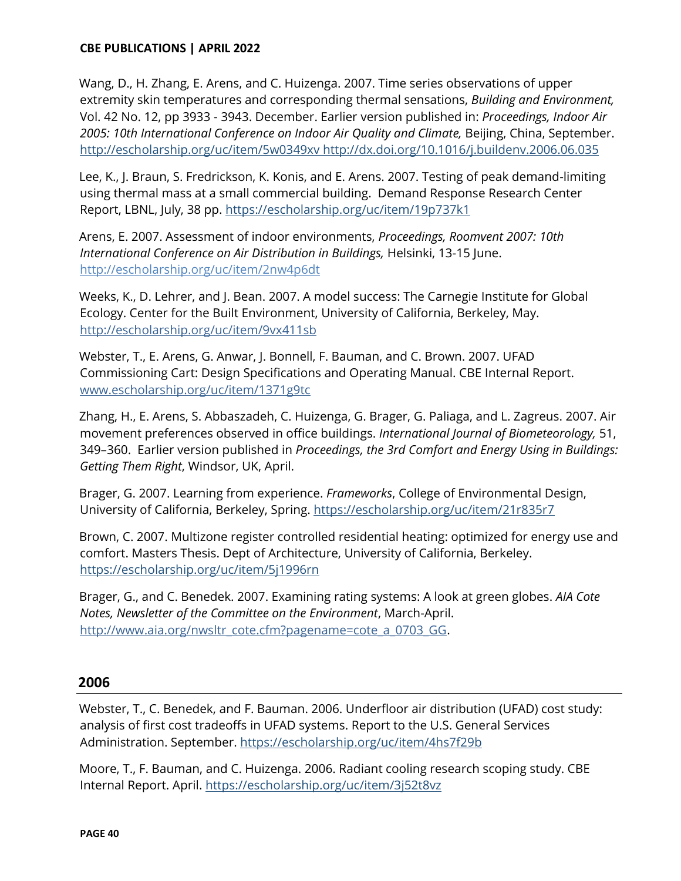Wang, D., H. Zhang, E. Arens, and C. Huizenga. 2007. Time series observations of upper extremity skin temperatures and corresponding thermal sensations, *Building and Environment,* Vol. 42 No. 12, pp 3933 - 3943. December. Earlier version published in: *Proceedings, Indoor Air 2005: 10th International Conference on Indoor Air Quality and Climate,* Beijing, China, September. <http://escholarship.org/uc/item/5w0349xv> <http://dx.doi.org/10.1016/j.buildenv.2006.06.035>

Lee, K., J. Braun, S. Fredrickson, K. Konis, and E. Arens. 2007. Testing of peak demand-limiting using thermal mass at a small commercial building. Demand Response Research Center Report, LBNL, July, 38 pp.<https://escholarship.org/uc/item/19p737k1>

Arens, E. 2007. Assessment of indoor environments, *Proceedings, Roomvent 2007: 10th International Conference on Air Distribution in Buildings,* Helsinki, 13-15 June[.](http://escholarship.org/uc/item/2nw4p6dt) <http://escholarship.org/uc/item/2nw4p6dt>

Weeks, K., D. Lehrer, and J. Bean. 2007. A model success: The Carnegie Institute for Global Ecology. Center for the Built Environment, University of California, Berkeley, May. http://escholarship.org/uc/item/9vx411sb

Webster, T., E. Arens, G. Anwar, J. Bonnell, F. Bauman, and C. Brown. 2007. UFAD Commissioning Cart: Design Specifications and Operating Manual. CBE Internal Report. [www.escholarship.org/uc/item/1371g9tc](about:blank)

Zhang, H., E. Arens, S. Abbaszadeh, C. Huizenga, G. Brager, G. Paliaga, and L. Zagreus. 2007. Air movement preferences observed in office buildings. *International Journal of Biometeorology,* 51, 349-360. Earlier version published in Proceedings, the 3rd Comfort and Energy Using in Buildings: *Getting Them Right*, Windsor, UK, April.

Brager, G. 2007. Learning from experience. *Frameworks*, College of Environmental Design, University of California, Berkeley, Spring.<https://escholarship.org/uc/item/21r835r7>

Brown, C. 2007. Multizone register controlled residential heating: optimized for energy use and comfort. Masters Thesis. Dept of Architecture, University of California, Berkeley. <https://escholarship.org/uc/item/5j1996rn>

Brager, G., and C. Benedek. 2007. Examining rating systems: A look at green globes. *AIA Cote Notes, Newsletter of the Committee on the Environment*, March-April. http://www.aia.org/nwsltr\_cote.cfm?pagename=cote\_a\_0703\_GG.

# **2006**

Webster, T., C. Benedek, and F. Bauman. 2006. Underfloor air distribution (UFAD) cost study: analysis of first cost tradeoffs in UFAD systems. Report to the U.S. General Services Administration. September.<https://escholarship.org/uc/item/4hs7f29b>

Moore, T., F. Bauman, and C. Huizenga. 2006. Radiant cooling research scoping study. CBE Internal Report. April.<https://escholarship.org/uc/item/3j52t8vz>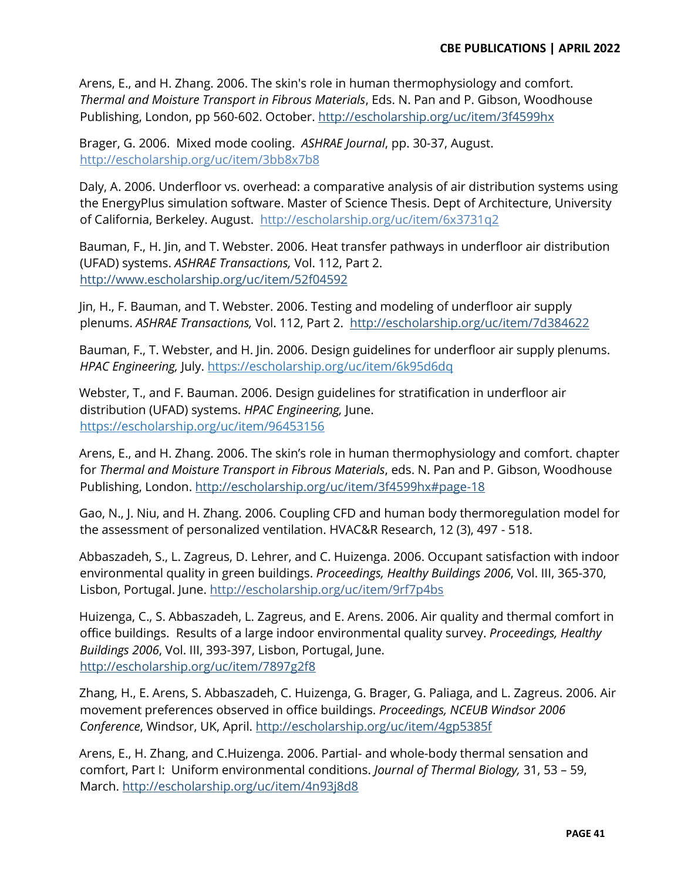Arens, E., and H. Zhang. 2006. The skin's role in human thermophysiology and comfort. *Thermal and Moisture Transport in Fibrous Materials*, Eds. N. Pan and P. Gibson, Woodhouse Publishing, London, pp 560-602. October.<http://escholarship.org/uc/item/3f4599hx>

Brager, G. 2006. Mixed mode cooling. *ASHRAE Journal*, pp. 30-37, August. <http://escholarship.org/uc/item/3bb8x7b8>

Daly, A. 2006. Underfloor vs. overhead: a comparative analysis of air distribution systems using the EnergyPlus simulation software. Master of Science Thesis. Dept of Architecture, University of California, Berkeley. August. <http://escholarship.org/uc/item/6x3731q2>

Bauman, F., H. Jin, and T. Webster. 2006. Heat transfer pathways in underfloor air distribution (UFAD) systems. *ASHRAE Transactions,* Vol. 112, Part 2. <http://www.escholarship.org/uc/item/52f04592>

Jin, H., F. Bauman, and T. Webster. 2006. Testing and modeling of underfloor air supply plenums. *ASHRAE Transactions,* Vol. 112, Part 2. <http://escholarship.org/uc/item/7d384622>

Bauman, F., T. Webster, and H. Jin. 2006. Design guidelines for underfloor air supply plenums. *HPAC Engineering,* July.<https://escholarship.org/uc/item/6k95d6dq>

Webster, T., and F. Bauman. 2006. Design guidelines for stratification in underfloor air distribution (UFAD) systems. *HPAC Engineering,* June. <https://escholarship.org/uc/item/96453156>

Arens, E., and H. Zhang. 2006. The skin's role in human thermophysiology and comfort. chapter for *Thermal and Moisture Transport in Fibrous Materials*, eds. N. Pan and P. Gibson, Woodhouse Publishing, London. [http://escholarship.org/uc/item/3f4599hx#page-18](http://escholarship.org/uc/item/3f4599hx)

Gao, N., J. Niu, and H. Zhang. 2006. Coupling CFD and human body thermoregulation model for the assessment of personalized ventilation. HVAC&R Research, 12 (3), 497 - 518.

Abbaszadeh, S., L. Zagreus, D. Lehrer, and C. Huizenga. 2006. Occupant satisfaction with indoor environmental quality in green buildings. *Proceedings, Healthy Buildings 2006*, Vol. III, 365-370, Lisbon, Portugal. June. http://escholarship.org/uc/item/9rf7p4bs

Huizenga, C., S. Abbaszadeh, L. Zagreus, and E. Arens. 2006. Air quality and thermal comfort in office buildings. Results of a large indoor environmental quality survey. *Proceedings, Healthy Buildings 2006*, Vol. III, 393-397, Lisbon, Portugal, June. <http://escholarship.org/uc/item/7897g2f8>

Zhang, H., E. Arens, S. Abbaszadeh, C. Huizenga, G. Brager, G. Paliaga, and L. Zagreus. 2006. Air movement preferences observed in office buildings. *Proceedings, NCEUB Windsor 2006 Conference*, Windsor, UK, April.<http://escholarship.org/uc/item/4gp5385f>

Arens, E., H. Zhang, and C.Huizenga. 2006. Partial- and whole-body thermal sensation and comfort, Part I: Uniform environmental conditions. *Journal of Thermal Biology*, 31, 53 - 59, March.<http://escholarship.org/uc/item/4n93j8d8>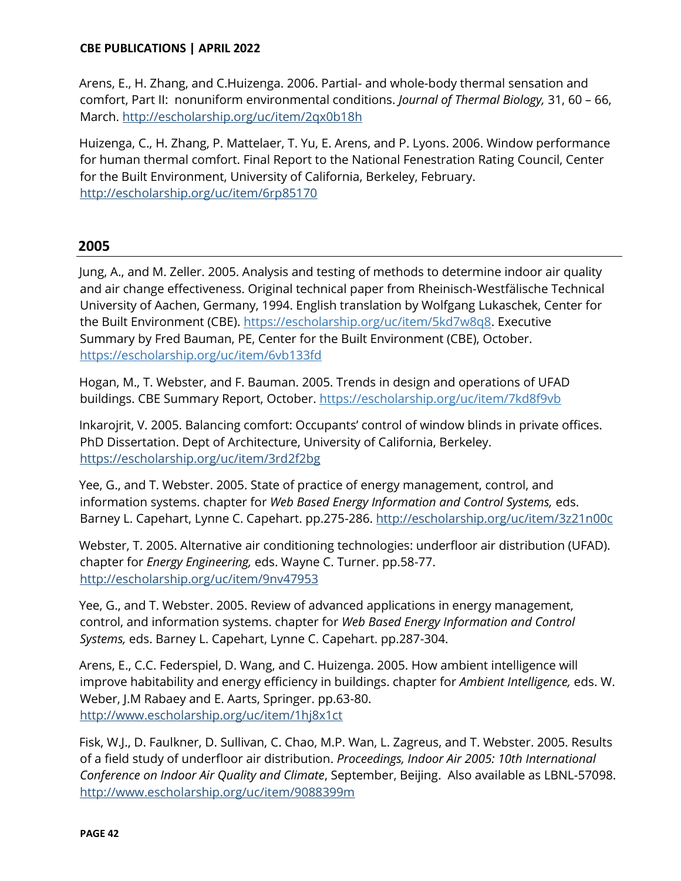Arens, E., H. Zhang, and C.Huizenga. 2006. Partial- and whole-body thermal sensation and comfort, Part II: nonuniform environmental conditions. *Journal of Thermal Biology*, 31, 60 - 66, March.<http://escholarship.org/uc/item/2qx0b18h>

Huizenga, C., H. Zhang, P. Mattelaer, T. Yu, E. Arens, and P. Lyons. 2006. Window performance for human thermal comfort. Final Report to the National Fenestration Rating Council, Center for the Built Environment, University of California, Berkeley, February. <http://escholarship.org/uc/item/6rp85170>

# **2005**

Jung, A., and M. Zeller. 2005. Analysis and testing of methods to determine indoor air quality and air change effectiveness. Original technical paper from Rheinisch-Westfälische Technical University of Aachen, Germany, 1994. English translation by Wolfgang Lukaschek, Center for the Built Environment (CBE). [https://escholarship.org/uc/item/5kd7w8q8.](https://escholarship.org/uc/item/5kd7w8q8) [Executive](http://www.cbe.berkeley.edu/research/pdf_files/SR_Zeller2006_ExSummary.pdf)  [Summary](http://www.cbe.berkeley.edu/research/pdf_files/SR_Zeller2006_ExSummary.pdf) by Fred Bauman, PE, Center for the Built Environment (CBE), October. <https://escholarship.org/uc/item/6vb133fd>

Hogan, M., T. Webster, and F. Bauman. 2005. Trends in design and operations of UFAD buildings. CBE Summary Report, October.<https://escholarship.org/uc/item/7kd8f9vb>

Inkarojrit, V. 2005. Balancing comfort: Occupants' control of window blinds in private offices. PhD Dissertation. Dept of Architecture, University of California, Berkeley. <https://escholarship.org/uc/item/3rd2f2bg>

Yee, G., and T. Webster. 2005. State of practice of energy management, control, and information systems. chapter for *Web Based Energy Information and Control Systems,* eds. Barney L. Capehart, Lynne C. Capehart. pp.275-286.<http://escholarship.org/uc/item/3z21n00c>

Webster, T. 2005. Alternative air conditioning technologies: underfloor air distribution (UFAD). chapter for *Energy Engineering,* eds. Wayne C. Turner. pp.58-77. <http://escholarship.org/uc/item/9nv47953>

Yee, G., and T. Webster. 2005. Review of advanced applications in energy management, control, and information systems. chapter for *Web Based Energy Information and Control Systems,* eds. Barney L. Capehart, Lynne C. Capehart. pp.287-304.

Arens, E., C.C. Federspiel, D. Wang, and C. Huizenga. 2005. How ambient intelligence will improve habitability and energy efficiency in buildings. chapter for *Ambient Intelligence,* eds. W. Weber, J.M Rabaey and E. Aarts, Springer. pp.63-80. <http://www.escholarship.org/uc/item/1hj8x1ct>

Fisk, W.J., D. Faulkner, D. Sullivan, C. Chao, M.P. Wan, L. Zagreus, and T. Webster. 2005. Results of a field study of underfloor air distribution. *Proceedings, Indoor Air 2005: 10th International Conference on Indoor Air Quality and Climate*, September, Beijing. Also available as LBNL-57098. <http://www.escholarship.org/uc/item/9088399m>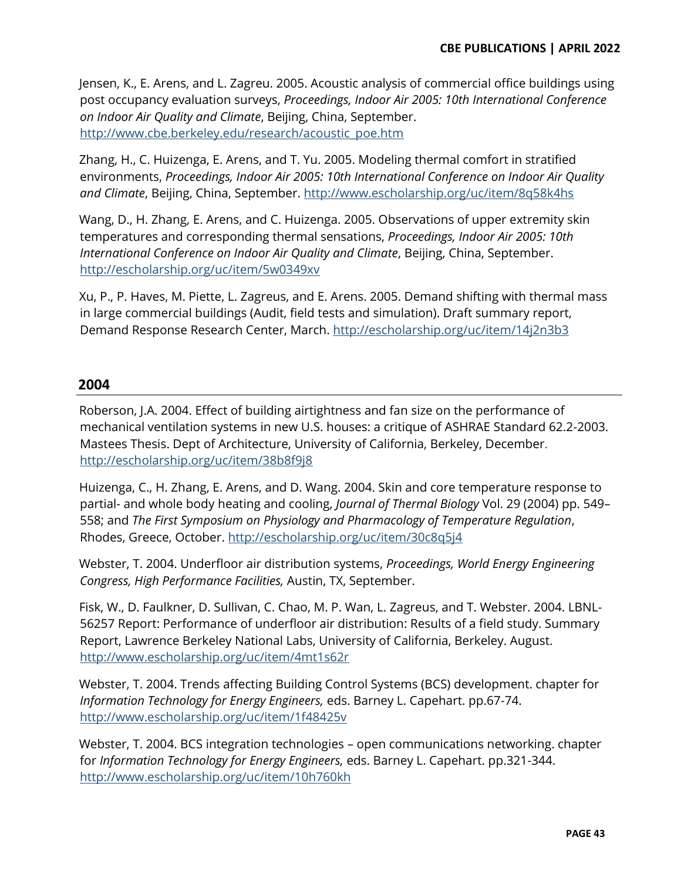Jensen, K., E. Arens, and L. Zagreu. 2005. Acoustic analysis of commercial office buildings using post occupancy evaluation surveys, *Proceedings, Indoor Air 2005: 10th International Conference on Indoor Air Quality and Climate*, Beijing, China, September. [http://www.cbe.berkeley.edu/research/acoustic\\_poe.htm](http://www.cbe.berkeley.edu/research/acoustic_poe.htm)

Zhang, H., C. Huizenga, E. Arens, and T. Yu. 2005. Modeling thermal comfort in stratified environments, *Proceedings, Indoor Air 2005: 10th International Conference on Indoor Air Quality and Climate*, Beijing, China, September.<http://www.escholarship.org/uc/item/8q58k4hs>

Wang, D., H. Zhang, E. Arens, and C. Huizenga. 2005. Observations of upper extremity skin temperatures and corresponding thermal sensations, *Proceedings, Indoor Air 2005: 10th International Conference on Indoor Air Quality and Climate*, Beijing, China, September. <http://escholarship.org/uc/item/5w0349xv>

Xu, P., P. Haves, M. Piette, L. Zagreus, and E. Arens. 2005. Demand shifting with thermal mass in large commercial buildings (Audit, field tests and simulation). Draft summary report, Demand Response Research Center, March.<http://escholarship.org/uc/item/14j2n3b3>

# **2004**

Roberson, J.A. 2004. Effect of building airtightness and fan size on the performance of mechanical ventilation systems in new U.S. houses: a critique of ASHRAE Standard 62.2-2003. Mastees Thesis. Dept of Architecture, University of California, Berkeley, December. <http://escholarship.org/uc/item/38b8f9j8>

Huizenga, C., H. Zhang, E. Arens, and D. Wang. 2004. Skin and core temperature response to partial- and whole body heating and cooling, *Journal of Thermal Biology* Vol. 29 (2004) pp. 549– 558; and *The First Symposium on Physiology and Pharmacology of Temperature Regulation*, Rhodes, Greece, October.<http://escholarship.org/uc/item/30c8q5j4>

Webster, T. 2004. Underfloor air distribution systems, *Proceedings, World Energy Engineering Congress, High Performance Facilities,* Austin, TX, September.

Fisk, W., D. Faulkner, D. Sullivan, C. Chao, M. P. Wan, L. Zagreus, and T. Webster. 2004. LBNL-56257 Report: Performance of underfloor air distribution: Results of a field study. Summary Report, Lawrence Berkeley National Labs, University of California, Berkeley. August. <http://www.escholarship.org/uc/item/4mt1s62r>

Webster, T. 2004. Trends affecting Building Control Systems (BCS) development. chapter for *Information Technology for Energy Engineers,* eds. Barney L. Capehart. pp.67-74. <http://www.escholarship.org/uc/item/1f48425v>

Webster, T. 2004. BCS integration technologies – open communications networking. chapter for *Information Technology for Energy Engineers,* eds. Barney L. Capehart. pp.321-344. <http://www.escholarship.org/uc/item/10h760kh>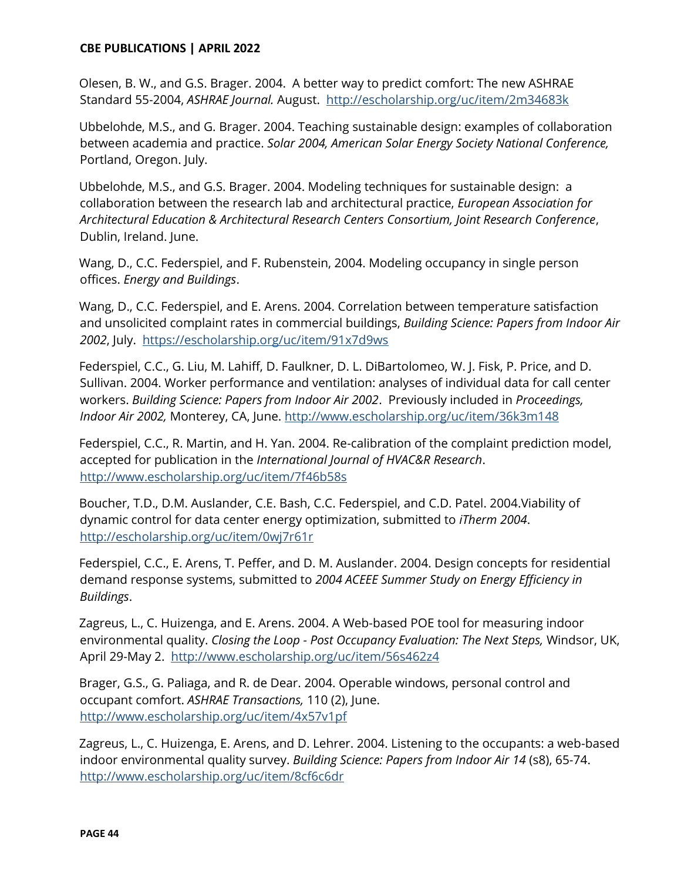Olesen, B. W., and G.S. Brager. 2004. A better way to predict comfort: The new ASHRAE Standard 55-2004, *ASHRAE Journal.* August. <http://escholarship.org/uc/item/2m34683k>

Ubbelohde, M.S., and G. Brager. 2004. Teaching sustainable design: examples of collaboration between academia and practice. *Solar 2004, American Solar Energy Society National Conference,* Portland, Oregon. July.

Ubbelohde, M.S., and G.S. Brager. 2004. Modeling techniques for sustainable design: a collaboration between the research lab and architectural practice, *European Association for Architectural Education & Architectural Research Centers Consortium, Joint Research Conference*, Dublin, Ireland. June.

Wang, D., C.C. Federspiel, and F. Rubenstein, 2004. Modeling occupancy in single person offices. *Energy and Buildings*.

Wang, D., C.C. Federspiel, and E. Arens. 2004. Correlation between temperature satisfaction and unsolicited complaint rates in commercial buildings, *Building Science: Papers from Indoor Air 2002*, July. <https://escholarship.org/uc/item/91x7d9ws>

Federspiel, C.C., G. Liu, M. Lahiff, D. Faulkner, D. L. DiBartolomeo, W. J. Fisk, P. Price, and D. Sullivan. 2004. Worker performance and ventilation: analyses of individual data for call center workers. *Building Science: Papers from Indoor Air 2002*. Previously included in *Proceedings, Indoor Air 2002,* Monterey, CA, June.<http://www.escholarship.org/uc/item/36k3m148>

Federspiel, C.C., R. Martin, and H. Yan. 2004. Re-calibration of the complaint prediction model, accepted for publication in the *International Journal of HVAC&R Research*. <http://www.escholarship.org/uc/item/7f46b58s>

Boucher, T.D., D.M. Auslander, C.E. Bash, C.C. Federspiel, and C.D. Patel. 2004.Viability of dynamic control for data center energy optimization, submitted to *iTherm 2004*. <http://escholarship.org/uc/item/0wj7r61r>

Federspiel, C.C., E. Arens, T. Peffer, and D. M. Auslander. 2004. Design concepts for residential demand response systems, submitted to *2004 ACEEE Summer Study on Energy Efficiency in Buildings*.

Zagreus, L., C. Huizenga, and E. Arens. 2004. A Web-based POE tool for measuring indoor environmental quality. *Closing the Loop - Post Occupancy Evaluation: The Next Steps,* Windsor, UK, April 29-May 2. <http://www.escholarship.org/uc/item/56s462z4>

Brager, G.S., G. Paliaga, and R. de Dear. 2004. Operable windows, personal control and occupant comfort. *ASHRAE Transactions,* 110 (2), June. <http://www.escholarship.org/uc/item/4x57v1pf>

Zagreus, L., C. Huizenga, E. Arens, and D. Lehrer. 2004. Listening to the occupants: a web-based indoor environmental quality survey. *Building Science: Papers from Indoor Air 14* (s8), 65-74. <http://www.escholarship.org/uc/item/8cf6c6dr>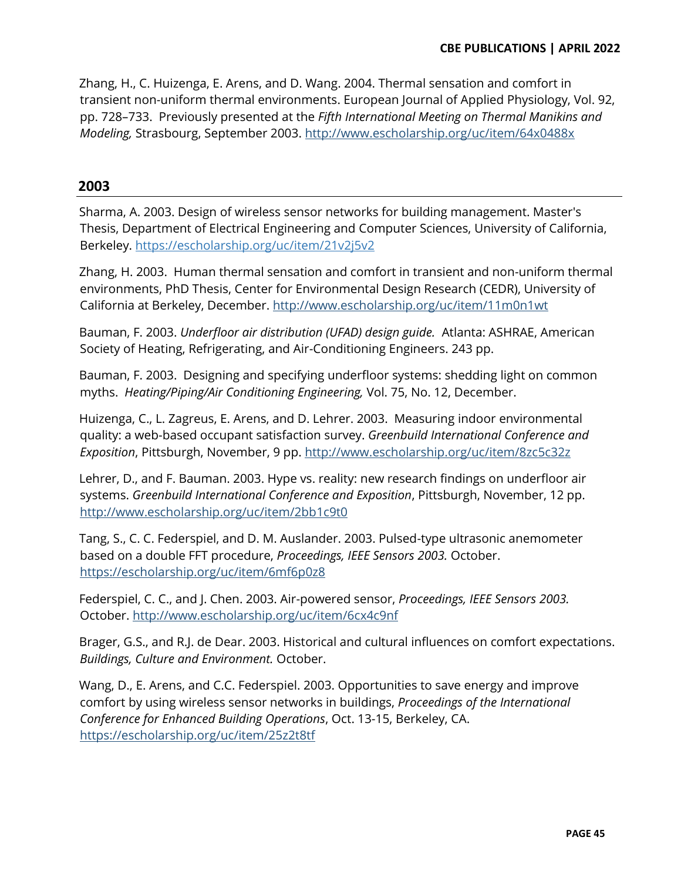Zhang, H., C. Huizenga, E. Arens, and D. Wang. 2004. Thermal sensation and comfort in transient non-uniform thermal environments. European Journal of Applied Physiology, Vol. 92, pp. 728-733. Previously presented at the *Fifth International Meeting on Thermal Manikins and Modeling,* Strasbourg, September 2003. <http://www.escholarship.org/uc/item/64x0488x>

# **2003**

Sharma, A. 2003. Design of wireless sensor networks for building management. Master's Thesis, Department of Electrical Engineering and Computer Sciences, University of California, Berkeley.<https://escholarship.org/uc/item/21v2j5v2>

Zhang, H. 2003. Human thermal sensation and comfort in transient and non-uniform thermal environments, PhD Thesis, Center for Environmental Design Research (CEDR), University of California at Berkeley, December.<http://www.escholarship.org/uc/item/11m0n1wt>

Bauman, F. 2003. *Underfloor air distribution (UFAD) design guide.* Atlanta: ASHRAE, American Society of Heating, Refrigerating, and Air-Conditioning Engineers. 243 pp.

Bauman, F. 2003. Designing and specifying underfloor systems: shedding light on common myths. *Heating/Piping/Air Conditioning Engineering,* Vol. 75, No. 12, December.

Huizenga, C., L. Zagreus, E. Arens, and D. Lehrer. 2003. Measuring indoor environmental quality: a web-based occupant satisfaction survey. *Greenbuild International Conference and Exposition*, Pittsburgh, November, 9 pp.<http://www.escholarship.org/uc/item/8zc5c32z>

Lehrer, D., and F. Bauman. 2003. Hype vs. reality: new research findings on underfloor air systems. *Greenbuild International Conference and Exposition*, Pittsburgh, November, 12 pp. <http://www.escholarship.org/uc/item/2bb1c9t0>

Tang, S., C. C. Federspiel, and D. M. Auslander. 2003. Pulsed-type ultrasonic anemometer based on a double FFT procedure, *Proceedings, IEEE Sensors 2003.* October. <https://escholarship.org/uc/item/6mf6p0z8>

Federspiel, C. C., and J. Chen. 2003. Air-powered sensor, *Proceedings, IEEE Sensors 2003.* October.<http://www.escholarship.org/uc/item/6cx4c9nf>

Brager, G.S., and R.J. de Dear. 2003. Historical and cultural influences on comfort expectations. *Buildings, Culture and Environment.* October.

Wang, D., E. Arens, and C.C. Federspiel. 2003. Opportunities to save energy and improve comfort by using wireless sensor networks in buildings, *Proceedings of the International Conference for Enhanced Building Operations*, Oct. 13-15, Berkeley, CA. <https://escholarship.org/uc/item/25z2t8tf>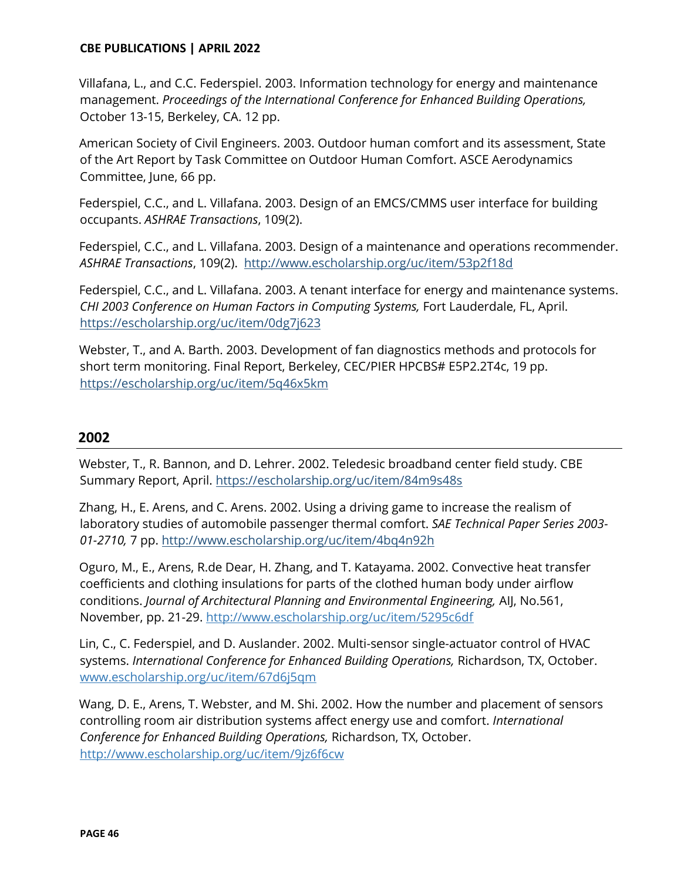Villafana, L., and C.C. Federspiel. 2003. Information technology for energy and maintenance management. *Proceedings of the International Conference for Enhanced Building Operations,*  October 13-15, Berkeley, CA. 12 pp.

American Society of Civil Engineers. 2003. Outdoor human comfort and its assessment, State of the Art Report by Task Committee on Outdoor Human Comfort. ASCE Aerodynamics Committee, June, 66 pp.

Federspiel, C.C., and L. Villafana. 2003. Design of an EMCS/CMMS user interface for building occupants. *ASHRAE Transactions*, 109(2).

Federspiel, C.C., and L. Villafana. 2003. Design of a maintenance and operations recommender. *ASHRAE Transactions*, 109(2). <http://www.escholarship.org/uc/item/53p2f18d>

Federspiel, C.C., and L. Villafana. 2003. A tenant interface for energy and maintenance systems. *CHI 2003 Conference on Human Factors in Computing Systems,* Fort Lauderdale, FL, April. <https://escholarship.org/uc/item/0dg7j623>

Webster, T., and A. Barth. 2003. Development of fan diagnostics methods and protocols for short term monitoring. Final Report, Berkeley, CEC/PIER HPCBS# E5P2.2T4c, 19 pp. <https://escholarship.org/uc/item/5q46x5km>

# **2002**

Webster, T., R. Bannon, and D. Lehrer. 2002. Teledesic broadband center field study. CBE Summary Report, April.<https://escholarship.org/uc/item/84m9s48s>

Zhang, H., E. Arens, and C. Arens. 2002. Using a driving game to increase the realism of laboratory studies of automobile passenger thermal comfort. *SAE Technical Paper Series 2003- 01-2710,* 7 pp.<http://www.escholarship.org/uc/item/4bq4n92h>

Oguro, M., E., Arens, R.de Dear, H. Zhang, and T. Katayama. 2002. Convective heat transfer coefficients and clothing insulations for parts of the clothed human body under airflow conditions. *Journal of Architectural Planning and Environmental Engineering,* AIJ, No.561, November, pp. 21-29.<http://www.escholarship.org/uc/item/5295c6df>

Lin, C., C. Federspiel, and D. Auslander. 2002. Multi-sensor single-actuator control of HVAC systems. *International Conference for Enhanced Building Operations,* Richardson, TX, October. [www.escholarship.org/uc/item/67d6j5qm](http://www.escholarship.org/uc/item/67d6j5qm)

Wang, D. E., Arens, T. Webster, and M. Shi. 2002. How the number and placement of sensors controlling room air distribution systems affect energy use and comfort. *International Conference for Enhanced Building Operations,* Richardson, TX, October. <http://www.escholarship.org/uc/item/9jz6f6cw>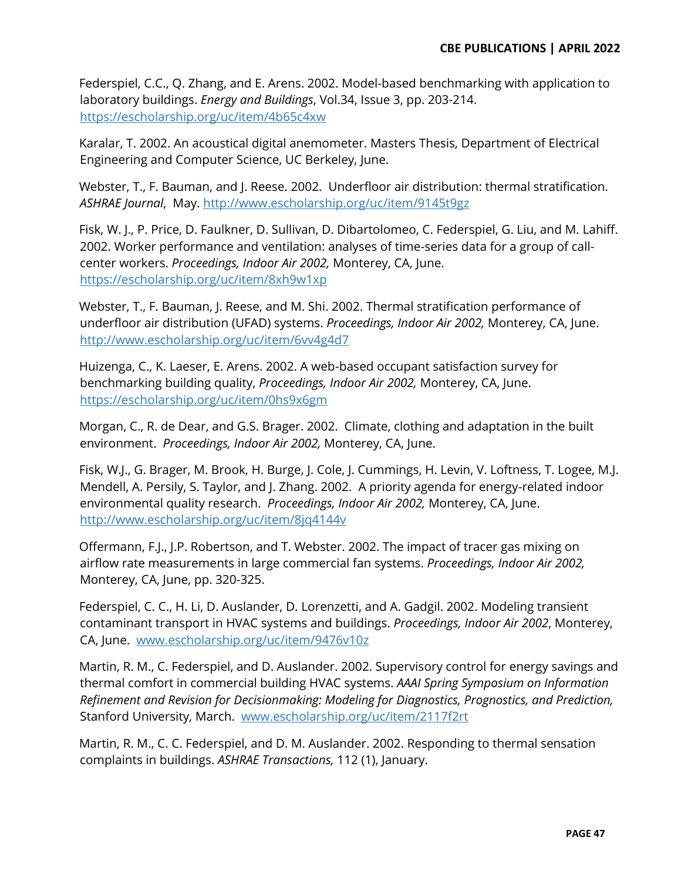Federspiel, C.C., Q. Zhang, and E. Arens. 2002. Model-based benchmarking with application to laboratory buildings. *Energy and Buildings*, Vol.34, Issue 3, pp. 203-214. <https://escholarship.org/uc/item/4b65c4xw>

Karalar, T. 2002. An acoustical digital anemometer. Masters Thesis, Department of Electrical Engineering and Computer Science, UC Berkeley, June.

Webster, T., F. Bauman, and J. Reese. 2002. Underfloor air distribution: thermal stratification. *ASHRAE Journal*, May.<http://www.escholarship.org/uc/item/9145t9gz>

Fisk, W. J., P. Price, D. Faulkner, D. Sullivan, D. Dibartolomeo, C. Federspiel, G. Liu, and M. Lahiff. 2002. Worker performance and ventilation: analyses of time-series data for a group of callcenter workers. *Proceedings, Indoor Air 2002,* Monterey, CA, June. <https://escholarship.org/uc/item/8xh9w1xp>

Webster, T., F. Bauman, J. Reese, and M. Shi. 2002. Thermal stratification performance of underfloor air distribution (UFAD) systems. *Proceedings, Indoor Air 2002,* Monterey, CA, June. <http://www.escholarship.org/uc/item/6vv4g4d7>

Huizenga, C., K. Laeser, E. Arens. 2002. A web-based occupant satisfaction survey for benchmarking building quality, *Proceedings, Indoor Air 2002,* Monterey, CA, June. <https://escholarship.org/uc/item/0hs9x6gm>

Morgan, C., R. de Dear, and G.S. Brager. 2002. Climate, clothing and adaptation in the built environment. *Proceedings, Indoor Air 2002,* Monterey, CA, June.

Fisk, W.J., G. Brager, M. Brook, H. Burge, J. Cole, J. Cummings, H. Levin, V. Loftness, T. Logee, M.J. Mendell, A. Persily, S. Taylor, and J. Zhang. 2002. A priority agenda for energy-related indoor environmental quality research. *Proceedings, Indoor Air 2002,* Monterey, CA, June. <http://www.escholarship.org/uc/item/8jq4144v>

Offermann, F.J., J.P. Robertson, and T. Webster. 2002. The impact of tracer gas mixing on airflow rate measurements in large commercial fan systems. *Proceedings, Indoor Air 2002,* Monterey, CA, June, pp. 320-325.

Federspiel, C. C., H. Li, D. Auslander, D. Lorenzetti, and A. Gadgil. 2002. Modeling transient contaminant transport in HVAC systems and buildings. *Proceedings, Indoor Air 2002*, Monterey, CA, June. [www.escholarship.org/uc/item/9476v10z](http://www.escholarship.org/uc/item/9476v10z)

Martin, R. M., C. Federspiel, and D. Auslander. 2002. Supervisory control for energy savings and thermal comfort in commercial building HVAC systems. *AAAI Spring Symposium on Information Refinement and Revision for Decisionmaking: Modeling for Diagnostics, Prognostics, and Prediction,* Stanford University, March. [www.escholarship.org/uc/item/2117f2rt](http://www.escholarship.org/uc/item/2117f2rt)

Martin, R. M., C. C. Federspiel, and D. M. Auslander. 2002. Responding to thermal sensation complaints in buildings. *ASHRAE Transactions,* 112 (1), January.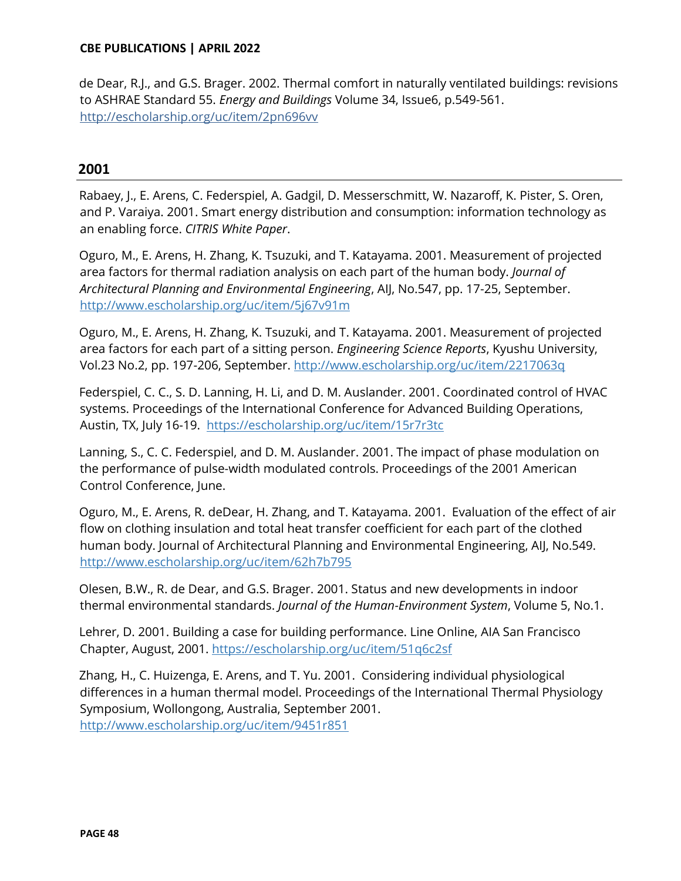de Dear, R.J., and G.S. Brager. 2002. Thermal comfort in naturally ventilated buildings: revisions to ASHRAE Standard 55. *Energy and Buildings* Volume 34, Issue6, p.549-561. http://escholarship.org/uc/item/2pn696vv

# **2001**

Rabaey, J., E. Arens, C. Federspiel, A. Gadgil, D. Messerschmitt, W. Nazaroff, K. Pister, S. Oren, and P. Varaiya. 2001. Smart energy distribution and consumption: information technology as an enabling force. *CITRIS White Paper*.

Oguro, M., E. Arens, H. Zhang, K. Tsuzuki, and T. Katayama. 2001. Measurement of projected area factors for thermal radiation analysis on each part of the human body. *Journal of Architectural Planning and Environmental Engineering*, AIJ, No.547, pp. 17-25, September. <http://www.escholarship.org/uc/item/5j67v91m>

Oguro, M., E. Arens, H. Zhang, K. Tsuzuki, and T. Katayama. 2001. Measurement of projected area factors for each part of a sitting person. *Engineering Science Reports*, Kyushu University, Vol.23 No.2, pp. 197-206, September.<http://www.escholarship.org/uc/item/2217063q>

Federspiel, C. C., S. D. Lanning, H. Li, and D. M. Auslander. 2001. Coordinated control of HVAC systems. Proceedings of the International Conference for Advanced Building Operations, Austin, TX, July 16-19. <https://escholarship.org/uc/item/15r7r3tc>

Lanning, S., C. C. Federspiel, and D. M. Auslander. 2001. The impact of phase modulation on the performance of pulse-width modulated controls. Proceedings of the 2001 American Control Conference, June.

Oguro, M., E. Arens, R. deDear, H. Zhang, and T. Katayama. 2001. Evaluation of the effect of air flow on clothing insulation and total heat transfer coefficient for each part of the clothed human body. Journal of Architectural Planning and Environmental Engineering, AIJ, No.549. <http://www.escholarship.org/uc/item/62h7b795>

Olesen, B.W., R. de Dear, and G.S. Brager. 2001. Status and new developments in indoor thermal environmental standards. *Journal of the Human-Environment System*, Volume 5, No.1.

Lehrer, D. 2001. Building a case for building performance. Line Online, AIA San Francisco Chapter, August, 2001.<https://escholarship.org/uc/item/51q6c2sf>

Zhang, H., C. Huizenga, E. Arens, and T. Yu. 2001. Considering individual physiological differences in a human thermal model. Proceedings of the International Thermal Physiology Symposium, Wollongong, Australia, September 2001. <http://www.escholarship.org/uc/item/9451r851>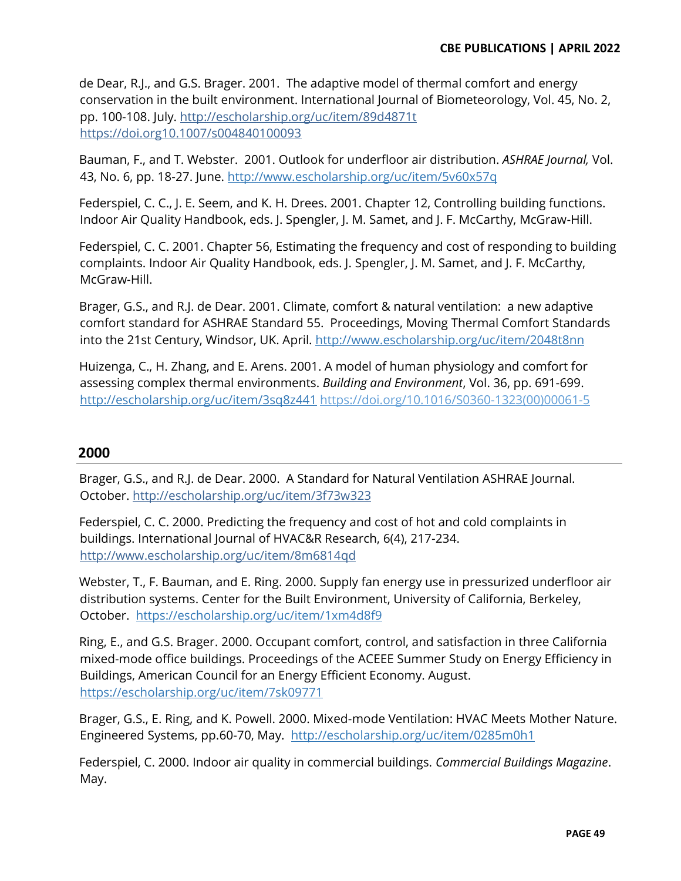de Dear, R.J., and G.S. Brager. 2001. The adaptive model of thermal comfort and energy conservation in the built environment. International Journal of Biometeorology, Vol. 45, No. 2, pp. 100-108. July. http://escholarship.org/uc/item/89d4871t https://doi.or[g10.1007/s004840100093](https://doi.org/10.1007/s004840100093)

Bauman, F., and T. Webster. 2001. Outlook for underfloor air distribution. *ASHRAE Journal,* Vol. 43, No. 6, pp. 18-27. June.<http://www.escholarship.org/uc/item/5v60x57q>

Federspiel, C. C., J. E. Seem, and K. H. Drees. 2001. Chapter 12, Controlling building functions. Indoor Air Quality Handbook, eds. J. Spengler, J. M. Samet, and J. F. McCarthy, McGraw-Hill.

Federspiel, C. C. 2001. Chapter 56, Estimating the frequency and cost of responding to building complaints. Indoor Air Quality Handbook, eds. J. Spengler, J. M. Samet, and J. F. McCarthy, McGraw-Hill.

Brager, G.S., and R.J. de Dear. 2001. Climate, comfort & natural ventilation: a new adaptive comfort standard for ASHRAE Standard 55. Proceedings, Moving Thermal Comfort Standards into the 21st Century, Windsor, UK. April.<http://www.escholarship.org/uc/item/2048t8nn>

Huizenga, C., H. Zhang, and E. Arens. 2001. A model of human physiology and comfort for assessing complex thermal environments. *Building and Environment*, Vol. 36, pp. 691-699. <http://escholarship.org/uc/item/3sq8z441> https://doi.org/10.1016/S0360-1323(00)00061-5

# **2000**

Brager, G.S., and R.J. de Dear. 2000. A Standard for Natural Ventilation ASHRAE Journal. October. http://escholarship.org/uc/item/3f73w323

Federspiel, C. C. 2000. Predicting the frequency and cost of hot and cold complaints in buildings. International Journal of HVAC&R Research, 6(4), 217-234. <http://www.escholarship.org/uc/item/8m6814qd>

Webster, T., F. Bauman, and E. Ring. 2000. Supply fan energy use in pressurized underfloor air distribution systems. Center for the Built Environment, University of California, Berkeley, October. <https://escholarship.org/uc/item/1xm4d8f9>

Ring, E., and G.S. Brager. 2000. Occupant comfort, control, and satisfaction in three California mixed-mode office buildings. Proceedings of the ACEEE Summer Study on Energy Efficiency in Buildings, American Council for an Energy Efficient Economy. August. <https://escholarship.org/uc/item/7sk09771>

Brager, G.S., E. Ring, and K. Powell. 2000. Mixed-mode Ventilation: HVAC Meets Mother Nature. Engineered Systems, pp.60-70, May. <http://escholarship.org/uc/item/0285m0h1>

Federspiel, C. 2000. Indoor air quality in commercial buildings. *Commercial Buildings Magazine*. May.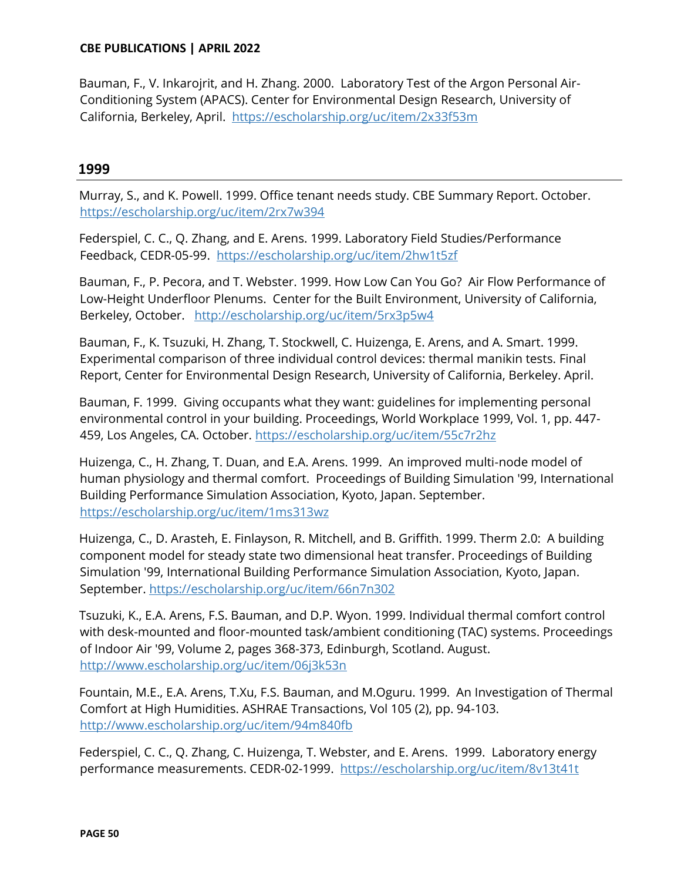Bauman, F., V. Inkarojrit, and H. Zhang. 2000. Laboratory Test of the Argon Personal Air-Conditioning System (APACS). Center for Environmental Design Research, University of California, Berkeley, April. <https://escholarship.org/uc/item/2x33f53m>

## **1999**

Murray, S., and K. Powell. 1999. Office tenant needs study. CBE Summary Report. October. <https://escholarship.org/uc/item/2rx7w394>

Federspiel, C. C., Q. Zhang, and E. Arens. 1999. Laboratory Field Studies/Performance Feedback, CEDR-05-99. <https://escholarship.org/uc/item/2hw1t5zf>

Bauman, F., P. Pecora, and T. Webster. 1999. How Low Can You Go? Air Flow Performance of Low-Height Underfloor Plenums. Center for the Built Environment, University of California, Berkeley, October. <http://escholarship.org/uc/item/5rx3p5w4>

Bauman, F., K. Tsuzuki, H. Zhang, T. Stockwell, C. Huizenga, E. Arens, and A. Smart. 1999. Experimental comparison of three individual control devices: thermal manikin tests. Final Report, Center for Environmental Design Research, University of California, Berkeley. April.

Bauman, F. 1999. Giving occupants what they want: guidelines for implementing personal environmental control in your building. Proceedings, World Workplace 1999, Vol. 1, pp. 447- 459, Los Angeles, CA. October.<https://escholarship.org/uc/item/55c7r2hz>

Huizenga, C., H. Zhang, T. Duan, and E.A. Arens. 1999. An improved multi-node model of human physiology and thermal comfort. Proceedings of Building Simulation '99, International Building Performance Simulation Association, Kyoto, Japan. September. <https://escholarship.org/uc/item/1ms313wz>

Huizenga, C., D. Arasteh, E. Finlayson, R. Mitchell, and B. Griffith. 1999. Therm 2.0: A building component model for steady state two dimensional heat transfer. Proceedings of Building Simulation '99, International Building Performance Simulation Association, Kyoto, Japan. September.<https://escholarship.org/uc/item/66n7n302>

Tsuzuki, K., E.A. Arens, F.S. Bauman, and D.P. Wyon. 1999. Individual thermal comfort control with desk-mounted and floor-mounted task/ambient conditioning (TAC) systems. Proceedings of Indoor Air '99, Volume 2, pages 368-373, Edinburgh, Scotland. August. <http://www.escholarship.org/uc/item/06j3k53n>

Fountain, M.E., E.A. Arens, T.Xu, F.S. Bauman, and M.Oguru. 1999. An Investigation of Thermal Comfort at High Humidities. ASHRAE Transactions, Vol 105 (2), pp. 94-103. <http://www.escholarship.org/uc/item/94m840fb>

Federspiel, C. C., Q. Zhang, C. Huizenga, T. Webster, and E. Arens. 1999. Laboratory energy performance measurements. CEDR-02-1999. <https://escholarship.org/uc/item/8v13t41t>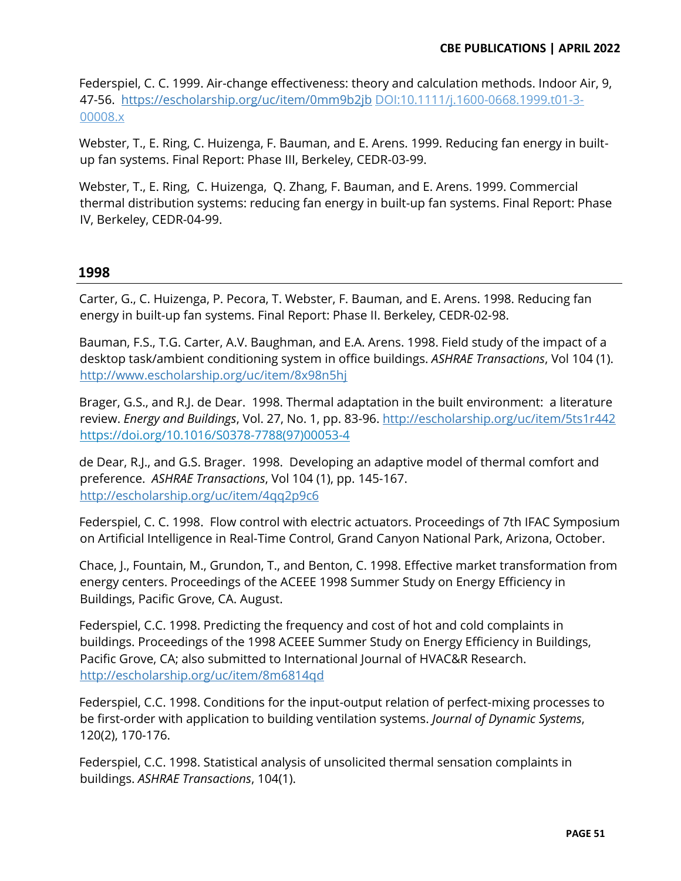Federspiel, C. C. 1999. Air-change effectiveness: theory and calculation methods. Indoor Air, 9, 47-56. <https://escholarship.org/uc/item/0mm9b2jb> DOI[:10.1111/j.1600-0668.1999.t01-3-](https://doi.org/10.1111/j.1600-0668.1999.t01-3-00008.x) [00008.x](https://doi.org/10.1111/j.1600-0668.1999.t01-3-00008.x)

Webster, T., E. Ring, C. Huizenga, F. Bauman, and E. Arens. 1999. Reducing fan energy in builtup fan systems. Final Report: Phase III, Berkeley, CEDR-03-99.

Webster, T., E. Ring, C. Huizenga, Q. Zhang, F. Bauman, and E. Arens. 1999. Commercial thermal distribution systems: reducing fan energy in built-up fan systems. Final Report: Phase IV, Berkeley, CEDR-04-99.

# **1998**

Carter, G., C. Huizenga, P. Pecora, T. Webster, F. Bauman, and E. Arens. 1998. Reducing fan energy in built-up fan systems. Final Report: Phase II. Berkeley, CEDR-02-98.

Bauman, F.S., T.G. Carter, A.V. Baughman, and E.A. Arens. 1998. Field study of the impact of a desktop task/ambient conditioning system in office buildings. *ASHRAE Transactions*, Vol 104 (1). <http://www.escholarship.org/uc/item/8x98n5hj>

Brager, G.S., and R.J. de Dear. 1998. Thermal adaptation in the built environment: a literature review. *Energy and Buildings*, Vol. 27, No. 1, pp. 83-96. <http://escholarship.org/uc/item/5ts1r442> [https://doi.org/10.1016/S0378-7788\(97\)00053-4](https://doi.org/10.1016/S0378-7788(97)00053-4)

de Dear, R.J., and G.S. Brager. 1998. Developing an adaptive model of thermal comfort and preference. *ASHRAE Transactions*, Vol 104 (1), pp. 145-167. <http://escholarship.org/uc/item/4qq2p9c6>

Federspiel, C. C. 1998. Flow control with electric actuators. Proceedings of 7th IFAC Symposium on Artificial Intelligence in Real-Time Control, Grand Canyon National Park, Arizona, October.

Chace, J., Fountain, M., Grundon, T., and Benton, C. 1998. Effective market transformation from energy centers. Proceedings of the ACEEE 1998 Summer Study on Energy Efficiency in Buildings, Pacific Grove, CA. August.

Federspiel, C.C. 1998. Predicting the frequency and cost of hot and cold complaints in buildings. Proceedings of the 1998 ACEEE Summer Study on Energy Efficiency in Buildings, Pacific Grove, CA; also submitted to International Journal of HVAC&R Research. <http://escholarship.org/uc/item/8m6814qd>

Federspiel, C.C. 1998. Conditions for the input-output relation of perfect-mixing processes to be first-order with application to building ventilation systems. *Journal of Dynamic Systems*, 120(2), 170-176.

Federspiel, C.C. 1998. Statistical analysis of unsolicited thermal sensation complaints in buildings. *ASHRAE Transactions*, 104(1).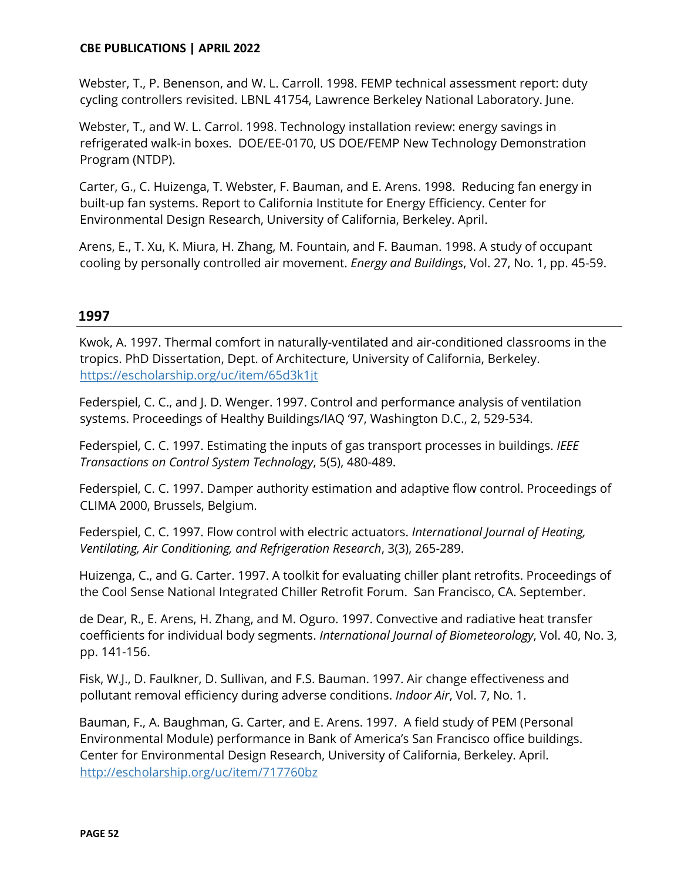Webster, T., P. Benenson, and W. L. Carroll. 1998. FEMP technical assessment report: duty cycling controllers revisited. LBNL 41754, Lawrence Berkeley National Laboratory. June.

Webster, T., and W. L. Carrol. 1998. Technology installation review: energy savings in refrigerated walk-in boxes. DOE/EE-0170, US DOE/FEMP New Technology Demonstration Program (NTDP).

Carter, G., C. Huizenga, T. Webster, F. Bauman, and E. Arens. 1998. Reducing fan energy in built-up fan systems. Report to California Institute for Energy Efficiency. Center for Environmental Design Research, University of California, Berkeley. April.

Arens, E., T. Xu, K. Miura, H. Zhang, M. Fountain, and F. Bauman. 1998. A study of occupant cooling by personally controlled air movement. *Energy and Buildings*, Vol. 27, No. 1, pp. 45-59.

# **1997**

Kwok, A. 1997. Thermal comfort in naturally-ventilated and air-conditioned classrooms in the tropics. PhD Dissertation, Dept. of Architecture, University of California, Berkeley. <https://escholarship.org/uc/item/65d3k1jt>

Federspiel, C. C., and J. D. Wenger. 1997. Control and performance analysis of ventilation systems. Proceedings of Healthy Buildings/IAQ '97, Washington D.C., 2, 529-534.

Federspiel, C. C. 1997. Estimating the inputs of gas transport processes in buildings. *IEEE Transactions on Control System Technology*, 5(5), 480-489.

Federspiel, C. C. 1997. Damper authority estimation and adaptive flow control. Proceedings of CLIMA 2000, Brussels, Belgium.

Federspiel, C. C. 1997. Flow control with electric actuators. *International Journal of Heating, Ventilating, Air Conditioning, and Refrigeration Research*, 3(3), 265-289.

Huizenga, C., and G. Carter. 1997. A toolkit for evaluating chiller plant retrofits. Proceedings of the Cool Sense National Integrated Chiller Retrofit Forum. San Francisco, CA. September.

de Dear, R., E. Arens, H. Zhang, and M. Oguro. 1997. Convective and radiative heat transfer coefficients for individual body segments. *International Journal of Biometeorology*, Vol. 40, No. 3, pp. 141-156.

Fisk, W.J., D. Faulkner, D. Sullivan, and F.S. Bauman. 1997. Air change effectiveness and pollutant removal efficiency during adverse conditions. *Indoor Air*, Vol. 7, No. 1.

Bauman, F., A. Baughman, G. Carter, and E. Arens. 1997. A field study of PEM (Personal Environmental Module) performance in Bank of America's San Francisco office buildings. Center for Environmental Design Research, University of California, Berkeley. April. <http://escholarship.org/uc/item/717760bz>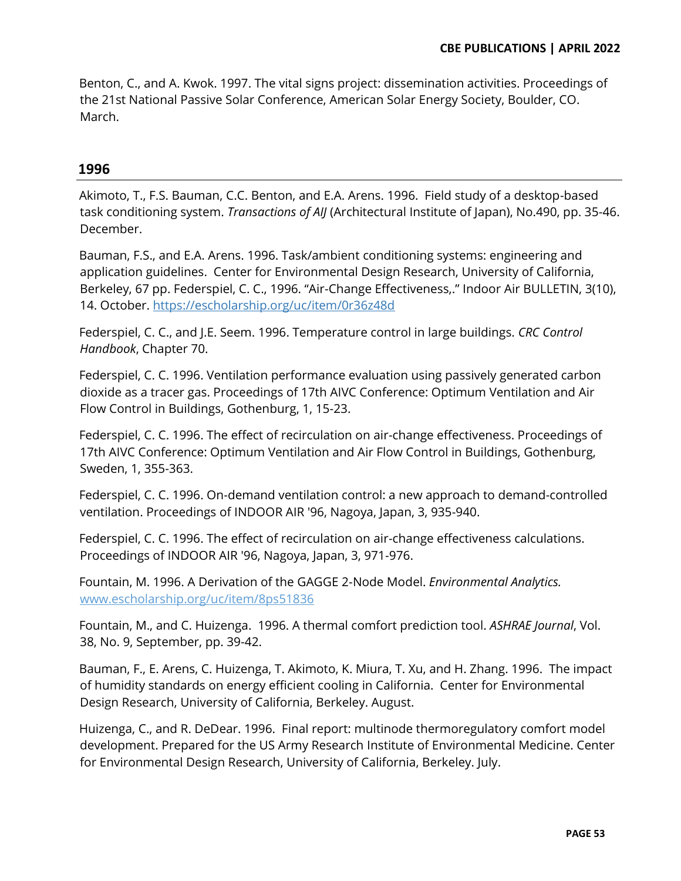Benton, C., and A. Kwok. 1997. The vital signs project: dissemination activities. Proceedings of the 21st National Passive Solar Conference, American Solar Energy Society, Boulder, CO. March.

## **1996**

Akimoto, T., F.S. Bauman, C.C. Benton, and E.A. Arens. 1996. Field study of a desktop-based task conditioning system. *Transactions of AIJ* (Architectural Institute of Japan), No.490, pp. 35-46. December.

Bauman, F.S., and E.A. Arens. 1996. Task/ambient conditioning systems: engineering and application guidelines. Center for Environmental Design Research, University of California, Berkeley, 67 pp. Federspiel, C. C., 1996. "Air-Change Effectiveness.." Indoor Air BULLETIN, 3(10), 14. October.<https://escholarship.org/uc/item/0r36z48d>

Federspiel, C. C., and J.E. Seem. 1996. Temperature control in large buildings. *CRC Control Handbook*, Chapter 70.

Federspiel, C. C. 1996. Ventilation performance evaluation using passively generated carbon dioxide as a tracer gas. Proceedings of 17th AIVC Conference: Optimum Ventilation and Air Flow Control in Buildings, Gothenburg, 1, 15-23.

Federspiel, C. C. 1996. The effect of recirculation on air-change effectiveness. Proceedings of 17th AIVC Conference: Optimum Ventilation and Air Flow Control in Buildings, Gothenburg, Sweden, 1, 355-363.

Federspiel, C. C. 1996. On-demand ventilation control: a new approach to demand-controlled ventilation. Proceedings of INDOOR AIR '96, Nagoya, Japan, 3, 935-940.

Federspiel, C. C. 1996. The effect of recirculation on air-change effectiveness calculations. Proceedings of INDOOR AIR '96, Nagoya, Japan, 3, 971-976.

Fountain, M. 1996. A Derivation of the GAGGE 2-Node Model. *Environmental Analytics.* [www.escholarship.org/uc/item/8ps51836](http://www.escholarship.org/uc/item/8ps51836)

Fountain, M., and C. Huizenga. 1996. A thermal comfort prediction tool. *ASHRAE Journal*, Vol. 38, No. 9, September, pp. 39-42.

Bauman, F., E. Arens, C. Huizenga, T. Akimoto, K. Miura, T. Xu, and H. Zhang. 1996. The impact of humidity standards on energy efficient cooling in California. Center for Environmental Design Research, University of California, Berkeley. August.

Huizenga, C., and R. DeDear. 1996. Final report: multinode thermoregulatory comfort model development. Prepared for the US Army Research Institute of Environmental Medicine. Center for Environmental Design Research, University of California, Berkeley. July.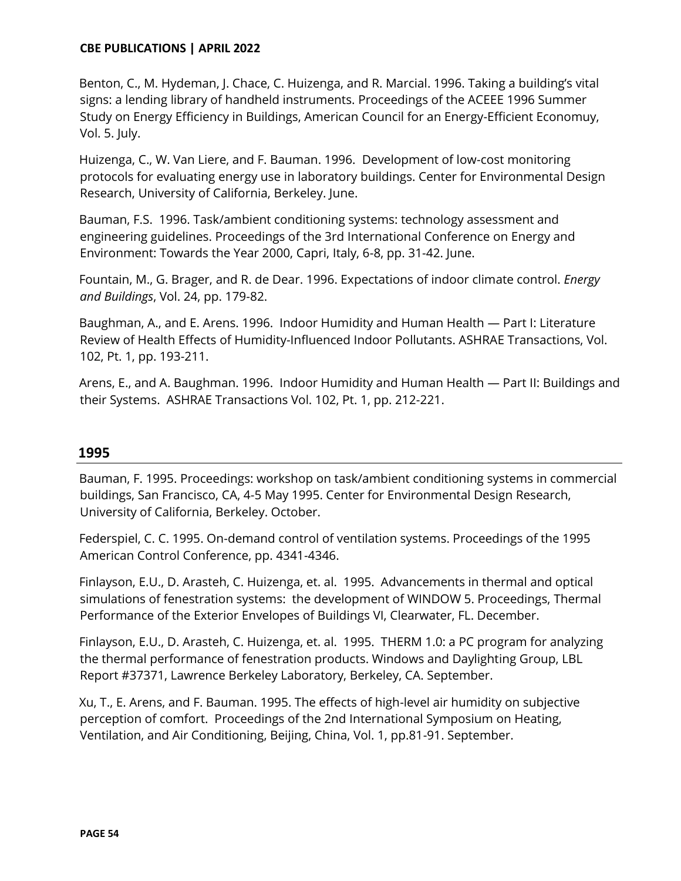Benton, C., M. Hydeman, J. Chace, C. Huizenga, and R. Marcial. 1996. Taking a building's vital signs: a lending library of handheld instruments. Proceedings of the ACEEE 1996 Summer Study on Energy Efficiency in Buildings, American Council for an Energy-Efficient Economuy, Vol. 5. July.

Huizenga, C., W. Van Liere, and F. Bauman. 1996. Development of low-cost monitoring protocols for evaluating energy use in laboratory buildings. Center for Environmental Design Research, University of California, Berkeley. June.

Bauman, F.S. 1996. Task/ambient conditioning systems: technology assessment and engineering guidelines. Proceedings of the 3rd International Conference on Energy and Environment: Towards the Year 2000, Capri, Italy, 6-8, pp. 31-42. June.

Fountain, M., G. Brager, and R. de Dear. 1996. Expectations of indoor climate control. *Energy and Buildings*, Vol. 24, pp. 179-82.

Baughman, A., and E. Arens. 1996. Indoor Humidity and Human Health — Part I: Literature Review of Health Effects of Humidity-Influenced Indoor Pollutants. ASHRAE Transactions, Vol. 102, Pt. 1, pp. 193-211.

Arens, E., and A. Baughman. 1996. Indoor Humidity and Human Health — Part II: Buildings and their Systems. ASHRAE Transactions Vol. 102, Pt. 1, pp. 212-221.

# **1995**

Bauman, F. 1995. Proceedings: workshop on task/ambient conditioning systems in commercial buildings, San Francisco, CA, 4-5 May 1995. Center for Environmental Design Research, University of California, Berkeley. October.

Federspiel, C. C. 1995. On-demand control of ventilation systems. Proceedings of the 1995 American Control Conference, pp. 4341-4346.

Finlayson, E.U., D. Arasteh, C. Huizenga, et. al. 1995. Advancements in thermal and optical simulations of fenestration systems: the development of WINDOW 5. Proceedings, Thermal Performance of the Exterior Envelopes of Buildings VI, Clearwater, FL. December.

Finlayson, E.U., D. Arasteh, C. Huizenga, et. al. 1995. THERM 1.0: a PC program for analyzing the thermal performance of fenestration products. Windows and Daylighting Group, LBL Report #37371, Lawrence Berkeley Laboratory, Berkeley, CA. September.

Xu, T., E. Arens, and F. Bauman. 1995. The effects of high-level air humidity on subjective perception of comfort. Proceedings of the 2nd International Symposium on Heating, Ventilation, and Air Conditioning, Beijing, China, Vol. 1, pp.81-91. September.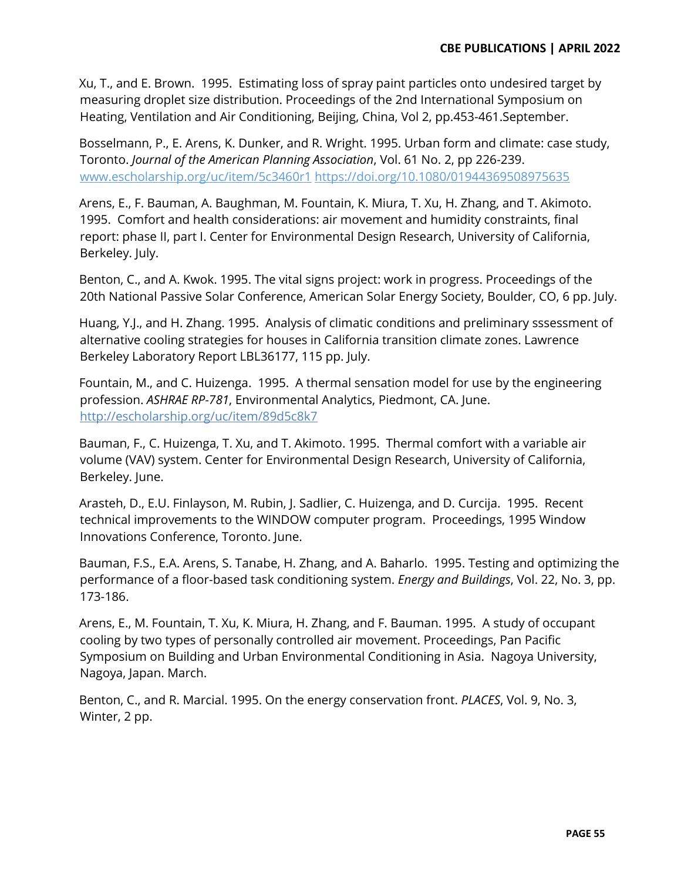Xu, T., and E. Brown. 1995. Estimating loss of spray paint particles onto undesired target by measuring droplet size distribution. Proceedings of the 2nd International Symposium on Heating, Ventilation and Air Conditioning, Beijing, China, Vol 2, pp.453-461.September.

Bosselmann, P., E. Arens, K. Dunker, and R. Wright. 1995. Urban form and climate: case study, Toronto. *Journal of the American Planning Association*, Vol. 61 No. 2, pp 226-239. [www.escholarship.org/uc/item/5c3460r1](http://www.escholarship.org/uc/item/5c3460r1) https://doi.org/10.1080/01944369508975635

Arens, E., F. Bauman, A. Baughman, M. Fountain, K. Miura, T. Xu, H. Zhang, and T. Akimoto. 1995. Comfort and health considerations: air movement and humidity constraints, final report: phase II, part I. Center for Environmental Design Research, University of California, Berkeley. July.

Benton, C., and A. Kwok. 1995. The vital signs project: work in progress. Proceedings of the 20th National Passive Solar Conference, American Solar Energy Society, Boulder, CO, 6 pp. July.

Huang, Y.J., and H. Zhang. 1995. Analysis of climatic conditions and preliminary sssessment of alternative cooling strategies for houses in California transition climate zones. Lawrence Berkeley Laboratory Report LBL36177, 115 pp. July.

Fountain, M., and C. Huizenga. 1995. A thermal sensation model for use by the engineering profession. *ASHRAE RP-781*, Environmental Analytics, Piedmont, CA. June. http://escholarship.org/uc/item/89d5c8k7

Bauman, F., C. Huizenga, T. Xu, and T. Akimoto. 1995. Thermal comfort with a variable air volume (VAV) system. Center for Environmental Design Research, University of California, Berkeley. June.

Arasteh, D., E.U. Finlayson, M. Rubin, J. Sadlier, C. Huizenga, and D. Curcija. 1995. Recent technical improvements to the WINDOW computer program. Proceedings, 1995 Window Innovations Conference, Toronto. June.

Bauman, F.S., E.A. Arens, S. Tanabe, H. Zhang, and A. Baharlo. 1995. Testing and optimizing the performance of a floor-based task conditioning system. *Energy and Buildings*, Vol. 22, No. 3, pp. 173-186.

Arens, E., M. Fountain, T. Xu, K. Miura, H. Zhang, and F. Bauman. 1995. A study of occupant cooling by two types of personally controlled air movement. Proceedings, Pan Pacific Symposium on Building and Urban Environmental Conditioning in Asia. Nagoya University, Nagoya, Japan. March.

Benton, C., and R. Marcial. 1995. On the energy conservation front. *PLACES*, Vol. 9, No. 3, Winter, 2 pp.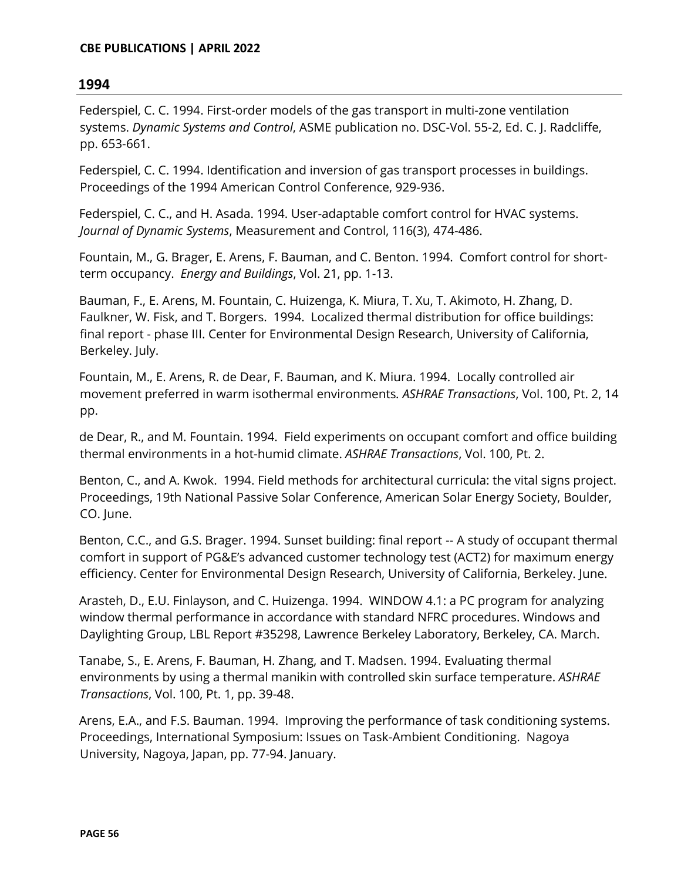Federspiel, C. C. 1994. First-order models of the gas transport in multi-zone ventilation systems. *Dynamic Systems and Control*, ASME publication no. DSC-Vol. 55-2, Ed. C. J. Radcliffe, pp. 653-661.

Federspiel, C. C. 1994. Identification and inversion of gas transport processes in buildings. Proceedings of the 1994 American Control Conference, 929-936.

Federspiel, C. C., and H. Asada. 1994. User-adaptable comfort control for HVAC systems. *Journal of Dynamic Systems*, Measurement and Control, 116(3), 474-486.

Fountain, M., G. Brager, E. Arens, F. Bauman, and C. Benton. 1994. Comfort control for shortterm occupancy. *Energy and Buildings*, Vol. 21, pp. 1-13.

Bauman, F., E. Arens, M. Fountain, C. Huizenga, K. Miura, T. Xu, T. Akimoto, H. Zhang, D. Faulkner, W. Fisk, and T. Borgers. 1994. Localized thermal distribution for office buildings: final report - phase III. Center for Environmental Design Research, University of California, Berkeley. July.

Fountain, M., E. Arens, R. de Dear, F. Bauman, and K. Miura. 1994. Locally controlled air movement preferred in warm isothermal environments*. ASHRAE Transactions*, Vol. 100, Pt. 2, 14 pp.

de Dear, R., and M. Fountain. 1994. Field experiments on occupant comfort and office building thermal environments in a hot-humid climate. *ASHRAE Transactions*, Vol. 100, Pt. 2.

Benton, C., and A. Kwok. 1994. Field methods for architectural curricula: the vital signs project. Proceedings, 19th National Passive Solar Conference, American Solar Energy Society, Boulder, CO. June.

Benton, C.C., and G.S. Brager. 1994. Sunset building: final report -- A study of occupant thermal comfort in support of PG&E's advanced customer technology test (ACT2) for maximum energy efficiency. Center for Environmental Design Research, University of California, Berkeley. June.

Arasteh, D., E.U. Finlayson, and C. Huizenga. 1994. WINDOW 4.1: a PC program for analyzing window thermal performance in accordance with standard NFRC procedures. Windows and Daylighting Group, LBL Report #35298, Lawrence Berkeley Laboratory, Berkeley, CA. March.

Tanabe, S., E. Arens, F. Bauman, H. Zhang, and T. Madsen. 1994. Evaluating thermal environments by using a thermal manikin with controlled skin surface temperature. *ASHRAE Transactions*, Vol. 100, Pt. 1, pp. 39-48.

Arens, E.A., and F.S. Bauman. 1994. Improving the performance of task conditioning systems. Proceedings, International Symposium: Issues on Task-Ambient Conditioning. Nagoya University, Nagoya, Japan, pp. 77-94. January.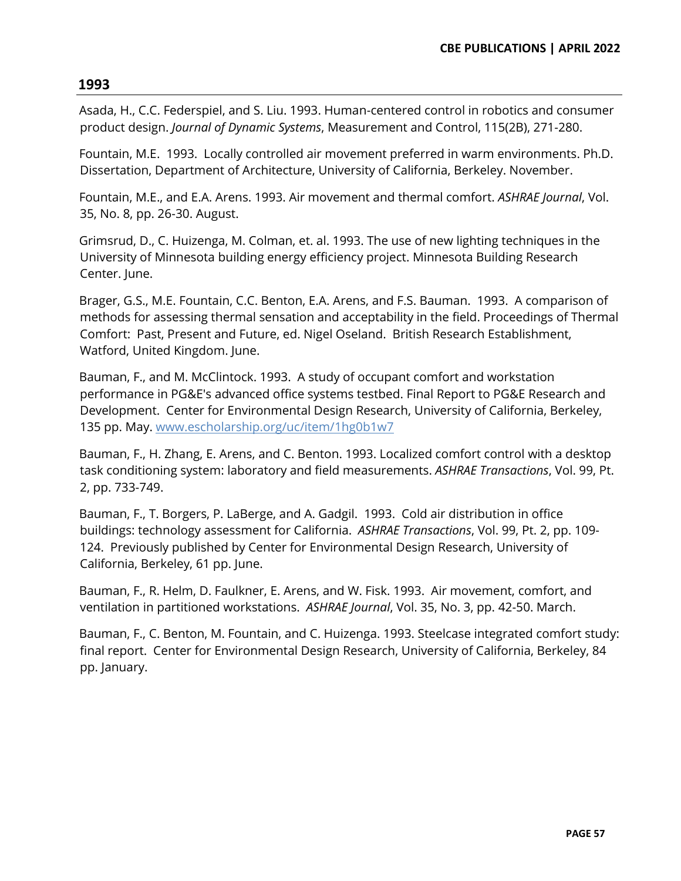Asada, H., C.C. Federspiel, and S. Liu. 1993. Human-centered control in robotics and consumer product design. *Journal of Dynamic Systems*, Measurement and Control, 115(2B), 271-280.

Fountain, M.E. 1993. Locally controlled air movement preferred in warm environments. Ph.D. Dissertation, Department of Architecture, University of California, Berkeley. November.

Fountain, M.E., and E.A. Arens. 1993. Air movement and thermal comfort. *ASHRAE Journal*, Vol. 35, No. 8, pp. 26-30. August.

Grimsrud, D., C. Huizenga, M. Colman, et. al. 1993. The use of new lighting techniques in the University of Minnesota building energy efficiency project. Minnesota Building Research Center. June.

Brager, G.S., M.E. Fountain, C.C. Benton, E.A. Arens, and F.S. Bauman. 1993. A comparison of methods for assessing thermal sensation and acceptability in the field. Proceedings of Thermal Comfort: Past, Present and Future, ed. Nigel Oseland. British Research Establishment, Watford, United Kingdom. June.

Bauman, F., and M. McClintock. 1993. A study of occupant comfort and workstation performance in PG&E's advanced office systems testbed. Final Report to PG&E Research and Development. Center for Environmental Design Research, University of California, Berkeley, 135 pp. May. www.escholarship.org/uc/item/1hg0b1w7

Bauman, F., H. Zhang, E. Arens, and C. Benton. 1993. Localized comfort control with a desktop task conditioning system: laboratory and field measurements. *ASHRAE Transactions*, Vol. 99, Pt. 2, pp. 733-749.

Bauman, F., T. Borgers, P. LaBerge, and A. Gadgil. 1993. Cold air distribution in office buildings: technology assessment for California. *ASHRAE Transactions*, Vol. 99, Pt. 2, pp. 109- 124. Previously published by Center for Environmental Design Research, University of California, Berkeley, 61 pp. June.

Bauman, F., R. Helm, D. Faulkner, E. Arens, and W. Fisk. 1993. Air movement, comfort, and ventilation in partitioned workstations. *ASHRAE Journal*, Vol. 35, No. 3, pp. 42-50. March.

Bauman, F., C. Benton, M. Fountain, and C. Huizenga. 1993. Steelcase integrated comfort study: final report. Center for Environmental Design Research, University of California, Berkeley, 84 pp. January.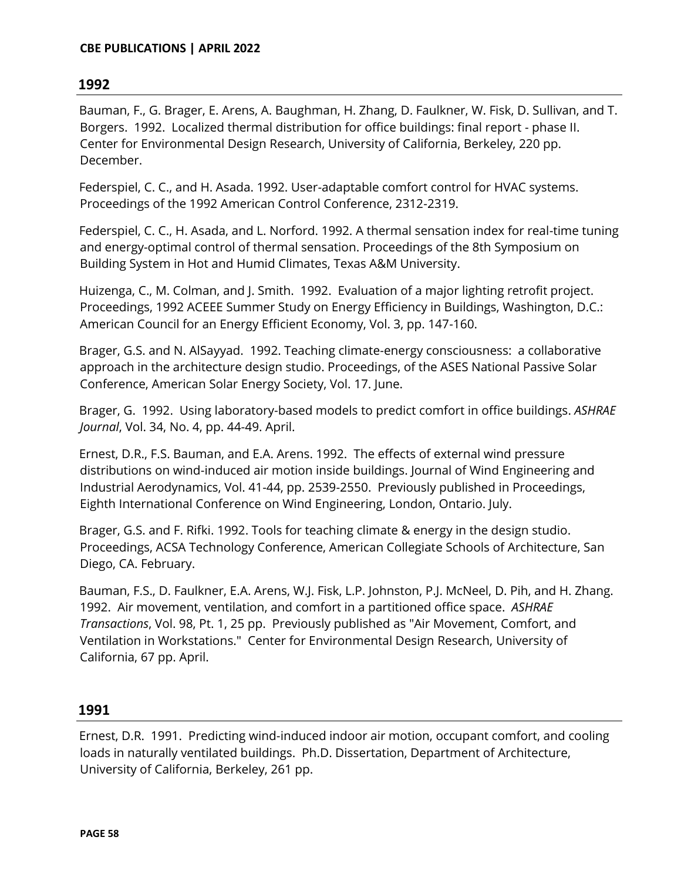Bauman, F., G. Brager, E. Arens, A. Baughman, H. Zhang, D. Faulkner, W. Fisk, D. Sullivan, and T. Borgers. 1992. Localized thermal distribution for office buildings: final report - phase II. Center for Environmental Design Research, University of California, Berkeley, 220 pp. December.

Federspiel, C. C., and H. Asada. 1992. User-adaptable comfort control for HVAC systems. Proceedings of the 1992 American Control Conference, 2312-2319.

Federspiel, C. C., H. Asada, and L. Norford. 1992. A thermal sensation index for real-time tuning and energy-optimal control of thermal sensation. Proceedings of the 8th Symposium on Building System in Hot and Humid Climates, Texas A&M University.

Huizenga, C., M. Colman, and J. Smith. 1992. Evaluation of a major lighting retrofit project. Proceedings, 1992 ACEEE Summer Study on Energy Efficiency in Buildings, Washington, D.C.: American Council for an Energy Efficient Economy, Vol. 3, pp. 147-160.

Brager, G.S. and N. AlSayyad. 1992. Teaching climate-energy consciousness: a collaborative approach in the architecture design studio. Proceedings, of the ASES National Passive Solar Conference, American Solar Energy Society, Vol. 17. June.

Brager, G. 1992. Using laboratory-based models to predict comfort in office buildings. *ASHRAE Journal*, Vol. 34, No. 4, pp. 44-49. April.

Ernest, D.R., F.S. Bauman, and E.A. Arens. 1992. The effects of external wind pressure distributions on wind-induced air motion inside buildings. Journal of Wind Engineering and Industrial Aerodynamics, Vol. 41-44, pp. 2539-2550. Previously published in Proceedings, Eighth International Conference on Wind Engineering, London, Ontario. July.

Brager, G.S. and F. Rifki. 1992. Tools for teaching climate & energy in the design studio. Proceedings, ACSA Technology Conference, American Collegiate Schools of Architecture, San Diego, CA. February.

Bauman, F.S., D. Faulkner, E.A. Arens, W.J. Fisk, L.P. Johnston, P.J. McNeel, D. Pih, and H. Zhang. 1992. Air movement, ventilation, and comfort in a partitioned office space. *ASHRAE Transactions*, Vol. 98, Pt. 1, 25 pp. Previously published as "Air Movement, Comfort, and Ventilation in Workstations." Center for Environmental Design Research, University of California, 67 pp. April.

# **1991**

Ernest, D.R. 1991. Predicting wind-induced indoor air motion, occupant comfort, and cooling loads in naturally ventilated buildings. Ph.D. Dissertation, Department of Architecture, University of California, Berkeley, 261 pp.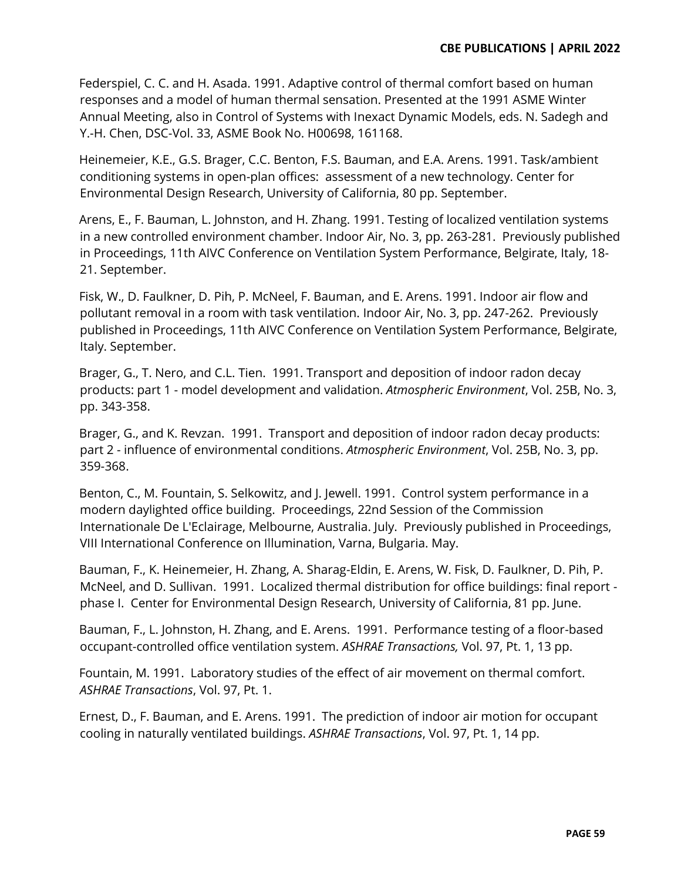Federspiel, C. C. and H. Asada. 1991. Adaptive control of thermal comfort based on human responses and a model of human thermal sensation. Presented at the 1991 ASME Winter Annual Meeting, also in Control of Systems with Inexact Dynamic Models, eds. N. Sadegh and Y.-H. Chen, DSC-Vol. 33, ASME Book No. H00698, 161168.

Heinemeier, K.E., G.S. Brager, C.C. Benton, F.S. Bauman, and E.A. Arens. 1991. Task/ambient conditioning systems in open-plan offices: assessment of a new technology. Center for Environmental Design Research, University of California, 80 pp. September.

Arens, E., F. Bauman, L. Johnston, and H. Zhang. 1991. Testing of localized ventilation systems in a new controlled environment chamber. Indoor Air, No. 3, pp. 263-281. Previously published in Proceedings, 11th AIVC Conference on Ventilation System Performance, Belgirate, Italy, 18- 21. September.

Fisk, W., D. Faulkner, D. Pih, P. McNeel, F. Bauman, and E. Arens. 1991. Indoor air flow and pollutant removal in a room with task ventilation. Indoor Air, No. 3, pp. 247-262. Previously published in Proceedings, 11th AIVC Conference on Ventilation System Performance, Belgirate, Italy. September.

Brager, G., T. Nero, and C.L. Tien. 1991. Transport and deposition of indoor radon decay products: part 1 - model development and validation. *Atmospheric Environment*, Vol. 25B, No. 3, pp. 343-358.

Brager, G., and K. Revzan. 1991. Transport and deposition of indoor radon decay products: part 2 - influence of environmental conditions. *Atmospheric Environment*, Vol. 25B, No. 3, pp. 359-368.

Benton, C., M. Fountain, S. Selkowitz, and J. Jewell. 1991. Control system performance in a modern daylighted office building. Proceedings, 22nd Session of the Commission Internationale De L'Eclairage, Melbourne, Australia. July. Previously published in Proceedings, VIII International Conference on Illumination, Varna, Bulgaria. May.

Bauman, F., K. Heinemeier, H. Zhang, A. Sharag-Eldin, E. Arens, W. Fisk, D. Faulkner, D. Pih, P. McNeel, and D. Sullivan. 1991. Localized thermal distribution for office buildings: final report phase I. Center for Environmental Design Research, University of California, 81 pp. June.

Bauman, F., L. Johnston, H. Zhang, and E. Arens. 1991. Performance testing of a floor-based occupant-controlled office ventilation system. *ASHRAE Transactions,* Vol. 97, Pt. 1, 13 pp.

Fountain, M. 1991. Laboratory studies of the effect of air movement on thermal comfort. *ASHRAE Transactions*, Vol. 97, Pt. 1.

Ernest, D., F. Bauman, and E. Arens. 1991. The prediction of indoor air motion for occupant cooling in naturally ventilated buildings. *ASHRAE Transactions*, Vol. 97, Pt. 1, 14 pp.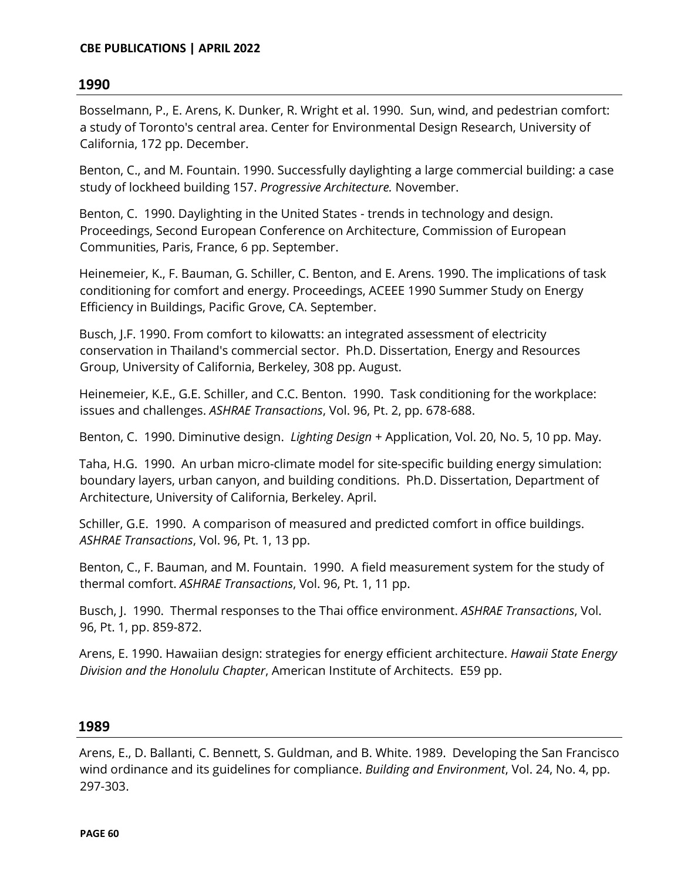Bosselmann, P., E. Arens, K. Dunker, R. Wright et al. 1990. Sun, wind, and pedestrian comfort: a study of Toronto's central area. Center for Environmental Design Research, University of California, 172 pp. December.

Benton, C., and M. Fountain. 1990. Successfully daylighting a large commercial building: a case study of lockheed building 157. *Progressive Architecture.* November.

Benton, C. 1990. Daylighting in the United States - trends in technology and design. Proceedings, Second European Conference on Architecture, Commission of European Communities, Paris, France, 6 pp. September.

Heinemeier, K., F. Bauman, G. Schiller, C. Benton, and E. Arens. 1990. The implications of task conditioning for comfort and energy. Proceedings, ACEEE 1990 Summer Study on Energy Efficiency in Buildings, Pacific Grove, CA. September.

Busch, J.F. 1990. From comfort to kilowatts: an integrated assessment of electricity conservation in Thailand's commercial sector. Ph.D. Dissertation, Energy and Resources Group, University of California, Berkeley, 308 pp. August.

Heinemeier, K.E., G.E. Schiller, and C.C. Benton. 1990. Task conditioning for the workplace: issues and challenges. *ASHRAE Transactions*, Vol. 96, Pt. 2, pp. 678-688.

Benton, C. 1990. Diminutive design. *Lighting Design* + Application, Vol. 20, No. 5, 10 pp. May.

Taha, H.G. 1990. An urban micro-climate model for site-specific building energy simulation: boundary layers, urban canyon, and building conditions. Ph.D. Dissertation, Department of Architecture, University of California, Berkeley. April.

Schiller, G.E. 1990. A comparison of measured and predicted comfort in office buildings. *ASHRAE Transactions*, Vol. 96, Pt. 1, 13 pp.

Benton, C., F. Bauman, and M. Fountain. 1990. A field measurement system for the study of thermal comfort. *ASHRAE Transactions*, Vol. 96, Pt. 1, 11 pp.

Busch, J. 1990. Thermal responses to the Thai office environment. *ASHRAE Transactions*, Vol. 96, Pt. 1, pp. 859-872.

Arens, E. 1990. Hawaiian design: strategies for energy efficient architecture. *Hawaii State Energy Division and the Honolulu Chapter*, American Institute of Architects. E59 pp.

#### **1989**

Arens, E., D. Ballanti, C. Bennett, S. Guldman, and B. White. 1989. Developing the San Francisco wind ordinance and its guidelines for compliance. *Building and Environment*, Vol. 24, No. 4, pp. 297-303.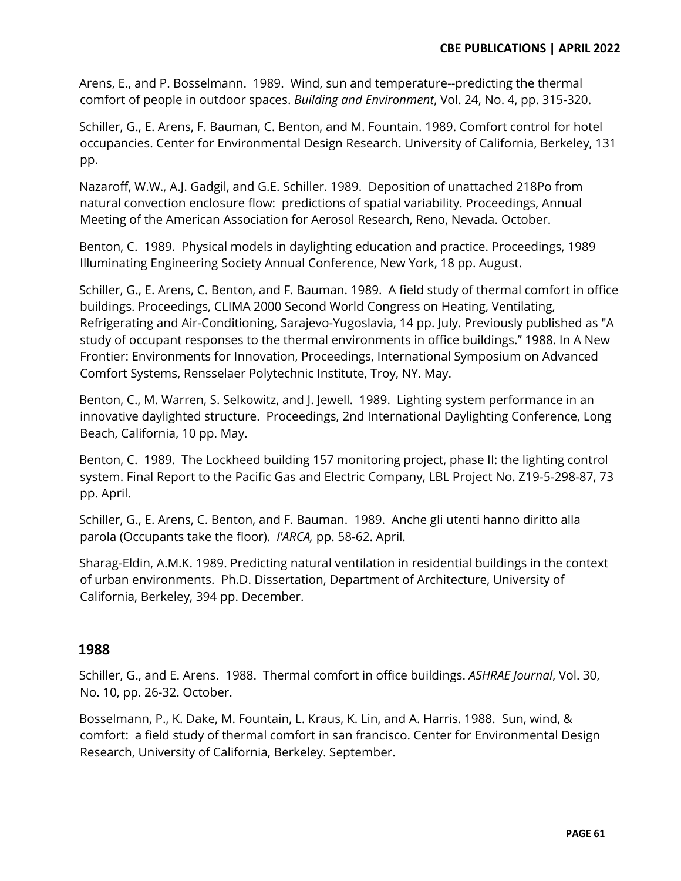Arens, E., and P. Bosselmann. 1989. Wind, sun and temperature--predicting the thermal comfort of people in outdoor spaces. *Building and Environment*, Vol. 24, No. 4, pp. 315-320.

Schiller, G., E. Arens, F. Bauman, C. Benton, and M. Fountain. 1989. Comfort control for hotel occupancies. Center for Environmental Design Research. University of California, Berkeley, 131 pp.

Nazaroff, W.W., A.J. Gadgil, and G.E. Schiller. 1989. Deposition of unattached 218Po from natural convection enclosure flow: predictions of spatial variability. Proceedings, Annual Meeting of the American Association for Aerosol Research, Reno, Nevada. October.

Benton, C. 1989. Physical models in daylighting education and practice. Proceedings, 1989 Illuminating Engineering Society Annual Conference, New York, 18 pp. August.

Schiller, G., E. Arens, C. Benton, and F. Bauman. 1989. A field study of thermal comfort in office buildings. Proceedings, CLIMA 2000 Second World Congress on Heating, Ventilating, Refrigerating and Air-Conditioning, Sarajevo-Yugoslavia, 14 pp. July. Previously published as "A study of occupant responses to the thermal environments in office buildings." 1988. In A New Frontier: Environments for Innovation, Proceedings, International Symposium on Advanced Comfort Systems, Rensselaer Polytechnic Institute, Troy, NY. May.

Benton, C., M. Warren, S. Selkowitz, and J. Jewell. 1989. Lighting system performance in an innovative daylighted structure. Proceedings, 2nd International Daylighting Conference, Long Beach, California, 10 pp. May.

Benton, C. 1989. The Lockheed building 157 monitoring project, phase II: the lighting control system. Final Report to the Pacific Gas and Electric Company, LBL Project No. Z19-5-298-87, 73 pp. April.

Schiller, G., E. Arens, C. Benton, and F. Bauman. 1989. Anche gli utenti hanno diritto alla parola (Occupants take the floor). *l'ARCA,* pp. 58-62. April.

Sharag-Eldin, A.M.K. 1989. Predicting natural ventilation in residential buildings in the context of urban environments. Ph.D. Dissertation, Department of Architecture, University of California, Berkeley, 394 pp. December.

# **1988**

Schiller, G., and E. Arens. 1988. Thermal comfort in office buildings. *ASHRAE Journal*, Vol. 30, No. 10, pp. 26-32. October.

Bosselmann, P., K. Dake, M. Fountain, L. Kraus, K. Lin, and A. Harris. 1988. Sun, wind, & comfort: a field study of thermal comfort in san francisco. Center for Environmental Design Research, University of California, Berkeley. September.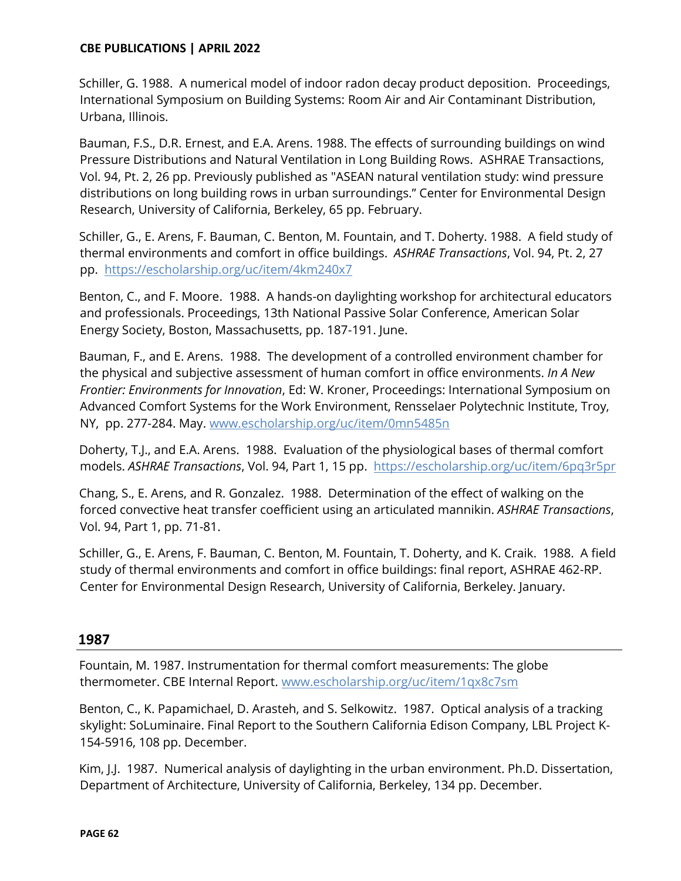Schiller, G. 1988. A numerical model of indoor radon decay product deposition. Proceedings, International Symposium on Building Systems: Room Air and Air Contaminant Distribution, Urbana, Illinois.

Bauman, F.S., D.R. Ernest, and E.A. Arens. 1988. The effects of surrounding buildings on wind Pressure Distributions and Natural Ventilation in Long Building Rows. ASHRAE Transactions, Vol. 94, Pt. 2, 26 pp. Previously published as "ASEAN natural ventilation study: wind pressure distributions on long building rows in urban surroundings." Center for Environmental Design Research, University of California, Berkeley, 65 pp. February.

Schiller, G., E. Arens, F. Bauman, C. Benton, M. Fountain, and T. Doherty. 1988. A field study of thermal environments and comfort in office buildings. *ASHRAE Transactions*, Vol. 94, Pt. 2, 27 pp. <https://escholarship.org/uc/item/4km240x7>

Benton, C., and F. Moore. 1988. A hands-on daylighting workshop for architectural educators and professionals. Proceedings, 13th National Passive Solar Conference, American Solar Energy Society, Boston, Massachusetts, pp. 187-191. June.

Bauman, F., and E. Arens. 1988. The development of a controlled environment chamber for the physical and subjective assessment of human comfort in office environments. *In A New Frontier: Environments for Innovation*, Ed: W. Kroner, Proceedings: International Symposium on Advanced Comfort Systems for the Work Environment, Rensselaer Polytechnic Institute, Troy, NY, pp. 277-284. May. www.escholarship.org/uc/item/0mn5485n

Doherty, T.J., and E.A. Arens. 1988. Evaluation of the physiological bases of thermal comfort models. *ASHRAE Transactions*, Vol. 94, Part 1, 15 pp. <https://escholarship.org/uc/item/6pq3r5pr>

Chang, S., E. Arens, and R. Gonzalez. 1988. Determination of the effect of walking on the forced convective heat transfer coefficient using an articulated mannikin. *ASHRAE Transactions*, Vol. 94, Part 1, pp. 71-81.

Schiller, G., E. Arens, F. Bauman, C. Benton, M. Fountain, T. Doherty, and K. Craik. 1988. A field study of thermal environments and comfort in office buildings: final report, ASHRAE 462-RP. Center for Environmental Design Research, University of California, Berkeley. January.

# **1987**

Fountain, M. 1987. Instrumentation for thermal comfort measurements: The globe thermometer. CBE Internal Report. www.escholarship.org/uc/item/1qx8c7sm

Benton, C., K. Papamichael, D. Arasteh, and S. Selkowitz. 1987. Optical analysis of a tracking skylight: SoLuminaire. Final Report to the Southern California Edison Company, LBL Project K-154-5916, 108 pp. December.

Kim, J.J. 1987. Numerical analysis of daylighting in the urban environment. Ph.D. Dissertation, Department of Architecture, University of California, Berkeley, 134 pp. December.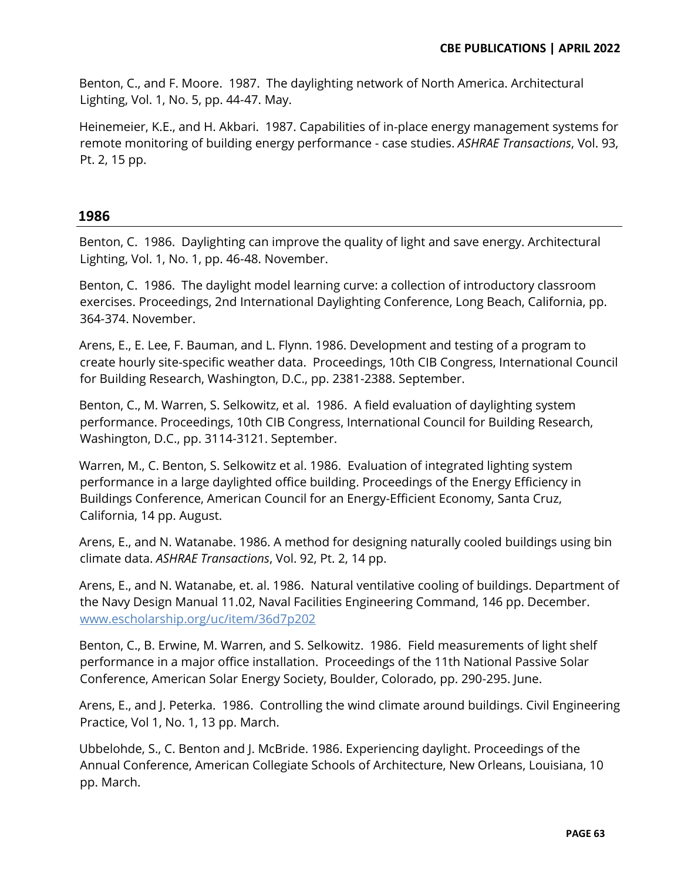Benton, C., and F. Moore. 1987. The daylighting network of North America. Architectural Lighting, Vol. 1, No. 5, pp. 44-47. May.

Heinemeier, K.E., and H. Akbari. 1987. Capabilities of in-place energy management systems for remote monitoring of building energy performance - case studies. *ASHRAE Transactions*, Vol. 93, Pt. 2, 15 pp.

## **1986**

Benton, C. 1986. Daylighting can improve the quality of light and save energy. Architectural Lighting, Vol. 1, No. 1, pp. 46-48. November.

Benton, C. 1986. The daylight model learning curve: a collection of introductory classroom exercises. Proceedings, 2nd International Daylighting Conference, Long Beach, California, pp. 364-374. November.

Arens, E., E. Lee, F. Bauman, and L. Flynn. 1986. Development and testing of a program to create hourly site-specific weather data. Proceedings, 10th CIB Congress, International Council for Building Research, Washington, D.C., pp. 2381-2388. September.

Benton, C., M. Warren, S. Selkowitz, et al. 1986. A field evaluation of daylighting system performance. Proceedings, 10th CIB Congress, International Council for Building Research, Washington, D.C., pp. 3114-3121. September.

Warren, M., C. Benton, S. Selkowitz et al. 1986. Evaluation of integrated lighting system performance in a large daylighted office building. Proceedings of the Energy Efficiency in Buildings Conference, American Council for an Energy-Efficient Economy, Santa Cruz, California, 14 pp. August.

Arens, E., and N. Watanabe. 1986. A method for designing naturally cooled buildings using bin climate data. *ASHRAE Transactions*, Vol. 92, Pt. 2, 14 pp.

Arens, E., and N. Watanabe, et. al. 1986. Natural ventilative cooling of buildings. Department of the Navy Design Manual 11.02, Naval Facilities Engineering Command, 146 pp. December. [www.escholarship.org/uc/item/36d7p202](http://www.escholarship.org/uc/item/36d7p202)

Benton, C., B. Erwine, M. Warren, and S. Selkowitz. 1986. Field measurements of light shelf performance in a major office installation. Proceedings of the 11th National Passive Solar Conference, American Solar Energy Society, Boulder, Colorado, pp. 290-295. June.

Arens, E., and J. Peterka. 1986. Controlling the wind climate around buildings. Civil Engineering Practice, Vol 1, No. 1, 13 pp. March.

Ubbelohde, S., C. Benton and J. McBride. 1986. Experiencing daylight. Proceedings of the Annual Conference, American Collegiate Schools of Architecture, New Orleans, Louisiana, 10 pp. March.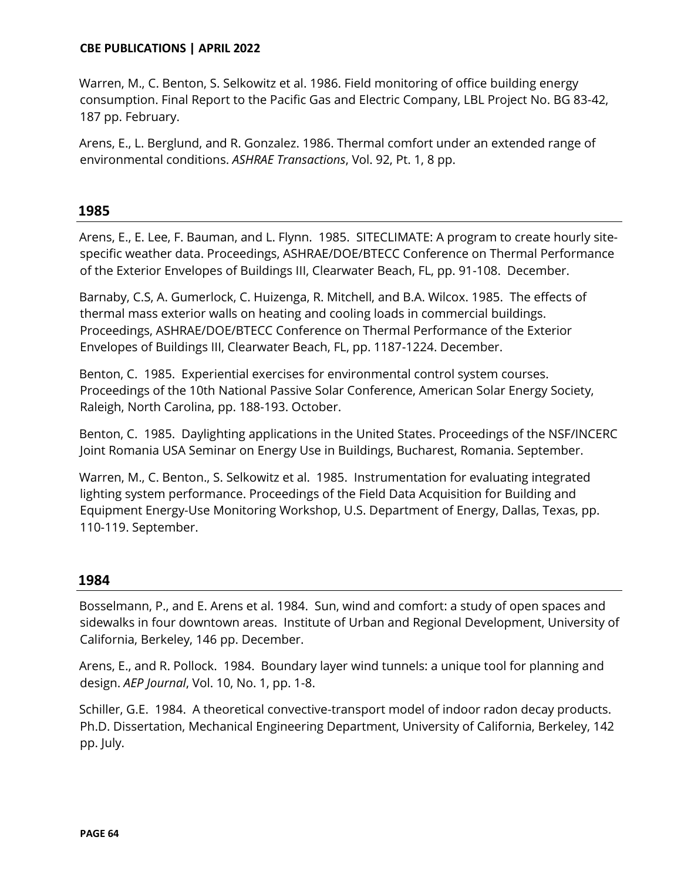Warren, M., C. Benton, S. Selkowitz et al. 1986. Field monitoring of office building energy consumption. Final Report to the Pacific Gas and Electric Company, LBL Project No. BG 83-42, 187 pp. February.

Arens, E., L. Berglund, and R. Gonzalez. 1986. Thermal comfort under an extended range of environmental conditions. *ASHRAE Transactions*, Vol. 92, Pt. 1, 8 pp.

## **1985**

Arens, E., E. Lee, F. Bauman, and L. Flynn. 1985. SITECLIMATE: A program to create hourly sitespecific weather data. Proceedings, ASHRAE/DOE/BTECC Conference on Thermal Performance of the Exterior Envelopes of Buildings III, Clearwater Beach, FL, pp. 91-108. December.

Barnaby, C.S, A. Gumerlock, C. Huizenga, R. Mitchell, and B.A. Wilcox. 1985. The effects of thermal mass exterior walls on heating and cooling loads in commercial buildings. Proceedings, ASHRAE/DOE/BTECC Conference on Thermal Performance of the Exterior Envelopes of Buildings III, Clearwater Beach, FL, pp. 1187-1224. December.

Benton, C. 1985. Experiential exercises for environmental control system courses. Proceedings of the 10th National Passive Solar Conference, American Solar Energy Society, Raleigh, North Carolina, pp. 188-193. October.

Benton, C. 1985. Daylighting applications in the United States. Proceedings of the NSF/INCERC Joint Romania USA Seminar on Energy Use in Buildings, Bucharest, Romania. September.

Warren, M., C. Benton., S. Selkowitz et al. 1985. Instrumentation for evaluating integrated lighting system performance. Proceedings of the Field Data Acquisition for Building and Equipment Energy-Use Monitoring Workshop, U.S. Department of Energy, Dallas, Texas, pp. 110-119. September.

#### **1984**

Bosselmann, P., and E. Arens et al. 1984. Sun, wind and comfort: a study of open spaces and sidewalks in four downtown areas. Institute of Urban and Regional Development, University of California, Berkeley, 146 pp. December.

Arens, E., and R. Pollock. 1984. Boundary layer wind tunnels: a unique tool for planning and design. *AEP Journal*, Vol. 10, No. 1, pp. 1-8.

Schiller, G.E. 1984. A theoretical convective-transport model of indoor radon decay products. Ph.D. Dissertation, Mechanical Engineering Department, University of California, Berkeley, 142 pp. July.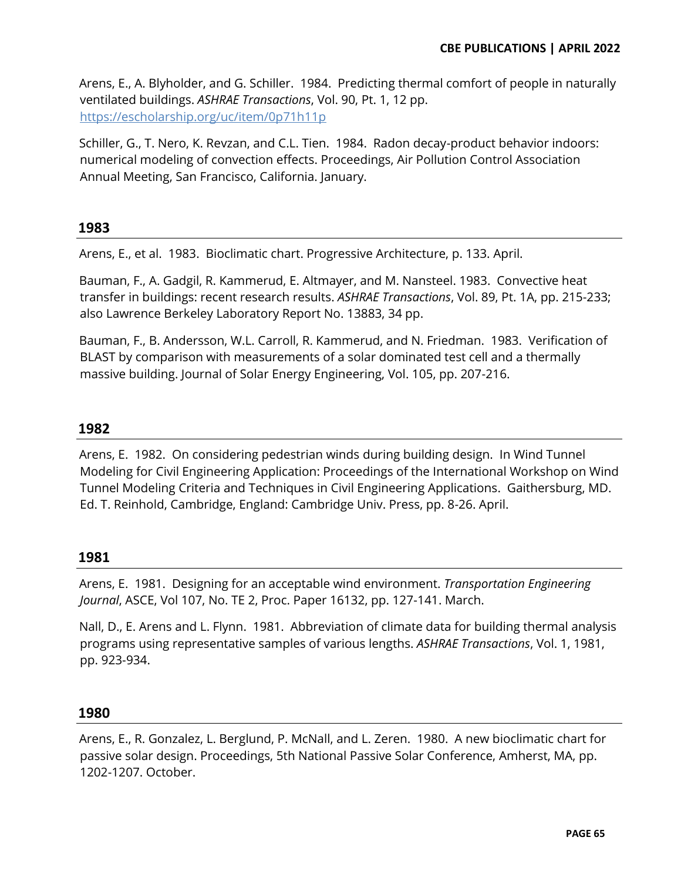Arens, E., A. Blyholder, and G. Schiller. 1984. Predicting thermal comfort of people in naturally ventilated buildings. *ASHRAE Transactions*, Vol. 90, Pt. 1, 12 pp. <https://escholarship.org/uc/item/0p71h11p>

Schiller, G., T. Nero, K. Revzan, and C.L. Tien. 1984. Radon decay-product behavior indoors: numerical modeling of convection effects. Proceedings, Air Pollution Control Association Annual Meeting, San Francisco, California. January.

## **1983**

Arens, E., et al. 1983. Bioclimatic chart. Progressive Architecture, p. 133. April.

Bauman, F., A. Gadgil, R. Kammerud, E. Altmayer, and M. Nansteel. 1983. Convective heat transfer in buildings: recent research results. *ASHRAE Transactions*, Vol. 89, Pt. 1A, pp. 215-233; also Lawrence Berkeley Laboratory Report No. 13883, 34 pp.

Bauman, F., B. Andersson, W.L. Carroll, R. Kammerud, and N. Friedman. 1983. Verification of BLAST by comparison with measurements of a solar dominated test cell and a thermally massive building. Journal of Solar Energy Engineering, Vol. 105, pp. 207-216.

## **1982**

Arens, E. 1982. On considering pedestrian winds during building design. In Wind Tunnel Modeling for Civil Engineering Application: Proceedings of the International Workshop on Wind Tunnel Modeling Criteria and Techniques in Civil Engineering Applications. Gaithersburg, MD. Ed. T. Reinhold, Cambridge, England: Cambridge Univ. Press, pp. 8-26. April.

#### **1981**

Arens, E. 1981. Designing for an acceptable wind environment. *Transportation Engineering Journal*, ASCE, Vol 107, No. TE 2, Proc. Paper 16132, pp. 127-141. March.

Nall, D., E. Arens and L. Flynn. 1981. Abbreviation of climate data for building thermal analysis programs using representative samples of various lengths. *ASHRAE Transactions*, Vol. 1, 1981, pp. 923-934.

#### **1980**

Arens, E., R. Gonzalez, L. Berglund, P. McNall, and L. Zeren. 1980. A new bioclimatic chart for passive solar design. Proceedings, 5th National Passive Solar Conference, Amherst, MA, pp. 1202-1207. October.